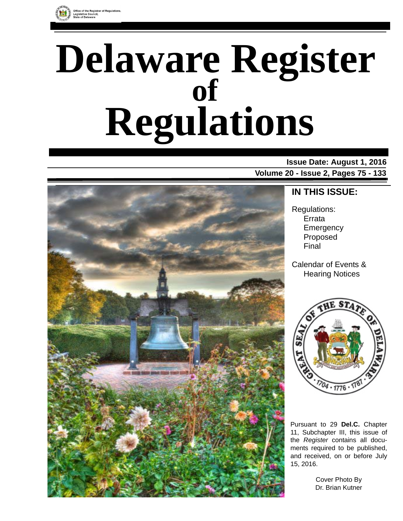

# **Delaware Register Regulations of**

### **Issue Date: August 1, 2016 Volume 20 - Issue 2, Pages 75 - 133**



### **IN THIS ISSUE:**

Regulations: Errata **Emergency** Proposed Final

Calendar of Events & Hearing Notices



Pursuant to 29 **Del.C.** Chapter 11, Subchapter III, this issue of the *Register* contains all documents required to be published, and received, on or before July 15, 2016.

> Cover Photo By Dr. Brian Kutner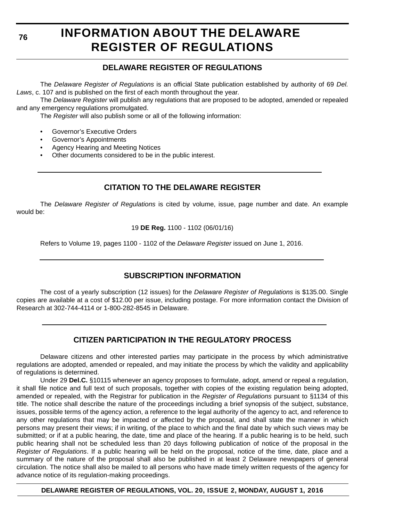#### **76**

# **INFORMATION ABOUT THE DELAWARE REGISTER OF REGULATIONS**

### **DELAWARE REGISTER OF REGULATIONS**

The *Delaware Register of Regulations* is an official State publication established by authority of 69 *Del. Laws*, c. 107 and is published on the first of each month throughout the year.

The *Delaware Register* will publish any regulations that are proposed to be adopted, amended or repealed and any emergency regulations promulgated.

The *Register* will also publish some or all of the following information:

- Governor's Executive Orders
- Governor's Appointments
- Agency Hearing and Meeting Notices
- Other documents considered to be in the public interest.

### **CITATION TO THE DELAWARE REGISTER**

The *Delaware Register of Regulations* is cited by volume, issue, page number and date. An example would be:

19 **DE Reg.** 1100 - 1102 (06/01/16)

Refers to Volume 19, pages 1100 - 1102 of the *Delaware Register* issued on June 1, 2016.

### **SUBSCRIPTION INFORMATION**

The cost of a yearly subscription (12 issues) for the *Delaware Register of Regulations* is \$135.00. Single copies are available at a cost of \$12.00 per issue, including postage. For more information contact the Division of Research at 302-744-4114 or 1-800-282-8545 in Delaware.

### **CITIZEN PARTICIPATION IN THE REGULATORY PROCESS**

Delaware citizens and other interested parties may participate in the process by which administrative regulations are adopted, amended or repealed, and may initiate the process by which the validity and applicability of regulations is determined.

Under 29 **Del.C.** §10115 whenever an agency proposes to formulate, adopt, amend or repeal a regulation, it shall file notice and full text of such proposals, together with copies of the existing regulation being adopted, amended or repealed, with the Registrar for publication in the *Register of Regulations* pursuant to §1134 of this title. The notice shall describe the nature of the proceedings including a brief synopsis of the subject, substance, issues, possible terms of the agency action, a reference to the legal authority of the agency to act, and reference to any other regulations that may be impacted or affected by the proposal, and shall state the manner in which persons may present their views; if in writing, of the place to which and the final date by which such views may be submitted; or if at a public hearing, the date, time and place of the hearing. If a public hearing is to be held, such public hearing shall not be scheduled less than 20 days following publication of notice of the proposal in the *Register of Regulations*. If a public hearing will be held on the proposal, notice of the time, date, place and a summary of the nature of the proposal shall also be published in at least 2 Delaware newspapers of general circulation. The notice shall also be mailed to all persons who have made timely written requests of the agency for advance notice of its regulation-making proceedings.

**DELAWARE REGISTER OF REGULATIONS, VOL. 20, ISSUE 2, MONDAY, AUGUST 1, 2016**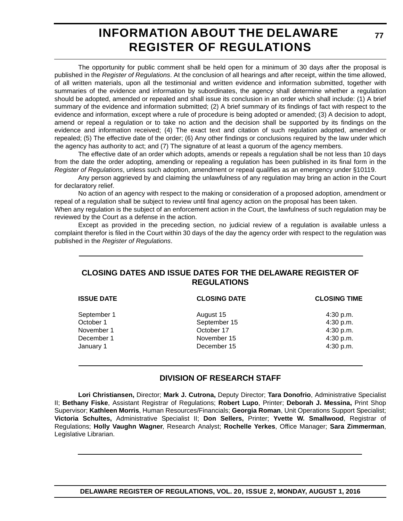# **INFORMATION ABOUT THE DELAWARE REGISTER OF REGULATIONS**

The opportunity for public comment shall be held open for a minimum of 30 days after the proposal is published in the *Register of Regulations*. At the conclusion of all hearings and after receipt, within the time allowed, of all written materials, upon all the testimonial and written evidence and information submitted, together with summaries of the evidence and information by subordinates, the agency shall determine whether a regulation should be adopted, amended or repealed and shall issue its conclusion in an order which shall include: (1) A brief summary of the evidence and information submitted; (2) A brief summary of its findings of fact with respect to the evidence and information, except where a rule of procedure is being adopted or amended; (3) A decision to adopt, amend or repeal a regulation or to take no action and the decision shall be supported by its findings on the evidence and information received; (4) The exact text and citation of such regulation adopted, amended or repealed; (5) The effective date of the order; (6) Any other findings or conclusions required by the law under which the agency has authority to act; and (7) The signature of at least a quorum of the agency members.

The effective date of an order which adopts, amends or repeals a regulation shall be not less than 10 days from the date the order adopting, amending or repealing a regulation has been published in its final form in the *Register of Regulations*, unless such adoption, amendment or repeal qualifies as an emergency under §10119.

Any person aggrieved by and claiming the unlawfulness of any regulation may bring an action in the Court for declaratory relief.

No action of an agency with respect to the making or consideration of a proposed adoption, amendment or repeal of a regulation shall be subject to review until final agency action on the proposal has been taken.

When any regulation is the subject of an enforcement action in the Court, the lawfulness of such regulation may be reviewed by the Court as a defense in the action.

Except as provided in the preceding section, no judicial review of a regulation is available unless a complaint therefor is filed in the Court within 30 days of the day the agency order with respect to the regulation was published in the *Register of Regulations*.

### **CLOSING DATES AND ISSUE DATES FOR THE DELAWARE REGISTER OF REGULATIONS**

| <b>ISSUE DATE</b> | <b>CLOSING DATE</b> | <b>CLOSING TIME</b> |
|-------------------|---------------------|---------------------|
| September 1       | August 15           | 4:30 p.m.           |
| October 1         | September 15        | 4:30 p.m.           |
| November 1        | October 17          | 4:30 p.m.           |
| December 1        | November 15         | 4:30 p.m.           |
| January 1         | December 15         | 4:30 p.m.           |
|                   |                     |                     |

### **DIVISION OF RESEARCH STAFF**

**Lori Christiansen,** Director; **Mark J. Cutrona,** Deputy Director; **Tara Donofrio**, Administrative Specialist II; **Bethany Fiske**, Assistant Registrar of Regulations; **Robert Lupo**, Printer; **Deborah J. Messina,** Print Shop Supervisor; **Kathleen Morris**, Human Resources/Financials; **Georgia Roman**, Unit Operations Support Specialist; **Victoria Schultes,** Administrative Specialist II; **Don Sellers,** Printer; **Yvette W. Smallwood**, Registrar of Regulations; **Holly Vaughn Wagner**, Research Analyst; **Rochelle Yerkes**, Office Manager; **Sara Zimmerman**, Legislative Librarian.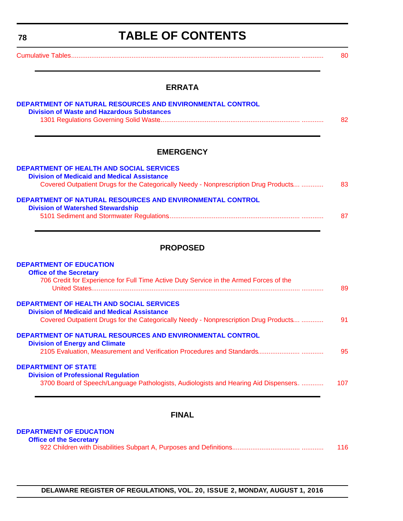<span id="page-3-0"></span>

| 78 | <b>TABLE OF CONTENTS</b>                                                                                                                                                                      |    |
|----|-----------------------------------------------------------------------------------------------------------------------------------------------------------------------------------------------|----|
|    |                                                                                                                                                                                               | 80 |
|    | <b>ERRATA</b>                                                                                                                                                                                 |    |
|    | DEPARTMENT OF NATURAL RESOURCES AND ENVIRONMENTAL CONTROL<br><b>Division of Waste and Hazardous Substances</b>                                                                                | 82 |
|    | <b>EMERGENCY</b>                                                                                                                                                                              |    |
|    | <b>DEPARTMENT OF HEALTH AND SOCIAL SERVICES</b><br><b>Division of Medicaid and Medical Assistance</b><br>Covered Outpatient Drugs for the Categorically Needy - Nonprescription Drug Products | 83 |
|    | DEPARTMENT OF NATURAL RESOURCES AND ENVIRONMENTAL CONTROL<br><b>Division of Watershed Stewardship</b>                                                                                         |    |

### **PROPOSED**

| <b>DEPARTMENT OF EDUCATION</b><br><b>Office of the Secretary</b>                                      |    |
|-------------------------------------------------------------------------------------------------------|----|
| 706 Credit for Experience for Full Time Active Duty Service in the Armed Forces of the                | 89 |
| <b>DEPARTMENT OF HEALTH AND SOCIAL SERVICES</b><br><b>Division of Medicaid and Medical Assistance</b> |    |

|                                       | Covered Outpatient Drugs for the Categorically Needy - Nonprescription Drug Products | 91 |
|---------------------------------------|--------------------------------------------------------------------------------------|----|
|                                       | DEPARTMENT OF NATURAL RESOURCES AND ENVIRONMENTAL CONTROL                            |    |
| <b>Division of Energy and Climate</b> |                                                                                      | 95 |
| <b>DEPARTMENT OF STATE</b>            |                                                                                      |    |
|                                       | <b>Division of Professional Regulation</b>                                           |    |

| 3700 Board of Speech/Language Pathologists, Audiologists and Hearing Aid Dispensers. |  |  | 107 |
|--------------------------------------------------------------------------------------|--|--|-----|
|--------------------------------------------------------------------------------------|--|--|-----|

### **FINAL**

#### **[DEPARTMENT OF EDUCATION](http://www.doe.k12.de.us/)**

| <b>Office of the Secretary</b> |     |
|--------------------------------|-----|
|                                | 116 |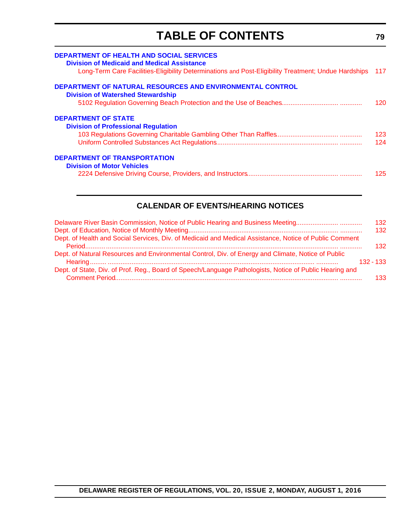# **TABLE OF CONTENTS**

<span id="page-4-0"></span>

| <b>DEPARTMENT OF HEALTH AND SOCIAL SERVICES</b><br><b>Division of Medicaid and Medical Assistance</b><br>Long-Term Care Facilities-Eligibility Determinations and Post-Eligibility Treatment; Undue Hardships | - 117      |
|---------------------------------------------------------------------------------------------------------------------------------------------------------------------------------------------------------------|------------|
| DEPARTMENT OF NATURAL RESOURCES AND ENVIRONMENTAL CONTROL<br><b>Division of Watershed Stewardship</b>                                                                                                         | 120        |
| <b>DEPARTMENT OF STATE</b><br><b>Division of Professional Regulation</b>                                                                                                                                      | 123        |
| <b>DEPARTMENT OF TRANSPORTATION</b><br><b>Division of Motor Vehicles</b>                                                                                                                                      | 124<br>125 |
|                                                                                                                                                                                                               |            |

### **CALENDAR OF EVENTS/HEARING NOTICES**

| Delaware River Basin Commission, Notice of Public Hearing and Business Meeting                          | 132         |
|---------------------------------------------------------------------------------------------------------|-------------|
|                                                                                                         | 132         |
| Dept. of Health and Social Services, Div. of Medicaid and Medical Assistance, Notice of Public Comment  | 132         |
| Dept. of Natural Resources and Environmental Control, Div. of Energy and Climate, Notice of Public      | $132 - 133$ |
| Dept. of State, Div. of Prof. Reg., Board of Speech/Language Pathologists, Notice of Public Hearing and | 133         |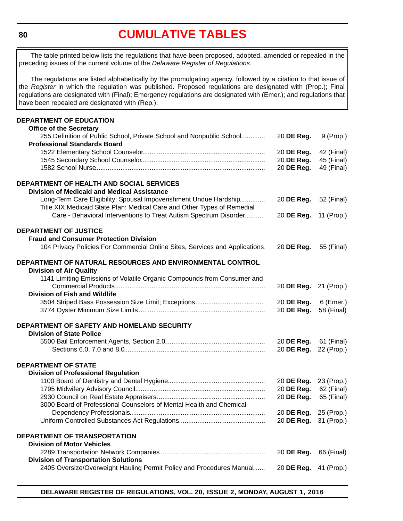# **[CUMULATIVE TABLES](#page-3-0)**

<span id="page-5-0"></span>The table printed below lists the regulations that have been proposed, adopted, amended or repealed in the preceding issues of the current volume of the *Delaware Register of Regulations*.

The regulations are listed alphabetically by the promulgating agency, followed by a citation to that issue of the *Register* in which the regulation was published. Proposed regulations are designated with (Prop.); Final regulations are designated with (Final); Emergency regulations are designated with (Emer.); and regulations that have been repealed are designated with (Rep.).

#### **DEPARTMENT OF EDUCATION Office of the Secretary**

| טוווט <del>כ</del> טו נוו <del>כ</del> טכטוכנמו y                            |            |             |
|------------------------------------------------------------------------------|------------|-------------|
| 255 Definition of Public School, Private School and Nonpublic School         | 20 DE Reg. | $9$ (Prop.) |
| <b>Professional Standards Board</b>                                          |            |             |
|                                                                              | 20 DE Reg. | 42 (Final)  |
|                                                                              | 20 DE Reg. | 45 (Final)  |
|                                                                              | 20 DE Reg. | 49 (Final)  |
|                                                                              |            |             |
| DEPARTMENT OF HEALTH AND SOCIAL SERVICES                                     |            |             |
| <b>Division of Medicaid and Medical Assistance</b>                           |            |             |
| Long-Term Care Eligibility; Spousal Impoverishment Undue Hardship            | 20 DE Reg. | 52 (Final)  |
| Title XIX Medicaid State Plan: Medical Care and Other Types of Remedial      |            |             |
| Care - Behavioral Interventions to Treat Autism Spectrum Disorder            | 20 DE Reg. | 11 (Prop.)  |
|                                                                              |            |             |
| <b>DEPARTMENT OF JUSTICE</b>                                                 |            |             |
| <b>Fraud and Consumer Protection Division</b>                                |            |             |
| 104 Privacy Policies For Commercial Online Sites, Services and Applications. | 20 DE Reg. | 55 (Final)  |
|                                                                              |            |             |
| DEPARTMENT OF NATURAL RESOURCES AND ENVIRONMENTAL CONTROL                    |            |             |
| <b>Division of Air Quality</b>                                               |            |             |
| 1141 Limiting Emissions of Volatile Organic Compounds from Consumer and      |            |             |
|                                                                              | 20 DE Reg. | 21 (Prop.)  |
| <b>Division of Fish and Wildlife</b>                                         |            |             |
|                                                                              | 20 DE Reg. | 6 (Emer.)   |
|                                                                              | 20 DE Reg. | 58 (Final)  |
|                                                                              |            |             |
| DEPARTMENT OF SAFETY AND HOMELAND SECURITY                                   |            |             |
| <b>Division of State Police</b>                                              |            |             |
|                                                                              | 20 DE Reg. | 61 (Final)  |
|                                                                              | 20 DE Reg. | 22 (Prop.)  |
|                                                                              |            |             |
| <b>DEPARTMENT OF STATE</b>                                                   |            |             |
| <b>Division of Professional Regulation</b>                                   |            |             |
|                                                                              | 20 DE Reg. | 23 (Prop.)  |
|                                                                              | 20 DE Reg. | 62 (Final)  |
|                                                                              | 20 DE Reg. | 65 (Final)  |
| 3000 Board of Professional Counselors of Mental Health and Chemical          |            |             |
|                                                                              | 20 DE Reg. | 25 (Prop.)  |
|                                                                              | 20 DE Reg. | 31 (Prop.)  |
|                                                                              |            |             |
| DEPARTMENT OF TRANSPORTATION                                                 |            |             |
| <b>Division of Motor Vehicles</b>                                            |            |             |
|                                                                              | 20 DE Reg. | 66 (Final)  |
| <b>Division of Transportation Solutions</b>                                  |            |             |
| 2405 Oversize/Overweight Hauling Permit Policy and Procedures Manual         | 20 DE Reg. | 41 (Prop.)  |
|                                                                              |            |             |
|                                                                              |            |             |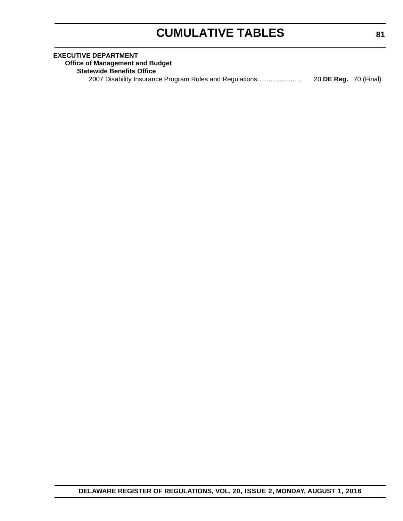# **CUMULATIVE TABLES**

| <b>EXECUTIVE DEPARTMENT</b>                                                             |  |
|-----------------------------------------------------------------------------------------|--|
| <b>Office of Management and Budget</b>                                                  |  |
| <b>Statewide Benefits Office</b>                                                        |  |
| 20 <b>DE Reg.</b> 70 (Final)<br>2007 Disability Insurance Program Rules and Regulations |  |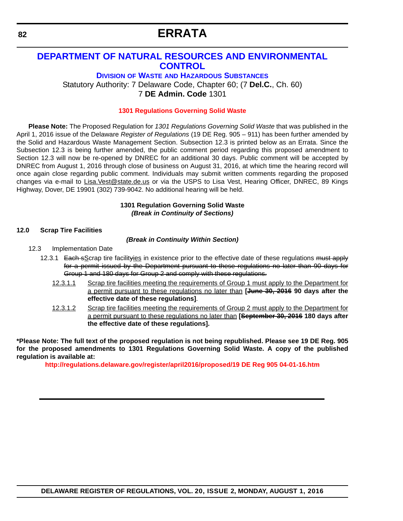# **ERRATA**

### <span id="page-7-0"></span>**[DEPARTMENT OF NATURAL RESOURCES AND ENVIRONMENTAL](http://www.dnrec.delaware.gov/dwhs/Pages/default.aspx)  CONTROL**

**DIVISION OF WASTE AND HAZARDOUS SUBSTANCES**

Statutory Authority: 7 Delaware Code, Chapter 60; (7 **Del.C.**, Ch. 60) 7 **DE Admin. Code** 1301

#### **[1301 Regulations Governing Solid Waste](#page-3-0)**

**Please Note:** The Proposed Regulation for *1301 Regulations Governing Solid Waste* that was published in the April 1, 2016 issue of the Delaware *Register of Regulations* [\(19 DE Reg. 905 – 911\) has been further amended by](mailto:Lisa.Vest@state.de.us) [the Solid and Hazardous Waste Management Section. Subsection 12.3 is printed below as an Errata. Since the](mailto:Lisa.Vest@state.de.us) Subsection 12.3 is being further amended, the public comment period regarding this proposed amendment to Section 12.3 will now be re-opened by DNREC for an additional 30 days. Public comment will be accepted by DNREC from August 1, 2016 through close of business on August 31, 2016, at which time the hearing record will once again close regarding public comment. Individuals may submit written comments regarding the proposed [changes via e-mail to L](mailto:Lisa.Vest@state.de.us)isa.Vest@state.de.us or via the USPS to Lisa Vest, Hearing Officer, DNREC, 89 Kings Highway, Dover, DE 19901 (302) 739-9042. No additional hearing will be held.

#### **1301 Regulation Governing Solid Waste** *(Break in Continuity of Sections)*

#### **12.0 Scrap Tire Facilities**

#### *(Break in Continuity Within Section)*

- 12.3 Implementation Date
	- 12.3.1 Each sScrap tire facilityies in existence prior to the effective date of these regulations must apply for a permit issued by the Department pursuant to these regulations no later than 90 days for Group 1 and 180 days for Group 2 and comply with these regulations.
		- 12.3.1.1 Scrap tire facilities meeting the requirements of Group 1 must apply to the Department for a permit pursuant to these regulations no later than **[June 30, 2016 90 days after the effective date of these regulations]**.
		- 12.3.1.2 Scrap tire facilities meeting the requirements of Group 2 must apply to the Department for a permit pursuant to these regulations no later than **[September 30, 2016 180 days after the effective date of these regulations].**

**\*Please Note: The full text of the proposed regulation is not being republished. Please see 19 DE Reg. 905 for the proposed amendments to 1301 Regulations Governing Solid Waste. A copy of the published regulation is available at:**

**<http://regulations.delaware.gov/register/april2016/proposed/19 DE Reg 905 04-01-16.htm>**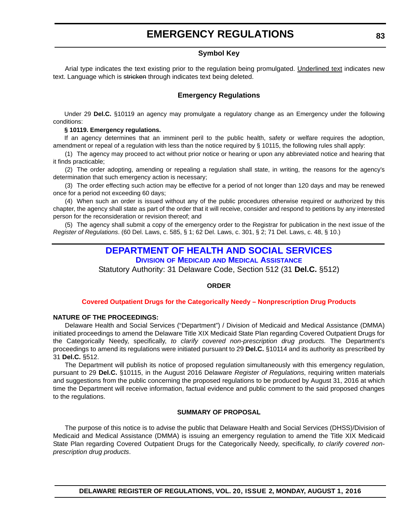#### **Symbol Key**

<span id="page-8-0"></span>Arial type indicates the text existing prior to the regulation being promulgated. Underlined text indicates new text. Language which is stricken through indicates text being deleted.

#### **Emergency Regulations**

Under 29 **Del.C.** §10119 an agency may promulgate a regulatory change as an Emergency under the following conditions:

#### **§ 10119. Emergency regulations.**

If an agency determines that an imminent peril to the public health, safety or welfare requires the adoption, amendment or repeal of a regulation with less than the notice required by § 10115, the following rules shall apply:

(1) The agency may proceed to act without prior notice or hearing or upon any abbreviated notice and hearing that it finds practicable;

(2) The order adopting, amending or repealing a regulation shall state, in writing, the reasons for the agency's determination that such emergency action is necessary;

(3) The order effecting such action may be effective for a period of not longer than 120 days and may be renewed once for a period not exceeding 60 days;

(4) When such an order is issued without any of the public procedures otherwise required or authorized by this chapter, the agency shall state as part of the order that it will receive, consider and respond to petitions by any interested person for the reconsideration or revision thereof; and

(5) The agency shall submit a copy of the emergency order to the Registrar for publication in the next issue of the *Register of Regulations*. (60 Del. Laws, c. 585, § 1; 62 Del. Laws, c. 301, § 2; 71 Del. Laws, c. 48, § 10.)

### **[DEPARTMENT OF HEALTH AND SOCIAL SERVICES](http://www.dhss.delaware.gov/dhss/dmma/)**

**DIVISION OF MEDICAID AND MEDICAL ASSISTANCE**

Statutory Authority: 31 Delaware Code, Section 512 (31 **Del.C.** §512)

#### **ORDER**

#### **[Covered Outpatient Drugs for the Categorically Needy – Nonprescription Drug Products](#page-3-0)**

#### **NATURE OF THE PROCEEDINGS:**

Delaware Health and Social Services ("Department") / Division of Medicaid and Medical Assistance (DMMA) initiated proceedings to amend the Delaware Title XIX Medicaid State Plan regarding Covered Outpatient Drugs for the Categorically Needy, specifically, *to clarify covered non-prescription drug products.* The Department's proceedings to amend its regulations were initiated pursuant to 29 **Del.C.** §10114 and its authority as prescribed by 31 **Del.C.** §512.

The Department will publish its notice of proposed regulation simultaneously with this emergency regulation, pursuant to 29 **Del.C.** §10115, in the August 2016 Delaware *Register of Regulations*, requiring written materials and suggestions from the public concerning the proposed regulations to be produced by August 31, 2016 at which time the Department will receive information, factual evidence and public comment to the said proposed changes to the regulations.

#### **SUMMARY OF PROPOSAL**

The purpose of this notice is to advise the public that Delaware Health and Social Services (DHSS)/Division of Medicaid and Medical Assistance (DMMA) is issuing an emergency regulation to amend the Title XIX Medicaid State Plan regarding Covered Outpatient Drugs for the Categorically Needy, specifically, *to clarify covered nonprescription drug products*.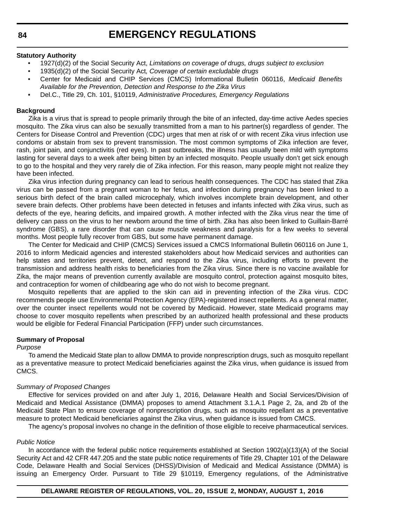#### **Statutory Authority**

- 1927(d)(2) of the Social Security Act, *Limitations on coverage of drugs, drugs subject to exclusion*
- 1935(d)(2) of the Social Security Act*, Coverage of certain excludable drugs*
- Center for Medicaid and CHIP Services (CMCS) Informational Bulletin 060116, *Medicaid Benefits Available for the Prevention, Detection and Response to the Zika Virus*
- Del.C., Title 29, Ch. 101, §10119, *Administrative Procedures, Emergency Regulations*

#### **Background**

Zika is a virus that is spread to people primarily through the bite of an infected, day-time active Aedes species mosquito. The Zika virus can also be sexually transmitted from a man to his partner(s) regardless of gender. The Centers for Disease Control and Prevention (CDC) urges that men at risk of or with recent Zika virus infection use condoms or abstain from sex to prevent transmission. The most common symptoms of Zika infection are fever, rash, joint pain, and conjunctivitis (red eyes). In past outbreaks, the illness has usually been mild with symptoms lasting for several days to a week after being bitten by an infected mosquito. People usually don't get sick enough to go to the hospital and they very rarely die of Zika infection. For this reason, many people might not realize they have been infected.

Zika virus infection during pregnancy can lead to serious health consequences. The CDC has stated that Zika virus can be passed from a pregnant woman to her fetus, and infection during pregnancy has been linked to a serious birth defect of the brain called microcephaly, which involves incomplete brain development, and other severe brain defects. Other problems have been detected in fetuses and infants infected with Zika virus, such as defects of the eye, hearing deficits, and impaired growth. A mother infected with the Zika virus near the time of delivery can pass on the virus to her newborn around the time of birth. Zika has also been linked to Guillain-Barré syndrome (GBS), a rare disorder that can cause muscle weakness and paralysis for a few weeks to several months. Most people fully recover from GBS, but some have permanent damage.

The Center for Medicaid and CHIP (CMCS) Services issued a CMCS Informational Bulletin 060116 on June 1, 2016 to inform Medicaid agencies and interested stakeholders about how Medicaid services and authorities can help states and territories prevent, detect, and respond to the Zika virus, including efforts to prevent the transmission and address health risks to beneficiaries from the Zika virus. Since there is no vaccine available for Zika, the major means of prevention currently available are mosquito control, protection against mosquito bites, and contraception for women of childbearing age who do not wish to become pregnant.

Mosquito repellents that are applied to the skin can aid in preventing infection of the Zika virus. CDC recommends people use Environmental Protection Agency (EPA)-registered insect repellents. As a general matter, over the counter insect repellents would not be covered by Medicaid. However, state Medicaid programs may choose to cover mosquito repellents when prescribed by an authorized health professional and these products would be eligible for Federal Financial Participation (FFP) under such circumstances.

#### **Summary of Proposal**

#### *Purpose*

To amend the Medicaid State plan to allow DMMA to provide nonprescription drugs, such as mosquito repellant as a preventative measure to protect Medicaid beneficiaries against the Zika virus, when guidance is issued from CMCS.

#### *Summary of Proposed Changes*

Effective for services provided on and after July 1, 2016, Delaware Health and Social Services/Division of Medicaid and Medical Assistance (DMMA) proposes to amend Attachment 3.1.A.1 Page 2, 2a, and 2b of the Medicaid State Plan to ensure coverage of nonprescription drugs, such as mosquito repellant as a preventative measure to protect Medicaid beneficiaries against the Zika virus, when guidance is issued from CMCS.

The agency's proposal involves no change in the definition of those eligible to receive pharmaceutical services.

#### *Public Notice*

In accordance with the federal public notice requirements established at Section 1902(a)(13)(A) of the Social Security Act and 42 CFR 447.205 and the state public notice requirements of Title 29, Chapter 101 of the Delaware Code, Delaware Health and Social Services (DHSS)/Division of Medicaid and Medical Assistance (DMMA) is issuing an Emergency Order. Pursuant to Title 29 §10119, Emergency regulations, of the Administrative

#### **DELAWARE REGISTER OF REGULATIONS, VOL. 20, ISSUE 2, MONDAY, AUGUST 1, 2016**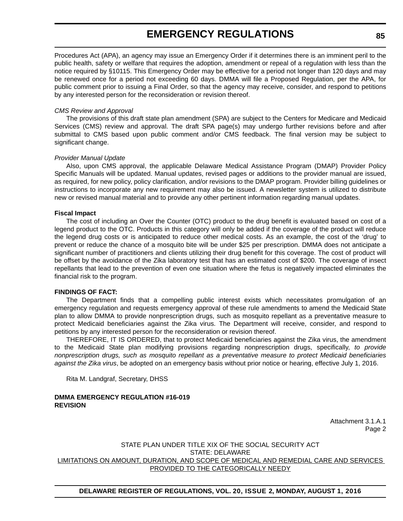Procedures Act (APA), an agency may issue an Emergency Order if it determines there is an imminent peril to the public health, safety or welfare that requires the adoption, amendment or repeal of a regulation with less than the notice required by §10115. This Emergency Order may be effective for a period not longer than 120 days and may be renewed once for a period not exceeding 60 days. DMMA will file a Proposed Regulation, per the APA, for public comment prior to issuing a Final Order, so that the agency may receive, consider, and respond to petitions by any interested person for the reconsideration or revision thereof.

#### *CMS Review and Approval*

The provisions of this draft state plan amendment (SPA) are subject to the Centers for Medicare and Medicaid Services (CMS) review and approval. The draft SPA page(s) may undergo further revisions before and after submittal to CMS based upon public comment and/or CMS feedback. The final version may be subject to significant change.

#### *Provider Manual Update*

Also, upon CMS approval, the applicable Delaware Medical Assistance Program (DMAP) Provider Policy Specific Manuals will be updated. Manual updates, revised pages or additions to the provider manual are issued, as required, for new policy, policy clarification, and/or revisions to the DMAP program. Provider billing guidelines or instructions to incorporate any new requirement may also be issued. A newsletter system is utilized to distribute new or revised manual material and to provide any other pertinent information regarding manual updates.

#### **Fiscal Impact**

The cost of including an Over the Counter (OTC) product to the drug benefit is evaluated based on cost of a legend product to the OTC. Products in this category will only be added if the coverage of the product will reduce the legend drug costs or is anticipated to reduce other medical costs. As an example, the cost of the 'drug' to prevent or reduce the chance of a mosquito bite will be under \$25 per prescription. DMMA does not anticipate a significant number of practitioners and clients utilizing their drug benefit for this coverage. The cost of product will be offset by the avoidance of the Zika laboratory test that has an estimated cost of \$200. The coverage of insect repellants that lead to the prevention of even one situation where the fetus is negatively impacted eliminates the financial risk to the program.

#### **FINDINGS OF FACT:**

The Department finds that a compelling public interest exists which necessitates promulgation of an emergency regulation and requests emergency approval of these rule amendments to amend the Medicaid State plan to allow DMMA to provide nonprescription drugs, such as mosquito repellant as a preventative measure to protect Medicaid beneficiaries against the Zika virus. The Department will receive, consider, and respond to petitions by any interested person for the reconsideration or revision thereof.

THEREFORE, IT IS ORDERED, that to protect Medicaid beneficiaries against the Zika virus, the amendment to the Medicaid State plan modifying provisions regarding nonprescription drugs, specifically, *to provide nonprescription drugs, such as mosquito repellant as a preventative measure to protect Medicaid beneficiaries against the Zika virus*, be adopted on an emergency basis without prior notice or hearing, effective July 1, 2016.

Rita M. Landgraf, Secretary, DHSS

#### **DMMA EMERGENCY REGULATION #16-019 REVISION**

Attachment 3.1.A.1 Page 2

#### STATE PLAN UNDER TITLE XIX OF THE SOCIAL SECURITY ACT STATE: DELAWARE LIMITATIONS ON AMOUNT, DURATION, AND SCOPE OF MEDICAL AND REMEDIAL CARE AND SERVICES PROVIDED TO THE CATEGORICALLY NEEDY

**DELAWARE REGISTER OF REGULATIONS, VOL. 20, ISSUE 2, MONDAY, AUGUST 1, 2016**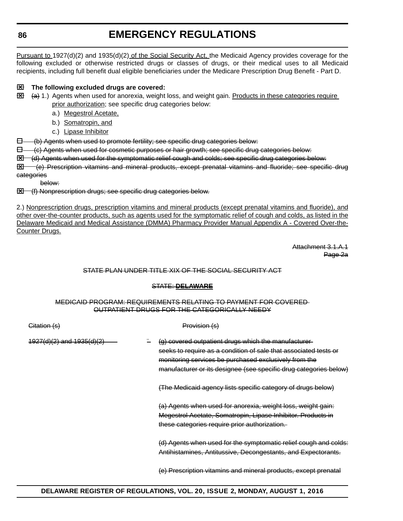Pursuant to 1927(d)(2) and 1935(d)(2) of the Social Security Act, the Medicaid Agency provides coverage for the following excluded or otherwise restricted drugs or classes of drugs, or their medical uses to all Medicaid recipients, including full benefit dual eligible beneficiaries under the Medicare Prescription Drug Benefit - Part D.



### **The following excluded drugs are covered:**

- $\boxtimes$   $\leftrightarrow$  1.) Agents when used for anorexia, weight loss, and weight gain. Products in these categories require prior authorization; see specific drug categories below:
	- a.) Megestrol Acetate,
	- b.) Somatropin, and
	- c.) Lipase Inhibitor

(b) Agents when used to promote fertility; see specific drug categories below:

 $\Box$  (c) Agents when used for cosmetic purposes or hair growth; see specific drug categories below:

(d) Agents when used for the symptomatic relief cough and colds; see specific drug categories below:

 (e) Prescription vitamins and mineral products, except prenatal vitamins and fluoride; see specific drug categories

below:

**Ed** (f) Nonprescription drugs; see specific drug categories below.

2.) Nonprescription drugs, prescription vitamins and mineral products (except prenatal vitamins and fluoride), and other over-the-counter products, such as agents used for the symptomatic relief of cough and colds, as listed in the Delaware Medicaid and Medical Assistance (DMMA) Pharmacy Provider Manual Appendix A - Covered Over-the-Counter Drugs.

> Attachment 3.1.A.1 Page 2a

#### STATE PLAN UNDER TITLE XIX OF THE SOCIAL SECURITY ACT

### STATE: **DELAWARE**

#### MEDICAID PROGRAM: REQUIREMENTS RELATING TO PAYMENT FOR COVERED OUTPATIENT DRUGS FOR THE CATEGORICALLY NEEDY

| Citation (s)                  | <del>Provision (s'</del>                                                                                                                                                                                                                               |
|-------------------------------|--------------------------------------------------------------------------------------------------------------------------------------------------------------------------------------------------------------------------------------------------------|
| $4927(d)(2)$ and $1935(d)(2)$ | (g) covered outpatient drugs which the manufacturer-<br>seeks to require as a condition of sale that associated tests or<br>monitoring services be purchased exclusively from the<br>manufacturer or its designee (see specific drug categories below) |
|                               | (The Medicaid agency lists specific category of drugs below)                                                                                                                                                                                           |
|                               | (a) Agents when used for anorexia, weight loss, weight gain:<br>Megestrol Acetate, Somatropin, Lipase Inhibitor. Products in<br>these categories require prior authorization.                                                                          |
|                               | (d) Agents when used for the symptomatic relief cough and colds:<br>Antihistamines, Antitussive, Decongestants, and Expectorants.                                                                                                                      |
|                               | (e) Prescription vitamins and mineral products, except prenatal                                                                                                                                                                                        |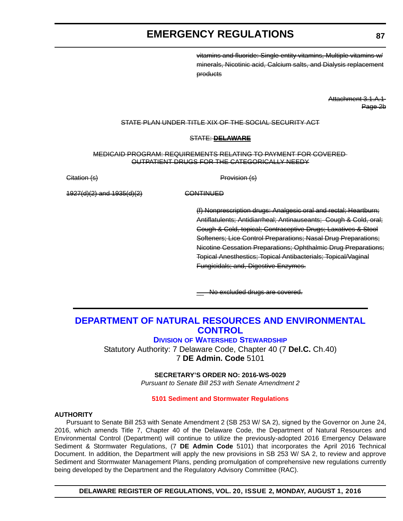vitamins and fluoride: Single entity vitamins, Multiple vitamins w/ minerals, Nicotinic acid, Calcium salts, and Dialysis replacement products

> Attachment 3.1.A.1 Page 2b

#### <span id="page-12-0"></span>STATE PLAN UNDER TITLE XIX OF THE SOCIAL SECURITY ACT

#### STATE: **DELAWARE**

MEDICAID PROGRAM: REQUIREMENTS RELATING TO PAYMENT FOR COVERED OUTPATIENT DRUGS FOR THE CATEGORICALLY NEEDY

Citation (s) **Provision** (s)

1927(d)(2) and 1935(d)(2) CONTINUED

(f) Nonprescription drugs: Analgesic oral and rectal; Heartburn; Antiflatulents; Antidiarrheal; Antinauseants; Cough & Cold, oral; Cough & Cold, topical; Contraceptive Drugs; Laxatives & Stool Softeners; Lice Control Preparations; Nasal Drug Preparations; Nicotine Cessation Preparations; Ophthalmic Drug Preparations; Topical Anesthestics; Topical Antibacterials; Topical/Vaginal Fungicidals; and, Digestive Enzymes.

No excluded drugs are covered.

### **[DEPARTMENT OF NATURAL RESOURCES AND ENVIRONMENTAL](http://www.dnrec.delaware.gov/swc/Pages/portal.aspx)  CONTROL**

#### **DIVISION OF WATERSHED STEWARDSHIP**

Statutory Authority: 7 Delaware Code, Chapter 40 (7 **Del.C.** Ch.40) 7 **DE Admin. Code** 5101

#### **SECRETARY'S ORDER NO: 2016-WS-0029**

*Pursuant to Senate Bill 253 with Senate Amendment 2*

#### **[5101 Sediment and Stormwater Regulations](#page-3-0)**

#### **AUTHORITY**

Pursuant to Senate Bill 253 with Senate Amendment 2 (SB 253 W/ SA 2), signed by the Governor on June 24, 2016, which amends Title 7, Chapter 40 of the Delaware Code, the Department of Natural Resources and Environmental Control (Department) will continue to utilize the previously-adopted 2016 Emergency Delaware Sediment & Stormwater Regulations, (7 **DE Admin Code** 5101) that incorporates the April 2016 Technical Document. In addition, the Department will apply the new provisions in SB 253 W/ SA 2, to review and approve Sediment and Stormwater Management Plans, pending promulgation of comprehensive new regulations currently being developed by the Department and the Regulatory Advisory Committee (RAC).

**DELAWARE REGISTER OF REGULATIONS, VOL. 20, ISSUE 2, MONDAY, AUGUST 1, 2016**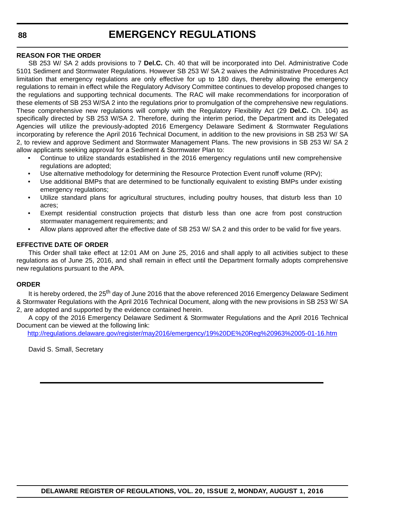#### **REASON FOR THE ORDER**

SB 253 W/ SA 2 adds provisions to 7 **Del.C.** Ch. 40 that will be incorporated into Del. Administrative Code 5101 Sediment and Stormwater Regulations. However SB 253 W/ SA 2 waives the Administrative Procedures Act limitation that emergency regulations are only effective for up to 180 days, thereby allowing the emergency regulations to remain in effect while the Regulatory Advisory Committee continues to develop proposed changes to the regulations and supporting technical documents. The RAC will make recommendations for incorporation of these elements of SB 253 W/SA 2 into the regulations prior to promulgation of the comprehensive new regulations. These comprehensive new regulations will comply with the Regulatory Flexibility Act (29 **Del.C.** Ch. 104) as specifically directed by SB 253 W/SA 2. Therefore, during the interim period, the Department and its Delegated Agencies will utilize the previously-adopted 2016 Emergency Delaware Sediment & Stormwater Regulations incorporating by reference the April 2016 Technical Document, in addition to the new provisions in SB 253 W/ SA 2, to review and approve Sediment and Stormwater Management Plans. The new provisions in SB 253 W/ SA 2 allow applicants seeking approval for a Sediment & Stormwater Plan to:

- Continue to utilize standards established in the 2016 emergency regulations until new comprehensive regulations are adopted;
- Use alternative methodology for determining the Resource Protection Event runoff volume (RPv);
- Use additional BMPs that are determined to be functionally equivalent to existing BMPs under existing emergency regulations;
- Utilize standard plans for agricultural structures, including poultry houses, that disturb less than 10 acres;
- Exempt residential construction projects that disturb less than one acre from post construction stormwater management requirements; and
- Allow plans approved after the effective date of SB 253 W/ SA 2 and this order to be valid for five years.

#### **EFFECTIVE DATE OF ORDER**

This Order shall take effect at 12:01 AM on June 25, 2016 and shall apply to all activities subject to these regulations as of June 25, 2016, and shall remain in effect until the Department formally adopts comprehensive new regulations pursuant to the APA.

#### **ORDER**

It is hereby ordered, the 25<sup>th</sup> day of June 2016 that the above referenced 2016 Emergency Delaware Sediment & Stormwater Regulations with the April 2016 Technical Document, along with the new provisions in SB 253 W/ SA 2, are adopted and supported by the evidence contained herein.

A copy of the 2016 Emergency Delaware Sediment & Stormwater Regulations and the April 2016 Technical Document can be viewed at the following link:

<http://regulations.delaware.gov/register/may2016/emergency/19%20DE%20Reg%20963%2005-01-16.htm>

David S. Small, Secretary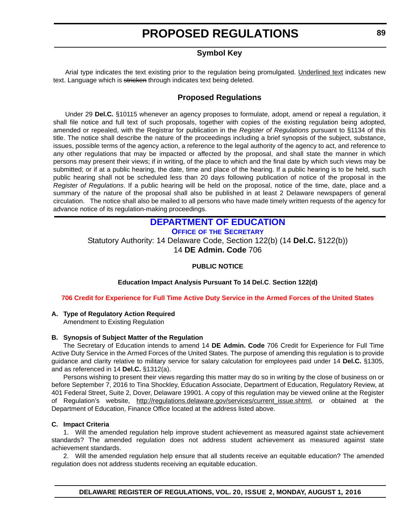### **Symbol Key**

<span id="page-14-0"></span>Arial type indicates the text existing prior to the regulation being promulgated. Underlined text indicates new text. Language which is stricken through indicates text being deleted.

### **Proposed Regulations**

Under 29 **Del.C.** §10115 whenever an agency proposes to formulate, adopt, amend or repeal a regulation, it shall file notice and full text of such proposals, together with copies of the existing regulation being adopted, amended or repealed, with the Registrar for publication in the *Register of Regulations* pursuant to §1134 of this title. The notice shall describe the nature of the proceedings including a brief synopsis of the subject, substance, issues, possible terms of the agency action, a reference to the legal authority of the agency to act, and reference to any other regulations that may be impacted or affected by the proposal, and shall state the manner in which persons may present their views; if in writing, of the place to which and the final date by which such views may be submitted; or if at a public hearing, the date, time and place of the hearing. If a public hearing is to be held, such public hearing shall not be scheduled less than 20 days following publication of notice of the proposal in the *Register of Regulations*. If a public hearing will be held on the proposal, notice of the time, date, place and a summary of the nature of the proposal shall also be published in at least 2 Delaware newspapers of general circulation. The notice shall also be mailed to all persons who have made timely written requests of the agency for advance notice of its regulation-making proceedings.

### **[DEPARTMENT OF EDUCATION](http://www.doe.k12.de.us/)**

**OFFICE OF THE SECRETARY**

Statutory Authority: 14 Delaware Code, Section 122(b) (14 **Del.C.** §122(b)) 14 **DE Admin. Code** 706

#### **PUBLIC NOTICE**

**Education Impact Analysis Pursuant To 14 Del.C**. **Section 122(d)**

#### **[706 Credit for Experience for Full Time Active Duty Service in the Armed Forces of the United States](#page-3-0)**

#### **A. Type of Regulatory Action Required**

Amendment to Existing Regulation

#### **B. Synopsis of Subject Matter of the Regulation**

The Secretary of Education intends to amend 14 **DE Admin. Code** 706 Credit for Experience for Full Time Active Duty Service in the Armed Forces of the United States. The purpose of amending this regulation is to provide guidance and clarity relative to military service for salary calculation for employees paid under 14 **Del.C.** §1305, and as referenced in 14 **Del.C.** §1312(a).

Persons wishing to present their views regarding this matter may do so in writing by the close of business on or before September 7, 2016 to Tina Shockley, Education Associate, Department of Education, Regulatory Review, at 401 Federal Street, Suite 2, Dover, Delaware 19901. A copy of this regulation may be viewed online at the Register of Regulation's website, [http://regulations.delaware.gov/services/current\\_issue.shtml](http://regulations.delaware.gov/services/current_issue.shtml), or obtained at the Department of Education, Finance Office located at the address listed above.

#### **C. Impact Criteria**

1. Will the amended regulation help improve student achievement as measured against state achievement standards? The amended regulation does not address student achievement as measured against state achievement standards.

2. Will the amended regulation help ensure that all students receive an equitable education? The amended regulation does not address students receiving an equitable education.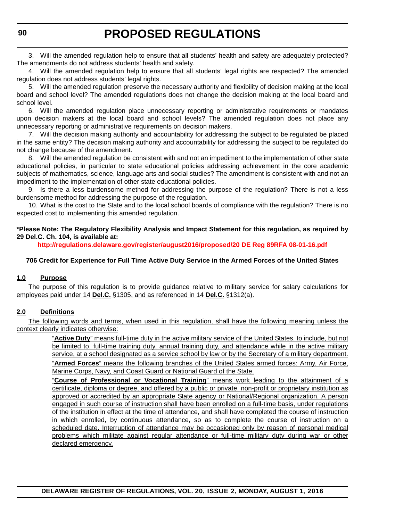3. Will the amended regulation help to ensure that all students' health and safety are adequately protected? The amendments do not address students' health and safety.

4. Will the amended regulation help to ensure that all students' legal rights are respected? The amended regulation does not address students' legal rights.

5. Will the amended regulation preserve the necessary authority and flexibility of decision making at the local board and school level? The amended regulations does not change the decision making at the local board and school level.

6. Will the amended regulation place unnecessary reporting or administrative requirements or mandates upon decision makers at the local board and school levels? The amended regulation does not place any unnecessary reporting or administrative requirements on decision makers.

7. Will the decision making authority and accountability for addressing the subject to be regulated be placed in the same entity? The decision making authority and accountability for addressing the subject to be regulated do not change because of the amendment.

8. Will the amended regulation be consistent with and not an impediment to the implementation of other state educational policies, in particular to state educational policies addressing achievement in the core academic subjects of mathematics, science, language arts and social studies? The amendment is consistent with and not an impediment to the implementation of other state educational policies.

9. Is there a less burdensome method for addressing the purpose of the regulation? There is not a less burdensome method for addressing the purpose of the regulation.

10. What is the cost to the State and to the local school boards of compliance with the regulation? There is no expected cost to implementing this amended regulation.

#### **\*Please Note: The Regulatory Flexibility Analysis and Impact Statement for this regulation, as required by 29 Del.C. Ch. 104, is available at:**

**<http://regulations.delaware.gov/register/august2016/proposed/20 DE Reg 89RFA 08-01-16.pdf>**

#### **706 Credit for Experience for Full Time Active Duty Service in the Armed Forces of the United States**

#### **1.0 Purpose**

The purpose of this regulation is to provide guidance relative to military service for salary calculations for employees paid under 14 **Del.C.** §1305, and as referenced in 14 **Del.C.** §1312(a).

#### **2.0 Definitions**

The following words and terms, when used in this regulation, shall have the following meaning unless the context clearly indicates otherwise:

> "**Active Duty**" means full-time duty in the active military service of the United States, to include, but not be limited to, full-time training duty, annual training duty, and attendance while in the active military service, at a school designated as a service school by law or by the Secretary of a military department. "**Armed Forces**" means the following branches of the United States armed forces: Army, Air Force, Marine Corps, Navy, and Coast Guard or National Guard of the State.

> "**Course of Professional or Vocational Training**" means work leading to the attainment of a certificate, diploma or degree, and offered by a public or private, non-profit or proprietary institution as approved or accredited by an appropriate State agency or National/Regional organization. A person engaged in such course of instruction shall have been enrolled on a full-time basis, under regulations of the institution in effect at the time of attendance, and shall have completed the course of instruction in which enrolled, by continuous attendance, so as to complete the course of instruction on a scheduled date. Interruption of attendance may be occasioned only by reason of personal medical problems which militate against regular attendance or full-time military duty during war or other declared emergency.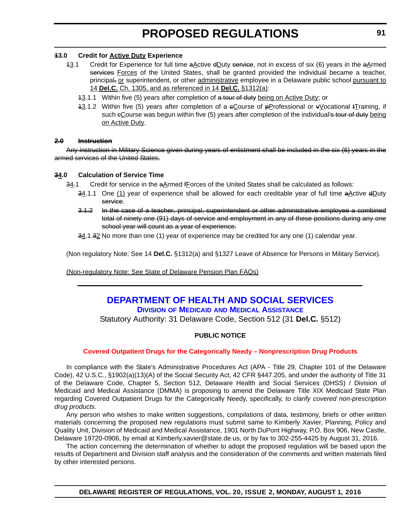#### <span id="page-16-0"></span>**13.0 Credit for Active Duty Experience**

- 13.1 Credit for Experience for full time  $a\Delta$ ctive  $dD$ uty service, not in excess of six (6) years in the  $a\Delta$ rmed services Forces of the United States, shall be granted provided the individual became a teacher, principal, or superintendent, or other administrative employee in a Delaware public school pursuant to 14 **Del.C.** Ch. 1305, and as referenced in 14 **Del.C.** §1312(a):
	- 43.1.1 Within five (5) years after completion of a tour of duty being on Active Duty; or
	- 13.1.2 Within five (5) years after completion of a cCourse of pProfessional or vVocational tTraining, if such eCourse was begun within five (5) years after completion of the individual's tour of duty being on Active Duty.

#### **2.0 Instruction**

Any instruction in Military Science given during years of enlistment shall be included in the six (6) years in the armed services of the United States.

#### **34.0 Calculation of Service Time**

 $34.1$  Credit for service in the  $aA$  rmed fForces of the United States shall be calculated as follows:

- 34.1.1 One (1) year of experience shall be allowed for each creditable year of full time aActive dDuty service.
- 3.1.2 In the case of a teacher, principal, superintendent or other administrative employee a combined total of ninety one (91) days of service and employment in any of these positions during any one school year will count as a year of experience.
- 34.1.32 No more than one (1) year of experience may be credited for any one (1) calendar year.

(Non regulatory Note: See 14 **Del.C.** §1312(a) and §1327 Leave of Absence for Persons in Military Service).

(Non-regulatory Note: See State of Delaware Pension Plan FAQs)

### **[DEPARTMENT OF HEALTH AND SOCIAL SERVICES](http://www.dhss.delaware.gov/dhss/dmma/) DIVISION OF MEDICAID AND MEDICAL ASSISTANCE**

Statutory Authority: 31 Delaware Code, Section 512 (31 **Del.C.** §512)

#### **PUBLIC NOTICE**

#### **[Covered Outpatient Drugs for the Categorically Needy – Nonprescription Drug Products](#page-3-0)**

In compliance with the State's Administrative Procedures Act (APA - Title 29, Chapter 101 of the Delaware Code), 42 U.S.C., §1902(a)(13)(A) of the Social Security Act, 42 CFR §447.205, and under the authority of Title 31 of the Delaware Code, Chapter 5, Section 512, Delaware Health and Social Services (DHSS) / Division of Medicaid and Medical Assistance (DMMA) is proposing to amend the Delaware Title XIX Medicaid State Plan regarding Covered Outpatient Drugs for the Categorically Needy, specifically, *to clarify covered non-prescription drug products*.

Any person who wishes to make written suggestions, compilations of data, testimony, briefs or other written materials concerning the proposed new regulations must submit same to Kimberly Xavier, Planning, Policy and Quality Unit, Division of Medicaid and Medical Assistance, 1901 North DuPont Highway, P.O. Box 906, New Castle, Delaware 19720-0906, by email at Kimberly.xavier@state.de.us, or by fax to 302-255-4425 by August 31, 2016.

The action concerning the determination of whether to adopt the proposed regulation will be based upon the results of Department and Division staff analysis and the consideration of the comments and written materials filed by other interested persons.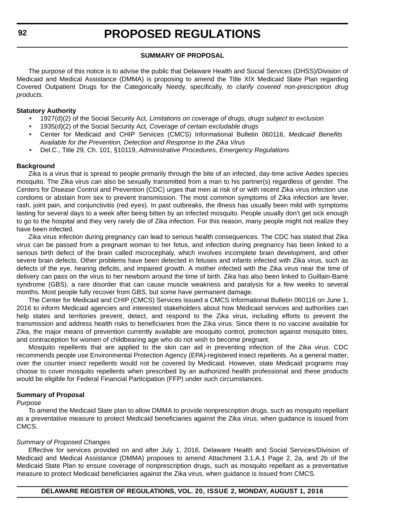#### **SUMMARY OF PROPOSAL**

The purpose of this notice is to advise the public that Delaware Health and Social Services (DHSS)/Division of Medicaid and Medical Assistance (DMMA) is proposing to amend the Title XIX Medicaid State Plan regarding Covered Outpatient Drugs for the Categorically Needy, specifically, *to clarify covered non-prescription drug products*.

#### **Statutory Authority**

- 1927(d)(2) of the Social Security Act, *Limitations on coverage of drugs, drugs subject to exclusion*
- 1935(d)(2) of the Social Security Act*, Coverage of certain excludable drugs*
- Center for Medicaid and CHIP Services (CMCS) Informational Bulletin 060116, *Medicaid Benefits Available for the Prevention, Detection and Response to the Zika Virus*
- Del.C., Title 29, Ch. 101, §10119, *Administrative Procedures, Emergency Regulations*

#### **Background**

Zika is a virus that is spread to people primarily through the bite of an infected, day-time active Aedes species mosquito. The Zika virus can also be sexually transmitted from a man to his partner(s) regardless of gender. The Centers for Disease Control and Prevention (CDC) urges that men at risk of or with recent Zika virus infection use condoms or abstain from sex to prevent transmission. The most common symptoms of Zika infection are fever, rash, joint pain, and conjunctivitis (red eyes). In past outbreaks, the illness has usually been mild with symptoms lasting for several days to a week after being bitten by an infected mosquito. People usually don't get sick enough to go to the hospital and they very rarely die of Zika infection. For this reason, many people might not realize they have been infected.

Zika virus infection during pregnancy can lead to serious health consequences. The CDC has stated that Zika virus can be passed from a pregnant woman to her fetus, and infection during pregnancy has been linked to a serious birth defect of the brain called microcephaly, which involves incomplete brain development, and other severe brain defects. Other problems have been detected in fetuses and infants infected with Zika virus, such as defects of the eye, hearing deficits, and impaired growth. A mother infected with the Zika virus near the time of delivery can pass on the virus to her newborn around the time of birth. Zika has also been linked to Guillain-Barré syndrome (GBS), a rare disorder that can cause muscle weakness and paralysis for a few weeks to several months. Most people fully recover from GBS, but some have permanent damage.

The Center for Medicaid and CHIP (CMCS) Services issued a CMCS Informational Bulletin 060116 on June 1, 2016 to inform Medicaid agencies and interested stakeholders about how Medicaid services and authorities can help states and territories prevent, detect, and respond to the Zika virus, including efforts to prevent the transmission and address health risks to beneficiaries from the Zika virus. Since there is no vaccine available for Zika, the major means of prevention currently available are mosquito control, protection against mosquito bites, and contraception for women of childbearing age who do not wish to become pregnant.

Mosquito repellents that are applied to the skin can aid in preventing infection of the Zika virus. CDC recommends people use Environmental Protection Agency (EPA)-registered insect repellents. As a general matter, over the counter insect repellents would not be covered by Medicaid. However, state Medicaid programs may choose to cover mosquito repellents when prescribed by an authorized health professional and these products would be eligible for Federal Financial Participation (FFP) under such circumstances.

#### **Summary of Proposal**

#### *Purpose*

To amend the Medicaid State plan to allow DMMA to provide nonprescription drugs, such as mosquito repellant as a preventative measure to protect Medicaid beneficiaries against the Zika virus, when guidance is issued from CMCS.

#### *Summary of Proposed Changes*

Effective for services provided on and after July 1, 2016, Delaware Health and Social Services/Division of Medicaid and Medical Assistance (DMMA) proposes to amend Attachment 3.1.A.1 Page 2, 2a, and 2b of the Medicaid State Plan to ensure coverage of nonprescription drugs, such as mosquito repellant as a preventative measure to protect Medicaid beneficiaries against the Zika virus, when guidance is issued from CMCS.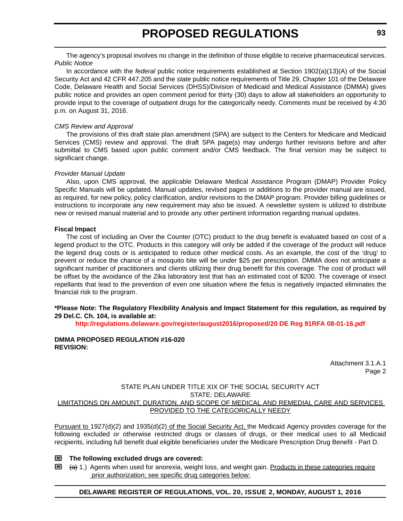The agency's proposal involves no change in the definition of those eligible to receive pharmaceutical services. *Public Notice*

In accordance with the *federal* public notice requirements established at Section 1902(a)(13)(A) of the Social Security Act and 42 CFR 447.205 and the *state* public notice requirements of Title 29, Chapter 101 of the Delaware Code, Delaware Health and Social Services (DHSS)/Division of Medicaid and Medical Assistance (DMMA) gives public notice and provides an open comment period for thirty (30) days to allow all stakeholders an opportunity to provide input to the coverage of outpatient drugs for the categorically needy. Comments must be received by 4:30 p.m. on August 31, 2016.

#### *CMS Review and Approval*

The provisions of this draft state plan amendment (SPA) are subject to the Centers for Medicare and Medicaid Services (CMS) review and approval. The draft SPA page(s) may undergo further revisions before and after submittal to CMS based upon public comment and/or CMS feedback. The final version may be subject to significant change.

#### *Provider Manual Update*

Also, upon CMS approval, the applicable Delaware Medical Assistance Program (DMAP) Provider Policy Specific Manuals will be updated. Manual updates, revised pages or additions to the provider manual are issued, as required, for new policy, policy clarification, and/or revisions to the DMAP program. Provider billing guidelines or instructions to incorporate any new requirement may also be issued. A newsletter system is utilized to distribute new or revised manual material and to provide any other pertinent information regarding manual updates.

#### **Fiscal Impact**

The cost of including an Over the Counter (OTC) product to the drug benefit is evaluated based on cost of a legend product to the OTC. Products in this category will only be added if the coverage of the product will reduce the legend drug costs or is anticipated to reduce other medical costs. As an example, the cost of the 'drug' to prevent or reduce the chance of a mosquito bite will be under \$25 per prescription. DMMA does not anticipate a significant number of practitioners and clients utilizing their drug benefit for this coverage. The cost of product will be offset by the avoidance of the Zika laboratory test that has an estimated cost of \$200. The coverage of insect repellants that lead to the prevention of even one situation where the fetus is negatively impacted eliminates the financial risk to the program.

#### **\*Please Note: The Regulatory Flexibility Analysis and Impact Statement for this regulation, as required by 29 Del.C. Ch. 104, is available at:**

**<http://regulations.delaware.gov/register/august2016/proposed/20 DE Reg 91RFA 08-01-16.pdf>**

#### **DMMA PROPOSED REGULATION #16-020 REVISION:**

Attachment 3.1.A.1 Page 2

#### STATE PLAN UNDER TITLE XIX OF THE SOCIAL SECURITY ACT STATE: DELAWARE LIMITATIONS ON AMOUNT, DURATION, AND SCOPE OF MEDICAL AND REMEDIAL CARE AND SERVICES PROVIDED TO THE CATEGORICALLY NEEDY

Pursuant to 1927(d)(2) and 1935(d)(2) of the Social Security Act, the Medicaid Agency provides coverage for the following excluded or otherwise restricted drugs or classes of drugs, or their medical uses to all Medicaid recipients, including full benefit dual eligible beneficiaries under the Medicare Prescription Drug Benefit - Part D.

#### **The following excluded drugs are covered:**

 $\boxtimes$   $\leftrightarrow$  1.) Agents when used for anorexia, weight loss, and weight gain. Products in these categories require prior authorization; see specific drug categories below:

#### **DELAWARE REGISTER OF REGULATIONS, VOL. 20, ISSUE 2, MONDAY, AUGUST 1, 2016**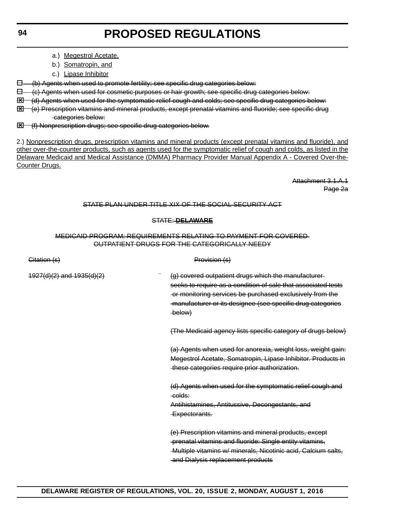- a.) Megestrol Acetate,
- b.) Somatropin, and
- c.) Lipase Inhibitor

 $\Box$  (b) Agents when used to promote fertility; see specific drug categories below:

 $\boxminus$  (c) Agents when used for cosmetic purposes or hair growth; see specific drug categories below:

**Ed** (d) Agents when used for the symptomatic relief cough and colds; see specific drug categories below:

(e) Prescription vitamins and mineral products, except prenatal vitamins and fluoride; see specific drug categories below:

**Ed** (f) Nonprescription drugs; see specific drug categories below.

2.) Nonprescription drugs, prescription vitamins and mineral products (except prenatal vitamins and fluoride), and other over-the-counter products, such as agents used for the symptomatic relief of cough and colds, as listed in the Delaware Medicaid and Medical Assistance (DMMA) Pharmacy Provider Manual Appendix A - Covered Over-the-Counter Drugs.

> Attachment 3.1.A.1 Page 2a

#### STATE PLAN UNDER TITLE XIX OF THE SOCIAL SECURITY ACT

#### STATE: **DELAWARE**

#### MEDICAID PROGRAM: REQUIREMENTS RELATING TO PAYMENT FOR COVERED OUTPATIENT DRUGS FOR THE CATEGORICALLY NEEDY

| Citation (s)                  | Provision (s)                                                                                                                                                                                                                                               |
|-------------------------------|-------------------------------------------------------------------------------------------------------------------------------------------------------------------------------------------------------------------------------------------------------------|
| $4927(d)(2)$ and $1935(d)(2)$ | (g) covered outpatient drugs which the manufacturer-<br>seeks to require as a condition of sale that associated tests<br>-or monitoring services be purchased exclusively from the<br>-manufacturer or its designee (see specific drug categories<br>below) |
|                               | (The Medicaid agency lists specific category of drugs below)                                                                                                                                                                                                |
|                               | (a) Agents when used for anorexia, weight loss, weight gain:<br>Megestrol Acetate, Somatropin, Lipase Inhibitor. Products in<br>these categories require prior authorization.                                                                               |
|                               | (d) Agents when used for the symptomatic relief cough and<br>-colds:<br>Antihistamines, Antitussive, Decongestants, and<br>Expectorants.                                                                                                                    |
|                               | (e) Prescription vitamins and mineral products, except<br>-prenatal vitamins and fluoride: Single entity vitamins,<br>-Multiple vitamins w/ minerals, Nicotinic acid, Calcium salts,<br>and Dialysis replacement products                                   |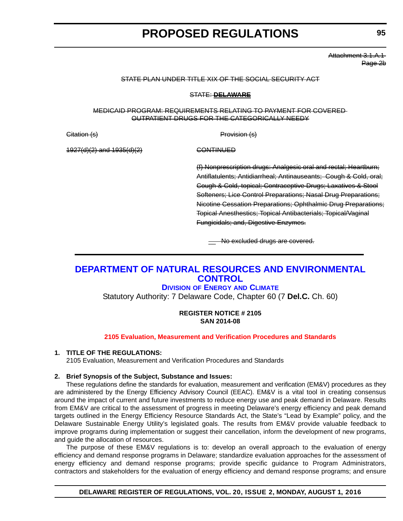Attachment 3.1.A.1 Page 2b

#### <span id="page-20-0"></span>STATE PLAN UNDER TITLE XIX OF THE SOCIAL SECURITY ACT

#### STATE: **DELAWARE**

#### MEDICAID PROGRAM: REQUIREMENTS RELATING TO PAYMENT FOR COVERED OUTPATIENT DRUGS FOR THE CATEGORICALLY NEEDY

Citation (s) **Provision** (s)

1927(d)(2) and 1935(d)(2) CONTINUED

(f) Nonprescription drugs: Analgesic oral and rectal; Heartburn; Antiflatulents; Antidiarrheal; Antinauseants; Cough & Cold, oral; Cough & Cold, topical; Contraceptive Drugs; Laxatives & Stool Softeners; Lice Control Preparations; Nasal Drug Preparations; Nicotine Cessation Preparations; Ophthalmic Drug Preparations; Topical Anesthestics; Topical Antibacterials; Topical/Vaginal Fungicidals; and, Digestive Enzymes.

**We excluded drugs are covered.** 

### **[DEPARTMENT OF NATURAL RESOURCES AND ENVIRONMENTAL](http://www.dnrec.delaware.gov/energy/Pages/portal.aspx)  CONTROL**

### **DIVISION OF ENERGY AND CLIMATE**

Statutory Authority: 7 Delaware Code, Chapter 60 (7 **Del.C.** Ch. 60)

#### **REGISTER NOTICE # 2105 SAN 2014-08**

#### **[2105 Evaluation, Measurement and Verification Procedures and Standards](#page-3-0)**

#### **1. TITLE OF THE REGULATIONS:**

2105 Evaluation, Measurement and Verification Procedures and Standards

#### **2. Brief Synopsis of the Subject, Substance and Issues:**

These regulations define the standards for evaluation, measurement and verification (EM&V) procedures as they are administered by the Energy Efficiency Advisory Council (EEAC). EM&V is a vital tool in creating consensus around the impact of current and future investments to reduce energy use and peak demand in Delaware. Results from EM&V are critical to the assessment of progress in meeting Delaware's energy efficiency and peak demand targets outlined in the Energy Efficiency Resource Standards Act, the State's "Lead by Example" policy, and the Delaware Sustainable Energy Utility's legislated goals. The results from EM&V provide valuable feedback to improve programs during implementation or suggest their cancellation, inform the development of new programs, and guide the allocation of resources.

The purpose of these EM&V regulations is to: develop an overall approach to the evaluation of energy efficiency and demand response programs in Delaware; standardize evaluation approaches for the assessment of energy efficiency and demand response programs; provide specific guidance to Program Administrators, contractors and stakeholders for the evaluation of energy efficiency and demand response programs; and ensure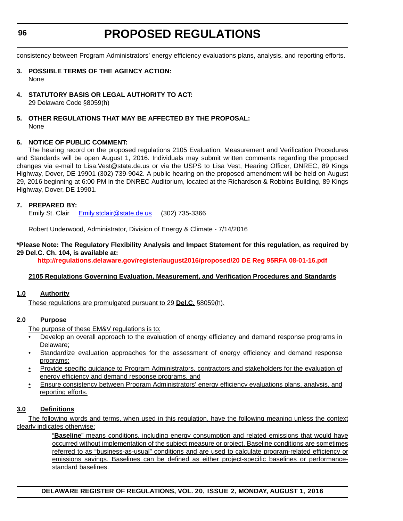#### **96**

# **PROPOSED REGULATIONS**

consistency between Program Administrators' energy efficiency evaluations plans, analysis, and reporting efforts.

- **3. POSSIBLE TERMS OF THE AGENCY ACTION:** None
- **4. STATUTORY BASIS OR LEGAL AUTHORITY TO ACT:** 29 Delaware Code §8059(h)

#### **5. OTHER REGULATIONS THAT MAY BE AFFECTED BY THE PROPOSAL:** None

#### **6. NOTICE OF PUBLIC COMMENT:**

The hearing record on the proposed regulations 2105 Evaluation, Measurement and Verification Procedures and Standards will be open August 1, 2016. Individuals may submit written comments regarding the proposed changes via e-mail to Lisa.Vest@state.de.us or via the USPS to Lisa Vest, Hearing Officer, DNREC, 89 Kings Highway, Dover, DE 19901 (302) 739-9042. A public hearing on the proposed amendment will be held on August 29, 2016 beginning at 6:00 PM in the DNREC Auditorium, located at the Richardson & Robbins Building, 89 Kings Highway, Dover, DE 19901.

#### **7. PREPARED BY:**

Emily St. Clair E[mily.stclair@state.de.us](mailto:Emily.stclair@state.de.us) (302) 735-3366

Robert Underwood, Administrator, Division of Energy & Climate - 7/14/2016

#### **\*Please Note: The Regulatory Flexibility Analysis and Impact Statement for this regulation, as required by 29 Del.C. Ch. 104, is available at:**

**<http://regulations.delaware.gov/register/august2016/proposed/20 DE Reg 95RFA 08-01-16.pdf>**

#### **2105 Regulations Governing Evaluation, Measurement, and Verification Procedures and Standards**

#### **1.0 Authority**

These regulations are promulgated pursuant to 29 **Del.C.** §8059(h).

#### **2.0 Purpose**

The purpose of these EM&V regulations is to:

- Develop an overall approach to the evaluation of energy efficiency and demand response programs in Delaware;
- Standardize evaluation approaches for the assessment of energy efficiency and demand response programs;
- Provide specific guidance to Program Administrators, contractors and stakeholders for the evaluation of energy efficiency and demand response programs, and
- Ensure consistency between Program Administrators' energy efficiency evaluations plans, analysis, and reporting efforts.

#### **3.0 Definitions**

The following words and terms, when used in this regulation, have the following meaning unless the context clearly indicates otherwise:

> "**Baseline**" means conditions, including energy consumption and related emissions that would have occurred without implementation of the subject measure or project. Baseline conditions are sometimes referred to as "business-as-usual" conditions and are used to calculate program-related efficiency or emissions savings. Baselines can be defined as either project-specific baselines or performancestandard baselines.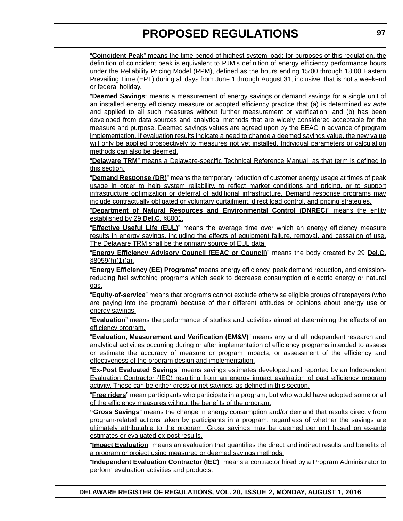"**Coincident Peak**" means the time period of highest system load; for purposes of this regulation, the definition of coincident peak is equivalent to PJM's definition of energy efficiency performance hours under the Reliability Pricing Model (RPM), defined as the hours ending 15:00 through 18:00 Eastern Prevailing Time (EPT) during all days from June 1 through August 31, inclusive, that is not a weekend or federal holiday.

"**Deemed Savings**" means a measurement of energy savings or demand savings for a single unit of an installed energy efficiency measure or adopted efficiency practice that (a) is determined *ex ante* and applied to all such measures without further measurement or verification, and (b) has been developed from data sources and analytical methods that are widely considered acceptable for the measure and purpose. Deemed savings values are agreed upon by the EEAC in advance of program implementation. If evaluation results indicate a need to change a deemed savings value, the new value will only be applied prospectively to measures not yet installed. Individual parameters or calculation methods can also be deemed.

"**Delaware TRM**" means a Delaware-specific Technical Reference Manual, as that term is defined in this section.

"**Demand Response (DR)**" means the temporary reduction of customer energy usage at times of peak usage in order to help system reliability, to reflect market conditions and pricing, or to support infrastructure optimization or deferral of additional infrastructure. Demand response programs may include contractually obligated or voluntary curtailment, direct load control, and pricing strategies.

"**Department of Natural Resources and Environmental Control (DNREC)**" means the entity established by 29 **Del.C.** §8001.

"**Effective Useful Life (EUL)**" means the average time over which an energy efficiency measure results in energy savings, including the effects of equipment failure, removal, and cessation of use. The Delaware TRM shall be the primary source of EUL data.

"**Energy Efficiency Advisory Council (EEAC or Council)**" means the body created by 29 **Del.C.** §8059(h)(1)(a).

"**Energy Efficiency (EE) Programs**" means energy efficiency, peak demand reduction, and emissionreducing fuel switching programs which seek to decrease consumption of electric energy or natural gas.

"**Equity-of-service**" means that programs cannot exclude otherwise eligible groups of ratepayers (who are paying into the program) because of their different attitudes or opinions about energy use or energy savings.

"**Evaluation**" means the performance of studies and activities aimed at determining the effects of an efficiency program.

"**Evaluation, Measurement and Verification (EM&V)**" means any and all independent research and analytical activities occurring during or after implementation of efficiency programs intended to assess or estimate the accuracy of measure or program impacts, or assessment of the efficiency and effectiveness of the program design and implementation.

"**Ex-Post Evaluated Savings**" means savings estimates developed and reported by an Independent Evaluation Contractor (IEC) resulting from an energy impact evaluation of past efficiency program activity. These can be either gross or net savings, as defined in this section.

"**Free riders**" mean participants who participate in a program, but who would have adopted some or all of the efficiency measures without the benefits of the program.

**"Gross Savings**" means the change in energy consumption and/or demand that results directly from program-related actions taken by participants in a program, regardless of whether the savings are ultimately attributable to the program. Gross savings may be deemed per unit based on ex-ante estimates or evaluated ex-post results.

"**Impact Evaluation**" means an evaluation that quantifies the direct and indirect results and benefits of a program or project using measured or deemed savings methods.

"**Independent Evaluation Contractor (IEC)**" means a contractor hired by a Program Administrator to perform evaluation activities and products.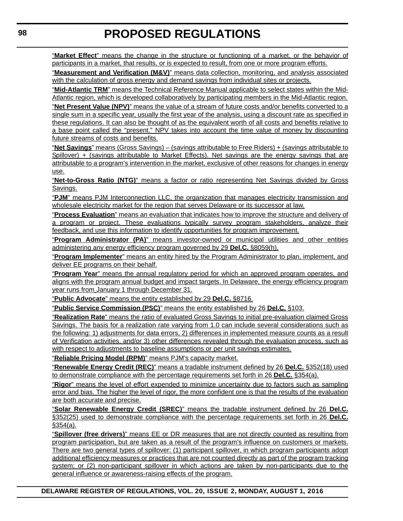"**Market Effect**" means the change in the structure or functioning of a market, or the behavior of participants in a market, that results, or is expected to result, from one or more program efforts.

"**Measurement and Verification (M&V)**" means data collection, monitoring, and analysis associated with the calculation of gross energy and demand savings from individual sites or projects.

"**Mid-Atlantic TRM**" means the Technical Reference Manual applicable to select states within the Mid-Atlantic region, which is developed collaboratively by participating members in the Mid-Atlantic region.

"**Net Present Value (NPV)**" means the value of a stream of future costs and/or benefits converted to a single sum in a specific year, usually the first year of the analysis, using a discount rate as specified in these regulations. It can also be thought of as the equivalent worth of all costs and benefits relative to a base point called the "present." NPV takes into account the time value of money by discounting future streams of costs and benefits.

"**Net Savings**" means (Gross Savings) – (savings attributable to Free Riders) + (savings attributable to Spillover) + (savings attributable to Market Effects). Net savings are the energy savings that are attributable to a program's intervention in the market, exclusive of other reasons for changes in energy use.

"**Net-to-Gross Ratio (NTG)**" means a factor or ratio representing Net Savings divided by Gross Savings.

"**PJM**" means PJM Interconnection LLC, the organization that manages electricity transmission and wholesale electricity market for the region that serves Delaware or its successor at law.

"**Process Evaluation**" means an evaluation that indicates how to improve the structure and delivery of a program or project. These evaluations typically survey program stakeholders, analyze their feedback, and use this information to identify opportunities for program improvement.

"**Program Administrator (PA)**" means investor-owned or municipal utilities and other entities administering any energy efficiency program governed by 29 **Del.C.** §8059(h).

"**Program Implementer**" means an entity hired by the Program Administrator to plan, implement, and deliver EE programs on their behalf.

"**Program Year**" means the annual regulatory period for which an approved program operates, and aligns with the program annual budget and impact targets. In Delaware, the energy efficiency program year runs from January 1 through December 31.

"**Public Advocate**" means the entity established by 29 **Del.C.** §8716.

"**Public Service Commission (PSC)**" means the entity established by 26 **Del.C.** §103.

"**Realization Rate**" means the ratio of evaluated Gross Savings to initial pre-evaluation claimed Gross Savings. The basis for a realization rate varying from 1.0 can include several considerations such as the following: 1) adjustments for data errors, 2) differences in implemented measure counts as a result of Verification activities, and/or 3) other differences revealed through the evaluation process, such as with respect to adjustments to baseline assumptions or per unit savings estimates.

"**Reliable Pricing Model (RPM)**" means PJM's capacity market.

"**Renewable Energy Credit (REC)**" means a tradable instrument defined by 26 **Del.C.** §352(18) used to demonstrate compliance with the percentage requirements set forth in 26 **Del.C.** §354(a).

"**Rigor**" means the level of effort expended to minimize uncertainty due to factors such as sampling error and bias. The higher the level of rigor, the more confident one is that the results of the evaluation are both accurate and precise.

"**Solar Renewable Energy Credit (SREC)**" means the tradable instrument defined by 26 **Del.C.** §352(25) used to demonstrate compliance with the percentage requirements set forth in 26 **Del.C.** §354(a).

"**Spillover (free drivers)**" means EE or DR measures that are not directly counted as resulting from program participation, but are taken as a result of the program's influence on customers or markets. There are two general types of spillover: (1) participant spillover, in which program participants adopt additional efficiency measures or practices that are not counted directly as part of the program tracking system; or (2) non-participant spillover in which actions are taken by non-participants due to the general influence or awareness-raising effects of the program.

**DELAWARE REGISTER OF REGULATIONS, VOL. 20, ISSUE 2, MONDAY, AUGUST 1, 2016**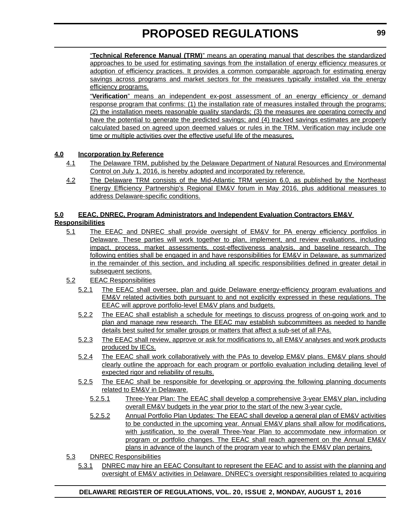"**Technical Reference Manual (TRM)**" means an operating manual that describes the standardized approaches to be used for estimating savings from the installation of energy efficiency measures or adoption of efficiency practices. It provides a common comparable approach for estimating energy savings across programs and market sectors for the measures typically installed via the energy efficiency programs.

"**Verification**" means an independent ex-post assessment of an energy efficiency or demand response program that confirms: (1) the installation rate of measures installed through the programs; (2) the installation meets reasonable quality standards; (3) the measures are operating correctly and have the potential to generate the predicted savings; and (4) tracked savings estimates are properly calculated based on agreed upon deemed values or rules in the TRM. Verification may include one time or multiple activities over the effective useful life of the measures.

#### **4.0 Incorporation by Reference**

- 4.1 The Delaware TRM, published by the Delaware Department of Natural Resources and Environmental Control on July 1, 2016, is hereby adopted and incorporated by reference.
- 4.2 The Delaware TRM consists of the Mid-Atlantic TRM version 6.0, as published by the Northeast Energy Efficiency Partnership's Regional EM&V forum in May 2016, plus additional measures to address Delaware-specific conditions.

#### **5.0 EEAC, DNREC, Program Administrators and Independent Evaluation Contractors EM&V Responsibilities**

- 5.1 The EEAC and DNREC shall provide oversight of EM&V for PA energy efficiency portfolios in Delaware. These parties will work together to plan, implement, and review evaluations, including impact, process, market assessments, cost-effectiveness analysis, and baseline research. The following entities shall be engaged in and have responsibilities for EM&V in Delaware, as summarized in the remainder of this section, and including all specific responsibilities defined in greater detail in subsequent sections.
- 5.2 EEAC Responsibilities
	- 5.2.1 The EEAC shall oversee, plan and guide Delaware energy-efficiency program evaluations and EM&V related activities both pursuant to and not explicitly expressed in these regulations. The EEAC will approve portfolio-level EM&V plans and budgets.
	- 5.2.2 The EEAC shall establish a schedule for meetings to discuss progress of on-going work and to plan and manage new research. The EEAC may establish subcommittees as needed to handle details best suited for smaller groups or matters that affect a sub-set of all PAs.
	- 5.2.3 The EEAC shall review, approve or ask for modifications to, all EM&V analyses and work products produced by IECs.
	- 5.2.4 The EEAC shall work collaboratively with the PAs to develop EM&V plans. EM&V plans should clearly outline the approach for each program or portfolio evaluation including detailing level of expected rigor and reliability of results.
	- 5.2.5 The EEAC shall be responsible for developing or approving the following planning documents related to EM&V in Delaware.
		- 5.2.5.1 Three-Year Plan: The EEAC shall develop a comprehensive 3-year EM&V plan, including overall EM&V budgets in the year prior to the start of the new 3-year cycle.
		- 5.2.5.2 Annual Portfolio Plan Updates: The EEAC shall develop a general plan of EM&V activities to be conducted in the upcoming year. Annual EM&V plans shall allow for modifications, with justification, to the overall Three-Year Plan to accommodate new information or program or portfolio changes. The EEAC shall reach agreement on the Annual EM&V plans in advance of the launch of the program year to which the EM&V plan pertains.
- 5.3 DNREC Responsibilities
	- 5.3.1 DNREC may hire an EEAC Consultant to represent the EEAC and to assist with the planning and oversight of EM&V activities in Delaware. DNREC's oversight responsibilities related to acquiring

#### **DELAWARE REGISTER OF REGULATIONS, VOL. 20, ISSUE 2, MONDAY, AUGUST 1, 2016**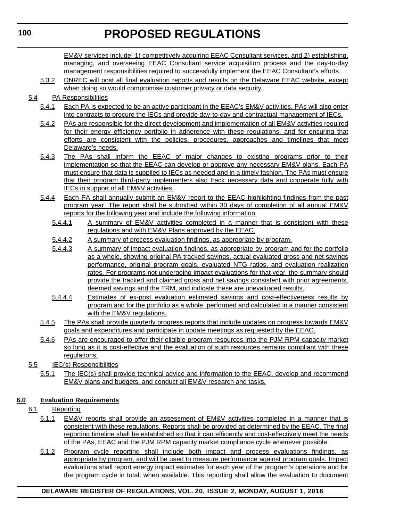EM&V services include: 1) competitively acquiring EEAC Consultant services, and 2) establishing, managing, and overseeing EEAC Consultant service acquisition process and the day-to-day management responsibilities required to successfully implement the EEAC Consultant's efforts.

5.3.2 DNREC will post all final evaluation reports and results on the Delaware EEAC website, except when doing so would compromise customer privacy or data security.

#### 5.4 PA Responsibilities

- 5.4.1 Each PA is expected to be an active participant in the EEAC's EM&V activities. PAs will also enter into contracts to procure the IECs and provide day-to-day and contractual management of IECs.
- 5.4.2 PAs are responsible for the direct development and implementation of all EM&V activities required for their energy efficiency portfolio in adherence with these regulations, and for ensuring that efforts are consistent with the policies, procedures, approaches and timelines that meet Delaware's needs.
- 5.4.3 The PAs shall inform the EEAC of major changes to existing programs prior to their implementation so that the EEAC can develop or approve any necessary EM&V plans. Each PA must ensure that data is supplied to IECs as needed and in a timely fashion. The PAs must ensure that their program third-party implementers also track necessary data and cooperate fully with IECs in support of all EM&V activities.
- 5.4.4 Each PA shall annually submit an EM&V report to the EEAC highlighting findings from the past program year. The report shall be submitted within 30 days of completion of all annual EM&V reports for the following year and include the following information.
	- 5.4.4.1 A summary of EM&V activities completed in a manner that is consistent with these regulations and with EM&V Plans approved by the EEAC.
	- 5.4.4.2 A summary of process evaluation findings, as appropriate by program.
	- 5.4.4.3 A summary of impact evaluation findings, as appropriate by program and for the portfolio as a whole, showing original PA tracked savings, actual evaluated gross and net savings performance, original program goals, evaluated NTG ratios, and evaluation realization rates. For programs not undergoing impact evaluations for that year, the summary should provide the tracked and claimed gross and net savings consistent with prior agreements, deemed savings and the TRM, and indicate these are unevaluated results.
	- 5.4.4.4 Estimates of ex-post evaluation estimated savings and cost-effectiveness results by program and for the portfolio as a whole, performed and calculated in a manner consistent with the EM&V regulations.
- 5.4.5 The PAs shall provide quarterly progress reports that include updates on progress towards EM&V goals and expenditures and participate in update meetings as requested by the EEAC.
- 5.4.6 PAs are encouraged to offer their eligible program resources into the PJM RPM capacity market so long as it is cost-effective and the evaluation of such resources remains compliant with these regulations.

#### 5.5 IEC(s) Responsibilities

5.5.1 The IEC(s) shall provide technical advice and information to the EEAC, develop and recommend EM&V plans and budgets, and conduct all EM&V research and tasks.

### **6.0 Evaluation Requirements**

### 6.1 Reporting

- 6.1.1 EM&V reports shall provide an assessment of EM&V activities completed in a manner that is consistent with these regulations. Reports shall be provided as determined by the EEAC. The final reporting timeline shall be established so that it can efficiently and cost-effectively meet the needs of the PAs, EEAC and the PJM RPM capacity market compliance cycle whenever possible.
- 6.1.2 Program cycle reporting shall include both impact and process evaluations findings, as appropriate by program, and will be used to measure performance against program goals. Impact evaluations shall report energy impact estimates for each year of the program's operations and for the program cycle in total, when available. This reporting shall allow the evaluation to document

#### **DELAWARE REGISTER OF REGULATIONS, VOL. 20, ISSUE 2, MONDAY, AUGUST 1, 2016**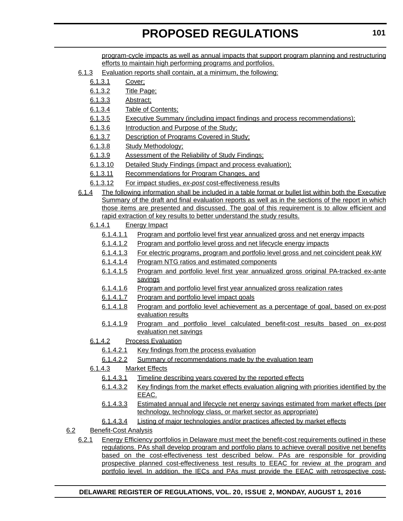program-cycle impacts as well as annual impacts that support program planning and restructuring efforts to maintain high performing programs and portfolios.

- 6.1.3 Evaluation reports shall contain, at a minimum, the following:
	- 6.1.3.1 Cover;
	- 6.1.3.2 Title Page;
	- 6.1.3.3 Abstract;
	- 6.1.3.4 Table of Contents;
	- 6.1.3.5 Executive Summary (including impact findings and process recommendations);
	- 6.1.3.6 Introduction and Purpose of the Study;
	- 6.1.3.7 Description of Programs Covered in Study;
	- 6.1.3.8 Study Methodology;
	- 6.1.3.9 Assessment of the Reliability of Study Findings;
	- 6.1.3.10 Detailed Study Findings (impact and process evaluation);
	- 6.1.3.11 Recommendations for Program Changes, and
	- 6.1.3.12 For impact studies, *ex-post* cost-effectiveness results
- 6.1.4 The following information shall be included in a table format or bullet list within both the Executive Summary of the draft and final evaluation reports as well as in the sections of the report in which those items are presented and discussed. The goal of this requirement is to allow efficient and rapid extraction of key results to better understand the study results.
	- 6.1.4.1 Energy Impact
		- 6.1.4.1.1 Program and portfolio level first year annualized gross and net energy impacts
		- 6.1.4.1.2 Program and portfolio level gross and net lifecycle energy impacts
		- 6.1.4.1.3 For electric programs, program and portfolio level gross and net coincident peak kW
		- 6.1.4.1.4 Program NTG ratios and estimated components
		- 6.1.4.1.5 Program and portfolio level first year annualized gross original PA-tracked ex-ante savings
		- 6.1.4.1.6 Program and portfolio level first year annualized gross realization rates
		- 6.1.4.1.7 Program and portfolio level impact goals
		- 6.1.4.1.8 Program and portfolio level achievement as a percentage of goal, based on ex-post evaluation results
		- 6.1.4.1.9 Program and portfolio level calculated benefit-cost results based on ex-post evaluation net savings
	- 6.1.4.2 Process Evaluation
		- 6.1.4.2.1 Key findings from the process evaluation
		- 6.1.4.2.2 Summary of recommendations made by the evaluation team
	- 6.1.4.3 Market Effects
		- 6.1.4.3.1 Timeline describing years covered by the reported effects
		- 6.1.4.3.2 Key findings from the market effects evaluation aligning with priorities identified by the EEAC.
		- 6.1.4.3.3 Estimated annual and lifecycle net energy savings estimated from market effects (per technology, technology class, or market sector as appropriate)
		- 6.1.4.3.4 Listing of major technologies and/or practices affected by market effects

#### 6.2 Benefit-Cost Analysis

6.2.1 Energy Efficiency portfolios in Delaware must meet the benefit-cost requirements outlined in these regulations. PAs shall develop program and portfolio plans to achieve overall positive net benefits based on the cost-effectiveness test described below. PAs are responsible for providing prospective planned cost-effectiveness test results to EEAC for review at the program and portfolio level. In addition, the IECs and PAs must provide the EEAC with retrospective cost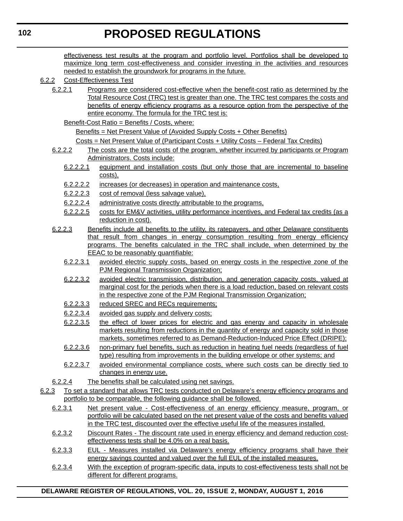effectiveness test results at the program and portfolio level. Portfolios shall be developed to maximize long term cost-effectiveness and consider investing in the activities and resources needed to establish the groundwork for programs in the future.

- 6.2.2 Cost-Effectiveness Test
	- 6.2.2.1 Programs are considered cost-effective when the benefit-cost ratio as determined by the Total Resource Cost (TRC) test is greater than one. The TRC test compares the costs and benefits of energy efficiency programs as a resource option from the perspective of the entire economy. The formula for the TRC test is:
		- Benefit-Cost Ratio = Benefits / Costs, where:

Benefits = Net Present Value of (Avoided Supply Costs + Other Benefits)

Costs = Net Present Value of (Participant Costs + Utility Costs – Federal Tax Credits)

- 6.2.2.2 The costs are the total costs of the program, whether incurred by participants or Program Administrators. Costs include:
	- 6.2.2.2.1 equipment and installation costs (but only those that are incremental to baseline costs),
	- 6.2.2.2.2 increases (or decreases) in operation and maintenance costs,
	- 6.2.2.2.3 cost of removal (less salvage value),
	- 6.2.2.2.4 administrative costs directly attributable to the programs,
	- 6.2.2.2.5 costs for EM&V activities, utility performance incentives, and Federal tax credits (as a reduction in cost).
- 6.2.2.3 Benefits include all benefits to the utility, its ratepayers, and other Delaware constituents that result from changes in energy consumption resulting from energy efficiency programs. The benefits calculated in the TRC shall include, when determined by the EEAC to be reasonably quantifiable:
	- 6.2.2.3.1 avoided electric supply costs, based on energy costs in the respective zone of the PJM Regional Transmission Organization;
	- 6.2.2.3.2 avoided electric transmission, distribution, and generation capacity costs, valued at marginal cost for the periods when there is a load reduction, based on relevant costs in the respective zone of the PJM Regional Transmission Organization;
	- 6.2.2.3.3 reduced SREC and RECs requirements;
	- 6.2.2.3.4 avoided gas supply and delivery costs;
	- 6.2.2.3.5 the effect of lower prices for electric and gas energy and capacity in wholesale markets resulting from reductions in the quantity of energy and capacity sold in those markets, sometimes referred to as Demand-Reduction-Induced Price Effect (DRIPE);
	- 6.2.2.3.6 non-primary fuel benefits, such as reduction in heating fuel needs (regardless of fuel type) resulting from improvements in the building envelope or other systems; and
	- 6.2.2.3.7 avoided environmental compliance costs, where such costs can be directly tied to changes in energy use.
- 6.2.2.4 The benefits shall be calculated using net savings.
- 6.2.3 To set a standard that allows TRC tests conducted on Delaware's energy efficiency programs and portfolio to be comparable, the following guidance shall be followed.
	- 6.2.3.1 Net present value Cost-effectiveness of an energy efficiency measure, program, or portfolio will be calculated based on the net present value of the costs and benefits valued in the TRC test, discounted over the effective useful life of the measures installed.
	- 6.2.3.2 Discount Rates The discount rate used in energy efficiency and demand reduction costeffectiveness tests shall be 4.0% on a real basis.
	- 6.2.3.3 EUL Measures installed via Delaware's energy efficiency programs shall have their energy savings counted and valued over the full EUL of the installed measures.
	- 6.2.3.4 With the exception of program-specific data, inputs to cost-effectiveness tests shall not be different for different programs.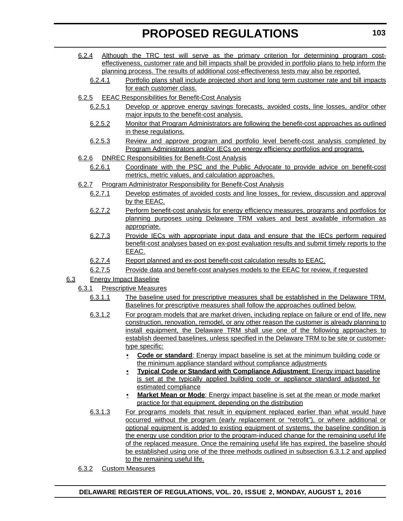- 6.2.4 Although the TRC test will serve as the primary criterion for determining program costeffectiveness, customer rate and bill impacts shall be provided in portfolio plans to help inform the planning process. The results of additional cost-effectiveness tests may also be reported.
	- 6.2.4.1 Portfolio plans shall include projected short and long term customer rate and bill impacts for each customer class.
- 6.2.5 EEAC Responsibilities for Benefit-Cost Analysis
	- 6.2.5.1 Develop or approve energy savings forecasts, avoided costs, line losses, and/or other major inputs to the benefit-cost analysis.
	- 6.2.5.2 Monitor that Program Administrators are following the benefit-cost approaches as outlined in these regulations.
	- 6.2.5.3 Review and approve program and portfolio level benefit-cost analysis completed by Program Administrators and/or IECs on energy efficiency portfolios and programs.
- 6.2.6 DNREC Responsibilities for Benefit-Cost Analysis
	- 6.2.6.1 Coordinate with the PSC and the Public Advocate to provide advice on benefit-cost metrics, metric values, and calculation approaches.
- 6.2.7 Program Administrator Responsibility for Benefit-Cost Analysis
	- 6.2.7.1 Develop estimates of avoided costs and line losses, for review, discussion and approval by the EEAC.
	- 6.2.7.2 Perform benefit-cost analysis for energy efficiency measures, programs and portfolios for planning purposes using Delaware TRM values and best available information as appropriate.
	- 6.2.7.3 Provide IECs with appropriate input data and ensure that the IECs perform required benefit-cost analyses based on ex-post evaluation results and submit timely reports to the EEAC.
	- 6.2.7.4 Report planned and ex-post benefit-cost calculation results to EEAC.
	- 6.2.7.5 Provide data and benefit-cost analyses models to the EEAC for review, if requested
- 6.3 Energy Impact Baseline
	- 6.3.1 Prescriptive Measures
		- 6.3.1.1 The baseline used for prescriptive measures shall be established in the Delaware TRM. Baselines for prescriptive measures shall follow the approaches outlined below.
		- 6.3.1.2 For program models that are market driven, including replace on failure or end of life, new construction, renovation, remodel, or any other reason the customer is already planning to install equipment, the Delaware TRM shall use one of the following approaches to establish deemed baselines, unless specified in the Delaware TRM to be site or customertype specific:
			- **Code or standard**: Energy impact baseline is set at the minimum building code or the minimum appliance standard without compliance adjustments
			- **Typical Code or Standard with Compliance Adjustment**: Energy impact baseline is set at the typically applied building code or appliance standard adjusted for estimated compliance
			- **Market Mean or Mode**: Energy impact baseline is set at the mean or mode market practice for that equipment, depending on the distribution
		- 6.3.1.3 For programs models that result in equipment replaced earlier than what would have occurred without the program (early replacement or "retrofit"), or where additional or optional equipment is added to existing equipment of systems, the baseline condition is the energy use condition prior to the program-induced change for the remaining useful life of the replaced measure. Once the remaining useful life has expired, the baseline should be established using one of the three methods outlined in subsection 6.3.1.2 and applied to the remaining useful life.
	- 6.3.2 Custom Measures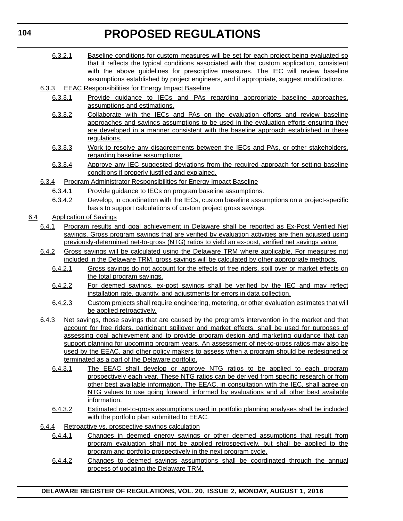- 6.3.2.1 Baseline conditions for custom measures will be set for each project being evaluated so that it reflects the typical conditions associated with that custom application, consistent with the above guidelines for prescriptive measures. The IEC will review baseline assumptions established by project engineers, and if appropriate, suggest modifications.
- 6.3.3 EEAC Responsibilities for Energy Impact Baseline
	- 6.3.3.1 Provide guidance to IECs and PAs regarding appropriate baseline approaches, assumptions and estimations.
	- 6.3.3.2 Collaborate with the IECs and PAs on the evaluation efforts and review baseline approaches and savings assumptions to be used in the evaluation efforts ensuring they are developed in a manner consistent with the baseline approach established in these regulations.
	- 6.3.3.3 Work to resolve any disagreements between the IECs and PAs, or other stakeholders, regarding baseline assumptions.
	- 6.3.3.4 Approve any IEC suggested deviations from the required approach for setting baseline conditions if properly justified and explained.
- 6.3.4 Program Administrator Responsibilities for Energy Impact Baseline
	- 6.3.4.1 Provide guidance to IECs on program baseline assumptions.
	- 6.3.4.2 Develop, in coordination with the IECs, custom baseline assumptions on a project-specific basis to support calculations of custom project gross savings.
- 6.4 Application of Savings
	- 6.4.1 Program results and goal achievement in Delaware shall be reported as Ex-Post Verified Net savings. Gross program savings that are verified by evaluation activities are then adjusted using previously-determined net-to-gross (NTG) ratios to yield an ex-post, verified net savings value.
	- 6.4.2 Gross savings will be calculated using the Delaware TRM where applicable. For measures not included in the Delaware TRM, gross savings will be calculated by other appropriate methods.
		- 6.4.2.1 Gross savings do not account for the effects of free riders, spill over or market effects on the total program savings.
		- 6.4.2.2 For deemed savings, ex-post savings shall be verified by the IEC and may reflect installation rate, quantity, and adjustments for errors in data collection.
		- 6.4.2.3 Custom projects shall require engineering, metering, or other evaluation estimates that will be applied retroactively.
	- 6.4.3 Net savings, those savings that are caused by the program's intervention in the market and that account for free riders, participant spillover and market effects, shall be used for purposes of assessing goal achievement and to provide program design and marketing guidance that can support planning for upcoming program years. An assessment of net-to-gross ratios may also be used by the EEAC, and other policy makers to assess when a program should be redesigned or terminated as a part of the Delaware portfolio.
		- 6.4.3.1 The EEAC shall develop or approve NTG ratios to be applied to each program prospectively each year. These NTG ratios can be derived from specific research or from other best available information. The EEAC, in consultation with the IEC, shall agree on NTG values to use going forward, informed by evaluations and all other best available information.
		- 6.4.3.2 Estimated net-to-gross assumptions used in portfolio planning analyses shall be included with the portfolio plan submitted to EEAC.
	- 6.4.4 Retroactive vs. prospective savings calculation
		- 6.4.4.1 Changes in deemed energy savings or other deemed assumptions that result from program evaluation shall not be applied retrospectively, but shall be applied to the program and portfolio prospectively in the next program cycle.
		- 6.4.4.2 Changes to deemed savings assumptions shall be coordinated through the annual process of updating the Delaware TRM.

**104**

**DELAWARE REGISTER OF REGULATIONS, VOL. 20, ISSUE 2, MONDAY, AUGUST 1, 2016**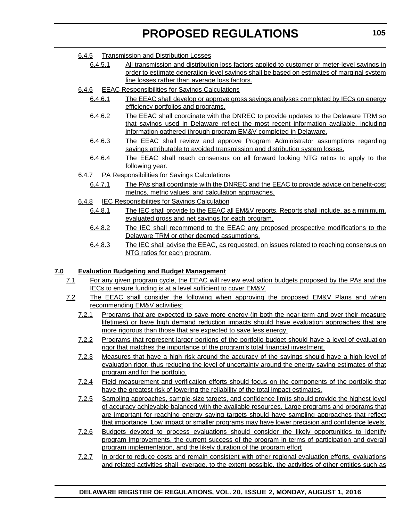#### 6.4.5 Transmission and Distribution Losses

- 6.4.5.1 All transmission and distribution loss factors applied to customer or meter-level savings in order to estimate generation-level savings shall be based on estimates of marginal system line losses rather than average loss factors.
- 6.4.6 EEAC Responsibilities for Savings Calculations
	- 6.4.6.1 The EEAC shall develop or approve gross savings analyses completed by IECs on energy efficiency portfolios and programs.
	- 6.4.6.2 The EEAC shall coordinate with the DNREC to provide updates to the Delaware TRM so that savings used in Delaware reflect the most recent information available, including information gathered through program EM&V completed in Delaware.
	- 6.4.6.3 The EEAC shall review and approve Program Administrator assumptions regarding savings attributable to avoided transmission and distribution system losses.
	- 6.4.6.4 The EEAC shall reach consensus on all forward looking NTG ratios to apply to the following year.
- 6.4.7 PA Responsibilities for Savings Calculations
	- 6.4.7.1 The PAs shall coordinate with the DNREC and the EEAC to provide advice on benefit-cost metrics, metric values, and calculation approaches.
- 6.4.8 IEC Responsibilities for Savings Calculation
	- 6.4.8.1 The IEC shall provide to the EEAC all EM&V reports. Reports shall include, as a minimum, evaluated gross and net savings for each program.
	- 6.4.8.2 The IEC shall recommend to the EEAC any proposed prospective modifications to the Delaware TRM or other deemed assumptions.
	- 6.4.8.3 The IEC shall advise the EEAC, as requested, on issues related to reaching consensus on NTG ratios for each program.

#### **7.0 Evaluation Budgeting and Budget Management**

- 7.1 For any given program cycle, the EEAC will review evaluation budgets proposed by the PAs and the IECs to ensure funding is at a level sufficient to cover EM&V.
- 7.2 The EEAC shall consider the following when approving the proposed EM&V Plans and when recommending EM&V activities:
	- 7.2.1 Programs that are expected to save more energy (in both the near-term and over their measure lifetimes) or have high demand reduction impacts should have evaluation approaches that are more rigorous than those that are expected to save less energy.
	- 7.2.2 Programs that represent larger portions of the portfolio budget should have a level of evaluation rigor that matches the importance of the program's total financial investment.
	- 7.2.3 Measures that have a high risk around the accuracy of the savings should have a high level of evaluation rigor, thus reducing the level of uncertainty around the energy saving estimates of that program and for the portfolio.
	- 7.2.4 Field measurement and verification efforts should focus on the components of the portfolio that have the greatest risk of lowering the reliability of the total impact estimates.
	- 7.2.5 Sampling approaches, sample-size targets, and confidence limits should provide the highest level of accuracy achievable balanced with the available resources. Large programs and programs that are important for reaching energy saving targets should have sampling approaches that reflect that importance. Low impact or smaller programs may have lower precision and confidence levels.
	- 7.2.6 Budgets devoted to process evaluations should consider the likely opportunities to identify program improvements, the current success of the program in terms of participation and overall program implementation, and the likely duration of the program effort
	- 7.2.7 In order to reduce costs and remain consistent with other regional evaluation efforts, evaluations and related activities shall leverage, to the extent possible, the activities of other entities such as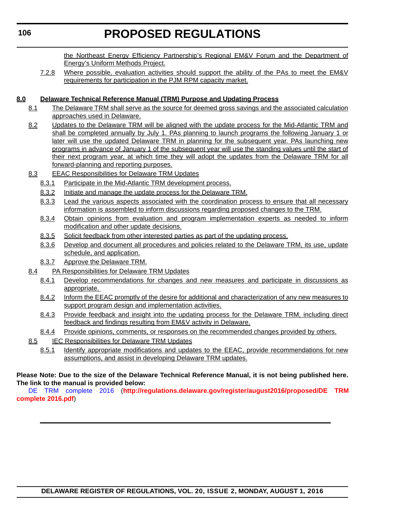the Northeast Energy Efficiency Partnership's Regional EM&V Forum and the Department of Energy's Uniform Methods Project.

7.2.8 Where possible, evaluation activities should support the ability of the PAs to meet the EM&V requirements for participation in the PJM RPM capacity market.

#### **8.0 Delaware Technical Reference Manual (TRM) Purpose and Updating Process**

- 8.1 The Delaware TRM shall serve as the source for deemed gross savings and the associated calculation approaches used in Delaware.
- 8.2 Updates to the Delaware TRM will be aligned with the update process for the Mid-Atlantic TRM and shall be completed annually by July 1. PAs planning to launch programs the following January 1 or later will use the updated Delaware TRM in planning for the subsequent year. PAs launching new programs in advance of January 1 of the subsequent year will use the standing values until the start of their next program year, at which time they will adopt the updates from the Delaware TRM for all forward-planning and reporting purposes.
- 8.3 EEAC Responsibilities for Delaware TRM Updates
	- 8.3.1 Participate in the Mid-Atlantic TRM development process.
	- 8.3.2 Initiate and manage the update process for the Delaware TRM.
	- 8.3.3 Lead the various aspects associated with the coordination process to ensure that all necessary information is assembled to inform discussions regarding proposed changes to the TRM.
	- 8.3.4 Obtain opinions from evaluation and program implementation experts as needed to inform modification and other update decisions.
	- 8.3.5 Solicit feedback from other interested parties as part of the updating process.
	- 8.3.6 Develop and document all procedures and policies related to the Delaware TRM, its use, update schedule, and application.
	- 8.3.7 Approve the Delaware TRM.
- 8.4 PA Responsibilities for Delaware TRM Updates
	- 8.4.1 Develop recommendations for changes and new measures and participate in discussions as appropriate.
	- 8.4.2 Inform the EEAC promptly of the desire for additional and characterization of any new measures to support program design and implementation activities.
	- 8.4.3 Provide feedback and insight into the updating process for the Delaware TRM, including direct feedback and findings resulting from EM&V activity in Delaware.
	- 8.4.4 Provide opinions, comments, or responses on the recommended changes provided by others.
- 8.5 **IEC Responsibilities for Delaware TRM Updates** 
	- 8.5.1 Identify appropriate modifications and updates to the EEAC, provide recommendations for new assumptions, and assist in developing Delaware TRM updates.

#### **Please Note: Due to the size of the Delaware Technical Reference Manual, it is not being published here. The link to the manual is provided below:**

[DE TRM complete 2016 \(](http://regulations.delaware.gov/register/august2016/proposed/DE TRM complete 2016.pdf)**http://regulations.delaware.gov/register/august2016/proposed/DE TRM complete 2016.pdf**)

```
106
```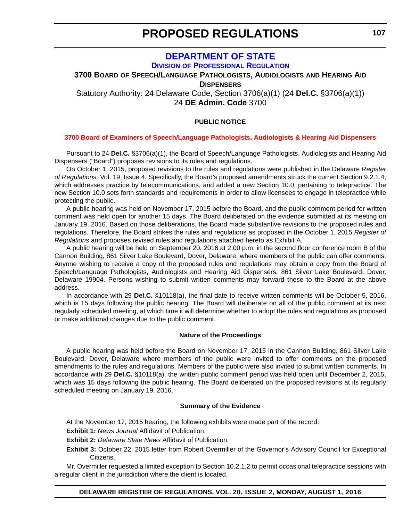#### **[DEPARTMENT OF STATE](http://dpr.delaware.gov/) DIVISION OF PROFESSIONAL REGULATION**

### <span id="page-32-0"></span>**3700 BOARD OF SPEECH/LANGUAGE PATHOLOGISTS, AUDIOLOGISTS AND HEARING AID**

**DISPENSERS**

Statutory Authority: 24 Delaware Code, Section 3706(a)(1) (24 **Del.C.** §3706(a)(1)) 24 **DE Admin. Code** 3700

#### **PUBLIC NOTICE**

#### **[3700 Board of Examiners of Speech/Language Pathologists, Audiologists & Hearing Aid Dispensers](#page-3-0)**

Pursuant to 24 **Del.C.** §3706(a)(1), the Board of Speech/Language Pathologists, Audiologists and Hearing Aid Dispensers ("Board") proposes revisions to its rules and regulations.

On October 1, 2015, proposed revisions to the rules and regulations were published in the Delaware *Register of Regulations,* Vol. 19, Issue 4. Specifically, the Board's proposed amendments struck the current Section 9.2.1.4, which addresses practice by telecommunications, and added a new Section 10.0, pertaining to telepractice. The new Section 10.0 sets forth standards and requirements in order to allow licensees to engage in telepractice while protecting the public.

A public hearing was held on November 17, 2015 before the Board, and the public comment period for written comment was held open for another 15 days. The Board deliberated on the evidence submitted at its meeting on January 19, 2016. Based on those deliberations, the Board made substantive revisions to the proposed rules and regulations. Therefore, the Board strikes the rules and regulations as proposed in the October 1, 2015 *Register of Regulations* and proposes revised rules and regulations attached hereto as Exhibit A.

A public hearing will be held on September 20, 2016 at 2:00 p.m. in the second floor conference room B of the Cannon Building, 861 Silver Lake Boulevard, Dover, Delaware, where members of the public can offer comments. Anyone wishing to receive a copy of the proposed rules and regulations may obtain a copy from the Board of Speech/Language Pathologists, Audiologists and Hearing Aid Dispensers, 861 Silver Lake Boulevard, Dover, Delaware 19904. Persons wishing to submit written comments may forward these to the Board at the above address.

In accordance with 29 **Del.C.** §10118(a), the final date to receive written comments will be October 5, 2016, which is 15 days following the public hearing. The Board will deliberate on all of the public comment at its next regularly scheduled meeting, at which time it will determine whether to adopt the rules and regulations as proposed or make additional changes due to the public comment.

#### **Nature of the Proceedings**

A public hearing was held before the Board on November 17, 2015 in the Cannon Building, 861 Silver Lake Boulevard, Dover, Delaware where members of the public were invited to offer comments on the proposed amendments to the rules and regulations. Members of the public were also invited to submit written comments. In accordance with 29 **Del.C.** §10118(a), the written public comment period was held open until December 2, 2015, which was 15 days following the public hearing. The Board deliberated on the proposed revisions at its regularly scheduled meeting on January 19, 2016.

#### **Summary of the Evidence**

At the November 17, 2015 hearing, the following exhibits were made part of the record:

**Exhibit 1: News Journal Affidavit of Publication.** 

**Exhibit 2:** *Delaware State News* Affidavit of Publication.

**Exhibit 3:** October 22, 2015 letter from Robert Overmiller of the Governor's Advisory Council for Exceptional Citizens.

Mr. Overmiller requested a limited exception to Section 10.2.1.2 to permit occasional telepractice sessions with a regular client in the jurisdiction where the client is located.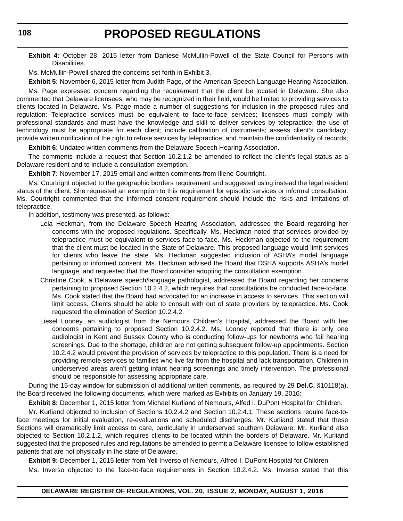**Exhibit 4:** October 28, 2015 letter from Daniese McMullin-Powell of the State Council for Persons with Disabilities.

Ms. McMullin-Powell shared the concerns set forth in Exhibit 3.

**Exhibit 5:** November 6, 2015 letter from Judith Page, of the American Speech Language Hearing Association.

Ms. Page expressed concern regarding the requirement that the client be located in Delaware. She also commented that Delaware licensees, who may be recognized in their field, would be limited to providing services to clients located in Delaware. Ms. Page made a number of suggestions for inclusion in the proposed rules and regulation: Telepractice services must be equivalent to face-to-face services; licensees must comply with professional standards and must have the knowledge and skill to deliver services by telepractice; the use of technology must be appropriate for each client; include calibration of instruments; assess client's candidacy; provide written notification of the right to refuse services by telepractice; and maintain the confidentiality of records;

**Exhibit 6:** Undated written comments from the Delaware Speech Hearing Association.

The comments include a request that Section 10.2.1.2 be amended to reflect the client's legal status as a Delaware resident and to include a consultation exemption.

**Exhibit 7:** November 17, 2015 email and written comments from Illene Courtright.

Ms. Courtright objected to the geographic borders requirement and suggested using instead the legal resident status of the client. She requested an exemption to this requirement for episodic services or informal consultation. Ms. Courtright commented that the informed consent requirement should include the risks and limitations of telepractice.

In addition, testimony was presented, as follows:

- Leia Heckman, from the Delaware Speech Hearing Association, addressed the Board regarding her concerns with the proposed regulations. Specifically, Ms. Heckman noted that services provided by telepractice must be equivalent to services face-to-face. Ms. Heckman objected to the requirement that the client must be located in the State of Delaware. This proposed language would limit services for clients who leave the state. Ms. Heckman suggested inclusion of ASHA's model language pertaining to informed consent. Ms. Heckman advised the Board that DSHA supports ASHA's model language, and requested that the Board consider adopting the consultation exemption.
- Christine Cook, a Delaware speech/language pathologist, addressed the Board regarding her concerns pertaining to proposed Section 10.2.4.2, which requires that consultations be conducted face-to-face. Ms. Cook stated that the Board had advocated for an increase in access to services. This section will limit access. Clients should be able to consult with out of state providers by telepractice. Ms. Cook requested the elimination of Section 10.2.4.2.
- Liesel Looney, an audiologist from the Nemours Children's Hospital, addressed the Board with her concerns pertaining to proposed Section 10.2.4.2. Ms. Looney reported that there is only one audiologist in Kent and Sussex County who is conducting follow-ups for newborns who fail hearing screenings. Due to the shortage, children are not getting subsequent follow-up appointments. Section 10.2.4.2 would prevent the provision of services by telepractice to this population. There is a need for providing remote services to families who live far from the hospital and lack transportation. Children in underserved areas aren't getting infant hearing screenings and timely intervention. The professional should be responsible for assessing appropriate care.

During the 15-day window for submission of additional written comments, as required by 29 **Del.C.** §10118(a), the Board received the following documents, which were marked as Exhibits on January 19, 2016:

**Exhibit 8:** December 1, 2015 letter from Michael Kurliand of Nemours, Alfed I. DuPont Hospital for Children.

Mr. Kurliand objected to inclusion of Sections 10.2.4.2 and Section 10.2.4.1. These sections require face-toface meetings for initial evaluation, re-evaluations and scheduled discharges. Mr. Kurliand stated that these Sections will dramatically limit access to care, particularly in underserved southern Delaware. Mr. Kurliand also objected to Section 10.2.1.2, which requires clients to be located within the borders of Delaware. Mr. Kurliand suggested that the proposed rules and regulations be amended to permit a Delaware licensee to follow established patients that are not physically in the state of Delaware.

**Exhibit 9:** December 1, 2015 letter from Yell Inverso of Nemours, Alfred I. DuPont Hospital for Children.

Ms. Inverso objected to the face-to-face requirements in Section 10.2.4.2. Ms. Inverso stated that this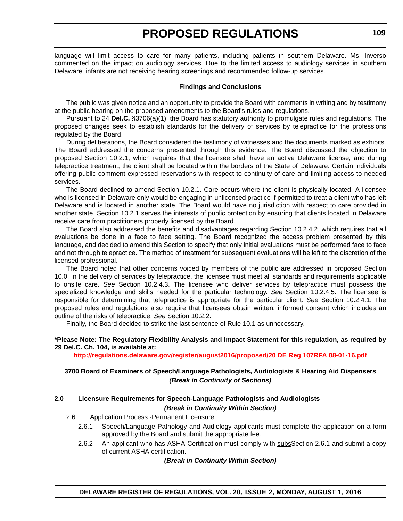language will limit access to care for many patients, including patients in southern Delaware. Ms. Inverso commented on the impact on audiology services. Due to the limited access to audiology services in southern Delaware, infants are not receiving hearing screenings and recommended follow-up services.

#### **Findings and Conclusions**

The public was given notice and an opportunity to provide the Board with comments in writing and by testimony at the public hearing on the proposed amendments to the Board's rules and regulations.

Pursuant to 24 **Del.C.** §3706(a)(1), the Board has statutory authority to promulgate rules and regulations. The proposed changes seek to establish standards for the delivery of services by telepractice for the professions regulated by the Board.

During deliberations, the Board considered the testimony of witnesses and the documents marked as exhibits. The Board addressed the concerns presented through this evidence. The Board discussed the objection to proposed Section 10.2.1, which requires that the licensee shall have an active Delaware license, and during telepractice treatment, the client shall be located within the borders of the State of Delaware. Certain individuals offering public comment expressed reservations with respect to continuity of care and limiting access to needed services.

The Board declined to amend Section 10.2.1. Care occurs where the client is physically located. A licensee who is licensed in Delaware only would be engaging in unlicensed practice if permitted to treat a client who has left Delaware and is located in another state. The Board would have no jurisdiction with respect to care provided in another state. Section 10.2.1 serves the interests of public protection by ensuring that clients located in Delaware receive care from practitioners properly licensed by the Board.

The Board also addressed the benefits and disadvantages regarding Section 10.2.4.2, which requires that all evaluations be done in a face to face setting. The Board recognized the access problem presented by this language, and decided to amend this Section to specify that only initial evaluations must be performed face to face and not through telepractice. The method of treatment for subsequent evaluations will be left to the discretion of the licensed professional.

The Board noted that other concerns voiced by members of the public are addressed in proposed Section 10.0. In the delivery of services by telepractice, the licensee must meet all standards and requirements applicable to onsite care. *See* Section 10.2.4.3. The licensee who deliver services by telepractice must possess the specialized knowledge and skills needed for the particular technology. *See* Section 10.2.4.5. The licensee is responsible for determining that telepractice is appropriate for the particular client. *See* Section 10.2.4.1. The proposed rules and regulations also require that licensees obtain written, informed consent which includes an outline of the risks of telepractice. *See* Section 10.2.2.

Finally, the Board decided to strike the last sentence of Rule 10.1 as unnecessary.

#### **\*Please Note: The Regulatory Flexibility Analysis and Impact Statement for this regulation, as required by 29 Del.C. Ch. 104, is available at:**

**<http://regulations.delaware.gov/register/august2016/proposed/20 DE Reg 107RFA 08-01-16.pdf>**

#### **3700 Board of Examiners of Speech/Language Pathologists, Audiologists & Hearing Aid Dispensers** *(Break in Continuity of Sections)*

#### **2.0 Licensure Requirements for Speech-Language Pathologists and Audiologists**  *(Break in Continuity Within Section)*

#### 2.6 Application Process -Permanent Licensure

- 2.6.1 Speech/Language Pathology and Audiology applicants must complete the application on a form approved by the Board and submit the appropriate fee.
- 2.6.2 An applicant who has ASHA Certification must comply with subselection 2.6.1 and submit a copy of current ASHA certification.

#### *(Break in Continuity Within Section)*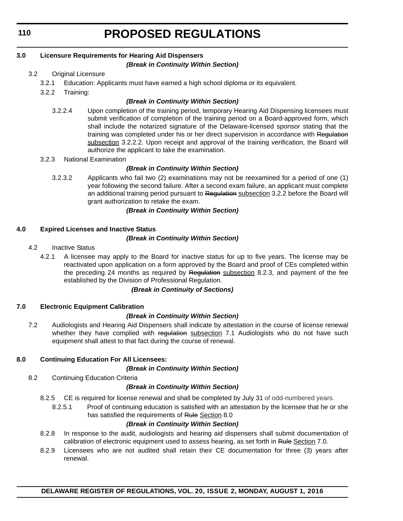**110**

# **PROPOSED REGULATIONS**

#### **3.0 Licensure Requirements for Hearing Aid Dispensers**

#### *(Break in Continuity Within Section)*

#### 3.2 Original Licensure

- 3.2.1 Education: Applicants must have earned a high school diploma or its equivalent.
- 3.2.2 Training:

#### *(Break in Continuity Within Section)*

- 3.2.2.4 Upon completion of the training period, temporary Hearing Aid Dispensing licensees must submit verification of completion of the training period on a Board-approved form, which shall include the notarized signature of the Delaware-licensed sponsor stating that the training was completed under his or her direct supervision in accordance with Regulation subsection 3.2.2.2. Upon receipt and approval of the training verification, the Board will authorize the applicant to take the examination.
- 3.2.3 National Examination

#### *(Break in Continuity Within Section)*

3.2.3.2 Applicants who fail two (2) examinations may not be reexamined for a period of one (1) year following the second failure. After a second exam failure, an applicant must complete an additional training period pursuant to Regulation subsection 3.2.2 before the Board will grant authorization to retake the exam.

#### *(Break in Continuity Within Section)*

#### **4.0 Expired Licenses and Inactive Status**

#### *(Break in Continuity Within Section)*

- 4.2 Inactive Status
	- 4.2.1 A licensee may apply to the Board for inactive status for up to five years. The license may be reactivated upon application on a form approved by the Board and proof of CEs completed within the preceding 24 months as required by Regulation subsection 8.2.3, and payment of the fee established by the Division of Professional Regulation.

#### *(Break in Continuity of Sections)*

#### **7.0 Electronic Equipment Calibration**

#### *(Break in Continuity Within Section)*

7.2 Audiologists and Hearing Aid Dispensers shall indicate by attestation in the course of license renewal whether they have complied with regulation subsection 7.1 Audiologists who do not have such equipment shall attest to that fact during the course of renewal.

#### **8.0 Continuing Education For All Licensees:**

#### *(Break in Continuity Within Section)*

8.2 Continuing Education Criteria

#### *(Break in Continuity Within Section)*

- 8.2.5 CE is required for license renewal and shall be completed by July 31 of odd-numbered years.
	- 8.2.5.1 Proof of continuing education is satisfied with an attestation by the licensee that he or she has satisfied the requirements of Rule Section 8.0

#### *(Break in Continuity Within Section)*

- 8.2.8 In response to the audit, audiologists and hearing aid dispensers shall submit documentation of calibration of electronic equipment used to assess hearing, as set forth in Rule Section 7.0.
- 8.2.9 Licensees who are not audited shall retain their CE documentation for three (3) years after renewal.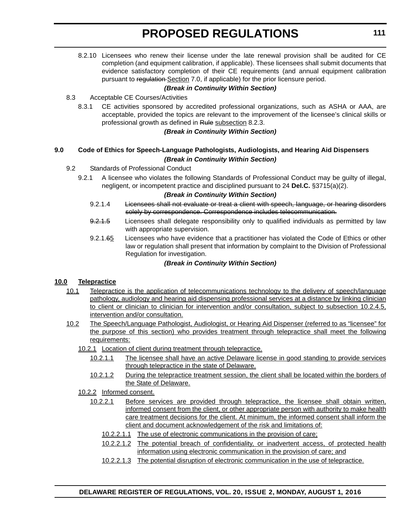8.2.10 Licensees who renew their license under the late renewal provision shall be audited for CE completion (and equipment calibration, if applicable). These licensees shall submit documents that evidence satisfactory completion of their CE requirements (and annual equipment calibration pursuant to regulation-Section 7.0, if applicable) for the prior licensure period.

#### *(Break in Continuity Within Section)*

#### 8.3 Acceptable CE Courses/Activities

8.3.1 CE activities sponsored by accredited professional organizations, such as ASHA or AAA, are acceptable, provided the topics are relevant to the improvement of the licensee's clinical skills or professional growth as defined in Rule subsection 8.2.3.

#### *(Break in Continuity Within Section)*

#### **9.0 Code of Ethics for Speech-Language Pathologists, Audiologists, and Hearing Aid Dispensers** *(Break in Continuity Within Section)*

#### 9.2 Standards of Professional Conduct

9.2.1 A licensee who violates the following Standards of Professional Conduct may be guilty of illegal, negligent, or incompetent practice and disciplined pursuant to 24 **Del.C.** §3715(a)(2).

#### *(Break in Continuity Within Section)*

- 9.2.1.4 Licensees shall not evaluate or treat a client with speech, language, or hearing disorders solely by correspondence. Correspondence includes telecommunication.
- 9.2.1.5 Licensees shall delegate responsibility only to qualified individuals as permitted by law with appropriate supervision.
- 9.2.1.65 Licensees who have evidence that a practitioner has violated the Code of Ethics or other law or regulation shall present that information by complaint to the Division of Professional Regulation for investigation.

#### *(Break in Continuity Within Section)*

#### **10.0 Telepractice**

- 10.1 Telepractice is the application of telecommunications technology to the delivery of speech/language pathology, audiology and hearing aid dispensing professional services at a distance by linking clinician to client or clinician to clinician for intervention and/or consultation, subject to subsection 10.2.4.5, intervention and/or consultation.
- 10.2 The Speech/Language Pathologist, Audiologist, or Hearing Aid Dispenser (referred to as "licensee" for the purpose of this section) who provides treatment through telepractice shall meet the following requirements:
	- 10.2.1 Location of client during treatment through telepractice.
		- 10.2.1.1 The licensee shall have an active Delaware license in good standing to provide services through telepractice in the state of Delaware.
		- 10.2.1.2 During the telepractice treatment session, the client shall be located within the borders of the State of Delaware.

#### 10.2.2 Informed consent.

- 10.2.2.1 Before services are provided through telepractice, the licensee shall obtain written, informed consent from the client, or other appropriate person with authority to make health care treatment decisions for the client. At minimum, the informed consent shall inform the client and document acknowledgement of the risk and limitations of:
	- 10.2.2.1.1 The use of electronic communications in the provision of care;
	- 10.2.2.1.2 The potential breach of confidentiality, or inadvertent access, of protected health information using electronic communication in the provision of care; and
	- 10.2.2.1.3 The potential disruption of electronic communication in the use of telepractice.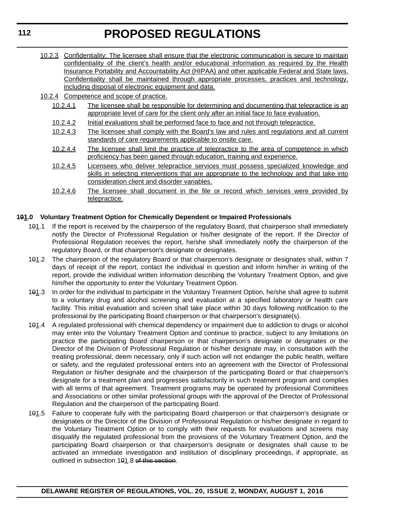**112**

# **PROPOSED REGULATIONS**

10.2.3 Confidentiality: The licensee shall ensure that the electronic communication is secure to maintain confidentiality of the client's health and/or educational information as required by the Health Insurance Portability and Accountability Act (HIPAA) and other applicable Federal and State laws. Confidentiality shall be maintained through appropriate processes, practices and technology, including disposal of electronic equipment and data.

10.2.4 Competence and scope of practice.

- 10.2.4.1 The licensee shall be responsible for determining and documenting that telepractice is an appropriate level of care for the client only after an initial face to face evaluation.
- 10.2.4.2 Initial evaluations shall be performed face to face and not through telepractice.
- 10.2.4.3 The licensee shall comply with the Board's law and rules and regulations and all current standards of care requirements applicable to onsite care.
- 10.2.4.4 The licensee shall limit the practice of telepractice to the area of competence in which proficiency has been gained through education, training and experience.
- 10.2.4.5 Licensees who deliver telepractice services must possess specialized knowledge and skills in selecting interventions that are appropriate to the technology and that take into consideration client and disorder variables.
- 10.2.4.6 The licensee shall document in the file or record which services were provided by telepractice.

### **101.0 Voluntary Treatment Option for Chemically Dependent or Impaired Professionals**

- 101.1 If the report is received by the chairperson of the regulatory Board, that chairperson shall immediately notify the Director of Professional Regulation or his/her designate of the report. If the Director of Professional Regulation receives the report, he/she shall immediately notify the chairperson of the regulatory Board, or that chairperson's designate or designates.
- 101.2 The chairperson of the regulatory Board or that chairperson's designate or designates shall, within 7 days of receipt of the report, contact the individual in question and inform him/her in writing of the report, provide the individual written information describing the Voluntary Treatment Option, and give him/her the opportunity to enter the Voluntary Treatment Option.
- 101.3 In order for the individual to participate in the Voluntary Treatment Option, he/she shall agree to submit to a voluntary drug and alcohol screening and evaluation at a specified laboratory or health care facility. This initial evaluation and screen shall take place within 30 days following notification to the professional by the participating Board chairperson or that chairperson's designate(s).
- 101.4 A regulated professional with chemical dependency or impairment due to addiction to drugs or alcohol may enter into the Voluntary Treatment Option and continue to practice, subject to any limitations on practice the participating Board chairperson or that chairperson's designate or designates or the Director of the Division of Professional Regulation or his/her designate may, in consultation with the treating professional, deem necessary, only if such action will not endanger the public health, welfare or safety, and the regulated professional enters into an agreement with the Director of Professional Regulation or his/her designate and the chairperson of the participating Board or that chairperson's designate for a treatment plan and progresses satisfactorily in such treatment program and complies with all terms of that agreement. Treatment programs may be operated by professional Committees and Associations or other similar professional groups with the approval of the Director of Professional Regulation and the chairperson of the participating Board.
- 101.5 Failure to cooperate fully with the participating Board chairperson or that chairperson's designate or designates or the Director of the Division of Professional Regulation or his/her designate in regard to the Voluntary Treatment Option or to comply with their requests for evaluations and screens may disqualify the regulated professional from the provisions of the Voluntary Treatment Option, and the participating Board chairperson or that chairperson's designate or designates shall cause to be activated an immediate investigation and institution of disciplinary proceedings, if appropriate, as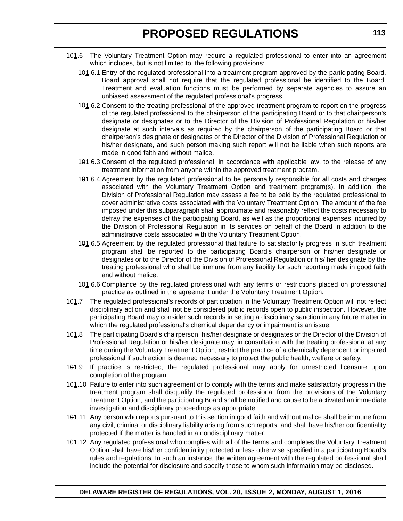- 101.6 The Voluntary Treatment Option may require a regulated professional to enter into an agreement which includes, but is not limited to, the following provisions:
	- 101.6.1 Entry of the regulated professional into a treatment program approved by the participating Board. Board approval shall not require that the regulated professional be identified to the Board. Treatment and evaluation functions must be performed by separate agencies to assure an unbiased assessment of the regulated professional's progress.
	- 101.6.2 Consent to the treating professional of the approved treatment program to report on the progress of the regulated professional to the chairperson of the participating Board or to that chairperson's designate or designates or to the Director of the Division of Professional Regulation or his/her designate at such intervals as required by the chairperson of the participating Board or that chairperson's designate or designates or the Director of the Division of Professional Regulation or his/her designate, and such person making such report will not be liable when such reports are made in good faith and without malice.
	- 101.6.3 Consent of the regulated professional, in accordance with applicable law, to the release of any treatment information from anyone within the approved treatment program.
	- 101.6.4 Agreement by the regulated professional to be personally responsible for all costs and charges associated with the Voluntary Treatment Option and treatment program(s). In addition, the Division of Professional Regulation may assess a fee to be paid by the regulated professional to cover administrative costs associated with the Voluntary Treatment Option. The amount of the fee imposed under this subparagraph shall approximate and reasonably reflect the costs necessary to defray the expenses of the participating Board, as well as the proportional expenses incurred by the Division of Professional Regulation in its services on behalf of the Board in addition to the administrative costs associated with the Voluntary Treatment Option.
	- 101.6.5 Agreement by the regulated professional that failure to satisfactorily progress in such treatment program shall be reported to the participating Board's chairperson or his/her designate or designates or to the Director of the Division of Professional Regulation or his/ her designate by the treating professional who shall be immune from any liability for such reporting made in good faith and without malice.
	- 101.6.6 Compliance by the regulated professional with any terms or restrictions placed on professional practice as outlined in the agreement under the Voluntary Treatment Option.
- 101.7 The regulated professional's records of participation in the Voluntary Treatment Option will not reflect disciplinary action and shall not be considered public records open to public inspection. However, the participating Board may consider such records in setting a disciplinary sanction in any future matter in which the regulated professional's chemical dependency or impairment is an issue.
- 101.8 The participating Board's chairperson, his/her designate or designates or the Director of the Division of Professional Regulation or his/her designate may, in consultation with the treating professional at any time during the Voluntary Treatment Option, restrict the practice of a chemically dependent or impaired professional if such action is deemed necessary to protect the public health, welfare or safety.
- 101.9 If practice is restricted, the regulated professional may apply for unrestricted licensure upon completion of the program.
- 101.10 Failure to enter into such agreement or to comply with the terms and make satisfactory progress in the treatment program shall disqualify the regulated professional from the provisions of the Voluntary Treatment Option, and the participating Board shall be notified and cause to be activated an immediate investigation and disciplinary proceedings as appropriate.
- 101.11 Any person who reports pursuant to this section in good faith and without malice shall be immune from any civil, criminal or disciplinary liability arising from such reports, and shall have his/her confidentiality protected if the matter is handled in a nondisciplinary matter.
- 101.12 Any regulated professional who complies with all of the terms and completes the Voluntary Treatment Option shall have his/her confidentiality protected unless otherwise specified in a participating Board's rules and regulations. In such an instance, the written agreement with the regulated professional shall include the potential for disclosure and specify those to whom such information may be disclosed.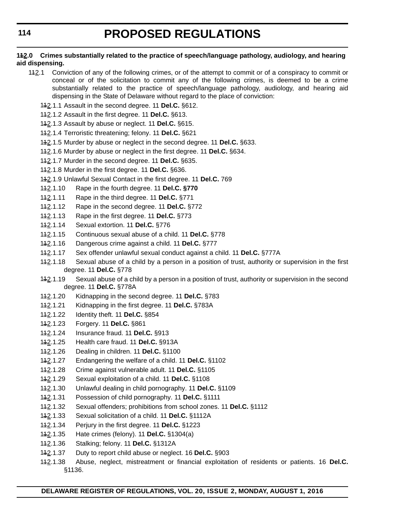#### **112.0 Crimes substantially related to the practice of speech/language pathology, audiology, and hearing aid dispensing.**

- 142.1 Conviction of any of the following crimes, or of the attempt to commit or of a conspiracy to commit or conceal or of the solicitation to commit any of the following crimes, is deemed to be a crime substantially related to the practice of speech/language pathology, audiology, and hearing aid dispensing in the State of Delaware without regard to the place of conviction:
	- 112.1.1 Assault in the second degree. 11 **Del.C.** §612.
	- 112.1.2 Assault in the first degree. 11 **Del.C.** §613.
	- 112.1.3 Assault by abuse or neglect. 11 **Del.C.** §615.
	- 112.1.4 Terroristic threatening; felony. 11 **Del.C.** §621
	- 112.1.5 Murder by abuse or neglect in the second degree. 11 **Del.C.** §633.
	- 112.1.6 Murder by abuse or neglect in the first degree. 11 **Del.C.** §634.
	- 112.1.7 Murder in the second degree. 11 **Del.C.** §635.
	- 112.1.8 Murder in the first degree. 11 **Del.C.** §636.
	- 112.1.9 Unlawful Sexual Contact in the first degree. 11 **Del.C.** 769
	- 112.1.10 Rape in the fourth degree. 11 **Del.C. §770**
	- 112.1.11 Rape in the third degree. 11 **Del.C.** §771
	- 112.1.12 Rape in the second degree. 11 **Del.C.** §772
	- 112.1.13 Rape in the first degree. 11 **Del.C.** §773
	- 112.1.14 Sexual extortion. 11 **Del.C.** §776
	- 112.1.15 Continuous sexual abuse of a child. 11 **Del.C.** §778
	- 112.1.16 Dangerous crime against a child. 11 **Del.C.** §777
	- 112.1.17 Sex offender unlawful sexual conduct against a child. 11 **Del.C.** §777A
	- 142.1.18 Sexual abuse of a child by a person in a position of trust, authority or supervision in the first degree. 11 **Del.C.** §778
	- 142.1.19 Sexual abuse of a child by a person in a position of trust, authority or supervision in the second degree. 11 **Del.C.** §778A
	- 112.1.20 Kidnapping in the second degree. 11 **Del.C.** §783
	- 112.1.21 Kidnapping in the first degree. 11 **Del.C.** §783A
	- 112.1.22 Identity theft. 11 **Del.C.** §854
	- 112.1.23 Forgery. 11 **Del.C.** §861
	- 112.1.24 Insurance fraud. 11 **Del.C.** §913
	- 112.1.25 Health care fraud. 11 **Del.C.** §913A
	- 112.1.26 Dealing in children. 11 **Del.C.** §1100
	- 112.1.27 Endangering the welfare of a child. 11 **Del.C.** §1102
	- 112.1.28 Crime against vulnerable adult. 11 **Del.C.** §1105
	- 112.1.29 Sexual exploitation of a child. 11 **Del.C.** §1108
	- 112.1.30 Unlawful dealing in child pornography. 11 **Del.C.** §1109
	- 112.1.31 Possession of child pornography. 11 **Del.C.** §1111
	- 112.1.32 Sexual offenders; prohibitions from school zones. 11 **Del.C.** §1112
	- 112.1.33 Sexual solicitation of a child. 11 **Del.C.** §1112A
	- 112.1.34 Perjury in the first degree. 11 **Del.C.** §1223
	- 112.1.35 Hate crimes (felony). 11 **Del.C.** §1304(a)
	- 112.1.36 Stalking; felony. 11 **Del.C.** §1312A
	- 112.1.37 Duty to report child abuse or neglect. 16 **Del.C.** §903
	- 112.1.38 Abuse, neglect, mistreatment or financial exploitation of residents or patients. 16 **Del.C.** §1136.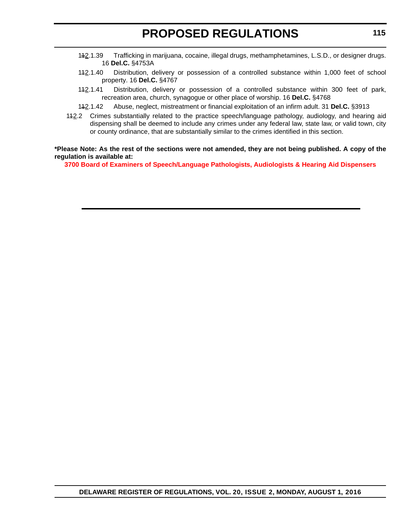- 112.1.39 Trafficking in marijuana, cocaine, illegal drugs, methamphetamines, L.S.D., or designer drugs. 16 **Del.C.** §4753A
- 142.1.40 Distribution, delivery or possession of a controlled substance within 1,000 feet of school property. 16 **Del.C.** §4767
- 142.1.41 Distribution, delivery or possession of a controlled substance within 300 feet of park, recreation area, church, synagogue or other place of worship. 16 **Del.C.** §4768
- 112.1.42 Abuse, neglect, mistreatment or financial exploitation of an infirm adult. 31 **Del.C.** §3913
- 142.2 Crimes substantially related to the practice speech/language pathology, audiology, and hearing aid dispensing shall be deemed to include any crimes under any federal law, state law, or valid town, city or county ordinance, that are substantially similar to the crimes identified in this section.

#### **\*Please Note: As the rest of the sections were not amended, they are not being published. A copy of the regulation is available at:**

**[3700 Board of Examiners of Speech/Language Pathologists, Audiologists & Hearing Aid Dispensers](http://regulations.delaware.gov/register/august2016/proposed/20 DE Reg 107 08-01-16.htm)**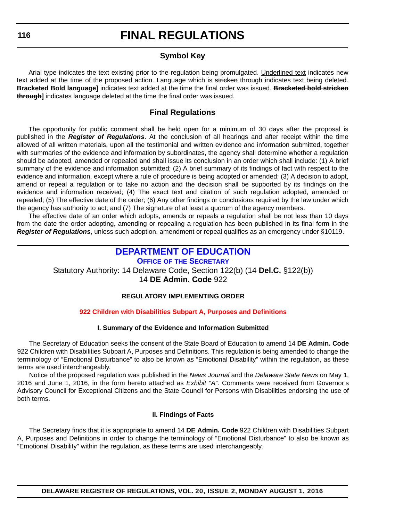### **Symbol Key**

<span id="page-41-0"></span>Arial type indicates the text existing prior to the regulation being promulgated. Underlined text indicates new text added at the time of the proposed action. Language which is stricken through indicates text being deleted. **Bracketed Bold language]** indicates text added at the time the final order was issued. **Bracketed bold stricken through]** indicates language deleted at the time the final order was issued.

### **Final Regulations**

The opportunity for public comment shall be held open for a minimum of 30 days after the proposal is published in the *Register of Regulations*. At the conclusion of all hearings and after receipt within the time allowed of all written materials, upon all the testimonial and written evidence and information submitted, together with summaries of the evidence and information by subordinates, the agency shall determine whether a regulation should be adopted, amended or repealed and shall issue its conclusion in an order which shall include: (1) A brief summary of the evidence and information submitted; (2) A brief summary of its findings of fact with respect to the evidence and information, except where a rule of procedure is being adopted or amended; (3) A decision to adopt, amend or repeal a regulation or to take no action and the decision shall be supported by its findings on the evidence and information received; (4) The exact text and citation of such regulation adopted, amended or repealed; (5) The effective date of the order; (6) Any other findings or conclusions required by the law under which the agency has authority to act; and (7) The signature of at least a quorum of the agency members.

The effective date of an order which adopts, amends or repeals a regulation shall be not less than 10 days from the date the order adopting, amending or repealing a regulation has been published in its final form in the *Register of Regulations*, unless such adoption, amendment or repeal qualifies as an emergency under §10119.

### **[DEPARTMENT OF EDUCATION](http://www.doe.k12.de.us/)**

**OFFICE OF THE SECRETARY** Statutory Authority: 14 Delaware Code, Section 122(b) (14 **Del.C.** §122(b)) 14 **DE Admin. Code** 922

#### **REGULATORY IMPLEMENTING ORDER**

#### **[922 Children with Disabilities Subpart A, Purposes and Definitions](#page-4-0)**

#### **I. Summary of the Evidence and Information Submitted**

The Secretary of Education seeks the consent of the State Board of Education to amend 14 **DE Admin. Code** 922 Children with Disabilities Subpart A, Purposes and Definitions. This regulation is being amended to change the terminology of "Emotional Disturbance" to also be known as "Emotional Disability" within the regulation, as these terms are used interchangeably.

Notice of the proposed regulation was published in the *News Journal* and the *Delaware State News* on May 1, 2016 and June 1, 2016, in the form hereto attached as *Exhibit "A"*. Comments were received from Governor's Advisory Council for Exceptional Citizens and the State Council for Persons with Disabilities endorsing the use of both terms.

#### **II. Findings of Facts**

The Secretary finds that it is appropriate to amend 14 **DE Admin. Code** 922 Children with Disabilities Subpart A, Purposes and Definitions in order to change the terminology of "Emotional Disturbance" to also be known as "Emotional Disability" within the regulation, as these terms are used interchangeably.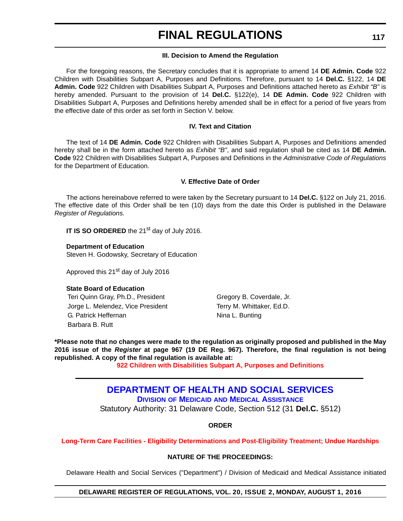#### **III. Decision to Amend the Regulation**

<span id="page-42-0"></span>For the foregoing reasons, the Secretary concludes that it is appropriate to amend 14 **DE Admin. Code** 922 Children with Disabilities Subpart A, Purposes and Definitions. Therefore, pursuant to 14 **Del.C.** §122, 14 **DE Admin. Code** 922 Children with Disabilities Subpart A, Purposes and Definitions attached hereto as *Exhibit "B"* is hereby amended. Pursuant to the provision of 14 **Del.C.** §122(e), 14 **DE Admin. Code** 922 Children with Disabilities Subpart A, Purposes and Definitions hereby amended shall be in effect for a period of five years from the effective date of this order as set forth in Section V. below.

#### **IV. Text and Citation**

The text of 14 **DE Admin. Code** 922 Children with Disabilities Subpart A, Purposes and Definitions amended hereby shall be in the form attached hereto as *Exhibit "B"*, and said regulation shall be cited as 14 **DE Admin. Code** 922 Children with Disabilities Subpart A, Purposes and Definitions in the *Administrative Code of Regulations* for the Department of Education.

#### **V. Effective Date of Order**

The actions hereinabove referred to were taken by the Secretary pursuant to 14 **Del.C.** §122 on July 21, 2016. The effective date of this Order shall be ten (10) days from the date this Order is published in the Delaware *Register of Regulations.*

**IT IS SO ORDERED** the 21<sup>st</sup> day of July 2016.

**Department of Education** Steven H. Godowsky, Secretary of Education

Approved this 21<sup>st</sup> day of July 2016

#### **State Board of Education**

Teri Quinn Gray, Ph.D., President Gregory B. Coverdale, Jr. Jorge L. Melendez, Vice President Terry M. Whittaker, Ed.D. G. Patrick Heffernan Nina L. Bunting Barbara B. Rutt

**\*Please note that no changes were made to the regulation as originally proposed and published in the May 2016 issue of the** *Register* **at page 967 (19 DE Reg. 967). Therefore, the final regulation is not being republished. A copy of the final regulation is available at:**

**[922 Children with Disabilities Subpart A, Purposes and Definitions](http://regulations.delaware.gov/register/august2016/final/20 DE Reg 116 08-01-16.htm)**

### **[DEPARTMENT OF HEALTH AND SOCIAL SERVICES](http://www.dhss.delaware.gov/dhss/dmma/) DIVISION OF MEDICAID AND MEDICAL ASSISTANCE**

Statutory Authority: 31 Delaware Code, Section 512 (31 **Del.C.** §512)

**ORDER**

#### **[Long-Term Care Facilities - Eligibility Determinations and Post-Eligibility Treatment; Undue Hardships](#page-4-0)**

#### **NATURE OF THE PROCEEDINGS:**

Delaware Health and Social Services ("Department") / Division of Medicaid and Medical Assistance initiated

#### **DELAWARE REGISTER OF REGULATIONS, VOL. 20, ISSUE 2, MONDAY, AUGUST 1, 2016**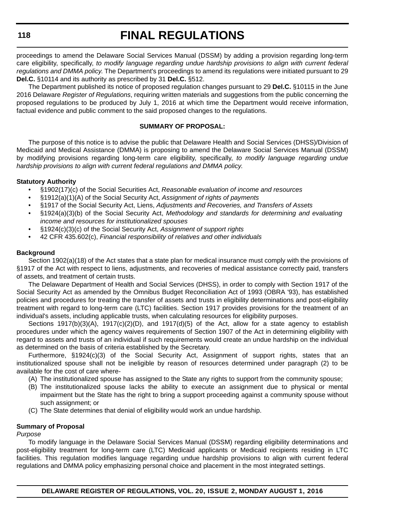proceedings to amend the Delaware Social Services Manual (DSSM) by adding a provision regarding long-term care eligibility, specifically, *to modify language regarding undue hardship provisions to align with current federal regulations and DMMA policy*. The Department's proceedings to amend its regulations were initiated pursuant to 29 **Del.C.** §10114 and its authority as prescribed by 31 **Del.C.** §512.

The Department published its notice of proposed regulation changes pursuant to 29 **Del.C.** §10115 in the June 2016 Delaware *Register of Regulations*, requiring written materials and suggestions from the public concerning the proposed regulations to be produced by July 1, 2016 at which time the Department would receive information, factual evidence and public comment to the said proposed changes to the regulations.

#### **SUMMARY OF PROPOSAL:**

The purpose of this notice is to advise the public that Delaware Health and Social Services (DHSS)/Division of Medicaid and Medical Assistance (DMMA) is proposing to amend the Delaware Social Services Manual (DSSM) by modifying provisions regarding long-term care eligibility, specifically, *to modify language regarding undue hardship provisions to align with current federal regulations and DMMA policy*.

#### **Statutory Authority**

- §1902(17)(c) of the Social Securities Act, *Reasonable evaluation of income and resources*
- §1912(a)(1)(A) of the Social Security Act, *Assignment of rights of payments*
- §1917 of the Social Security Act, Liens, *Adjustments and Recoveries, and Transfers of Assets*
- §1924(a)(3)(b) of the Social Security Act, *Methodology and standards for determining and evaluating income and resources for institutionalized spouses*
- §1924(c)(3)(c) of the Social Security Act, *Assignment of support rights*
- 42 CFR 435.602(c), *Financial responsibility of relatives and other individuals*

#### **Background**

Section 1902(a)(18) of the Act states that a state plan for medical insurance must comply with the provisions of §1917 of the Act with respect to liens, adjustments, and recoveries of medical assistance correctly paid, transfers of assets, and treatment of certain trusts.

The Delaware Department of Health and Social Services (DHSS), in order to comply with Section 1917 of the Social Security Act as amended by the Omnibus Budget Reconciliation Act of 1993 (OBRA '93), has established policies and procedures for treating the transfer of assets and trusts in eligibility determinations and post-eligibility treatment with regard to long-term care (LTC) facilities. Section 1917 provides provisions for the treatment of an individual's assets, including applicable trusts, when calculating resources for eligibility purposes.

Sections 1917(b)(3)(A), 1917(c)(2)(D), and 1917(d)(5) of the Act, allow for a state agency to establish procedures under which the agency waives requirements of Section 1907 of the Act in determining eligibility with regard to assets and trusts of an individual if such requirements would create an undue hardship on the individual as determined on the basis of criteria established by the Secretary.

Furthermore, §1924(c)(3) of the Social Security Act, Assignment of support rights, states that an institutionalized spouse shall not be ineligible by reason of resources determined under paragraph (2) to be available for the cost of care where-

- (A) The institutionalized spouse has assigned to the State any rights to support from the community spouse;
- (B) The institutionalized spouse lacks the ability to execute an assignment due to physical or mental impairment but the State has the right to bring a support proceeding against a community spouse without such assignment; or
- (C) The State determines that denial of eligibility would work an undue hardship.

#### **Summary of Proposal**

#### *Purpose*

To modify language in the Delaware Social Services Manual (DSSM) regarding eligibility determinations and post-eligibility treatment for long-term care (LTC) Medicaid applicants or Medicaid recipients residing in LTC facilities. This regulation modifies language regarding undue hardship provisions to align with current federal regulations and DMMA policy emphasizing personal choice and placement in the most integrated settings.

**DELAWARE REGISTER OF REGULATIONS, VOL. 20, ISSUE 2, MONDAY AUGUST 1, 2016**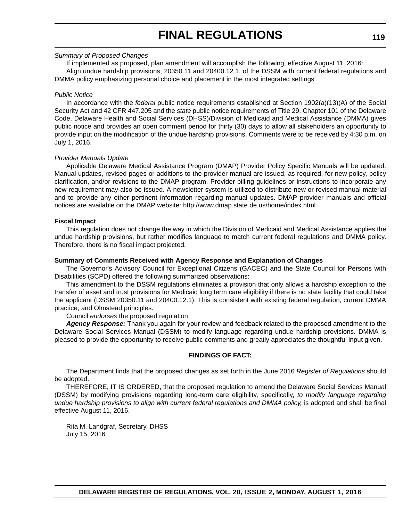#### *Summary of Proposed Changes*

If implemented as proposed, plan amendment will accomplish the following, effective August 11, 2016: Align undue hardship provisions, 20350.11 and 20400.12.1, of the DSSM with current federal regulations and DMMA policy emphasizing personal choice and placement in the most integrated settings.

#### *Public Notice*

In accordance with the *federal* public notice requirements established at Section 1902(a)(13)(A) of the Social Security Act and 42 CFR 447.205 and the *state* public notice requirements of Title 29, Chapter 101 of the Delaware Code, Delaware Health and Social Services (DHSS)/Division of Medicaid and Medical Assistance (DMMA) gives public notice and provides an open comment period for thirty (30) days to allow all stakeholders an opportunity to provide input on the modification of the undue hardship provisions. Comments were to be received by 4:30 p.m. on July 1, 2016.

#### *Provider Manuals Update*

Applicable Delaware Medical Assistance Program (DMAP) Provider Policy Specific Manuals will be updated. Manual updates, revised pages or additions to the provider manual are issued, as required, for new policy, policy clarification, and/or revisions to the DMAP program. Provider billing guidelines or instructions to incorporate any new requirement may also be issued. A newsletter system is utilized to distribute new or revised manual material and to provide any other pertinent information regarding manual updates. DMAP provider manuals and official notices are available on the DMAP website: http://www.dmap.state.de.us/home/index.html

#### **Fiscal Impact**

This regulation does not change the way in which the Division of Medicaid and Medical Assistance applies the undue hardship provisions, but rather modifies language to match current federal regulations and DMMA policy. Therefore, there is no fiscal impact projected.

#### **Summary of Comments Received with Agency Response and Explanation of Changes**

The Governor's Advisory Council for Exceptional Citizens (GACEC) and the State Council for Persons with Disabilities (SCPD) offered the following summarized observations:

This amendment to the DSSM regulations eliminates a provision that only allows a hardship exception to the transfer of asset and trust provisions for Medicaid long term care eligibility if there is no state facility that could take the applicant (DSSM 20350.11 and 20400.12.1). This is consistent with existing federal regulation, current DMMA practice, and Olmstead principles.

#### Council *endorses* the proposed regulation.

*Agency Response:* Thank you again for your review and feedback related to the proposed amendment to the Delaware Social Services Manual (DSSM) to modify language regarding undue hardship provisions. DMMA is pleased to provide the opportunity to receive public comments and greatly appreciates the thoughtful input given.

#### **FINDINGS OF FACT:**

The Department finds that the proposed changes as set forth in the June 2016 *Register of Regulations* should be adopted.

THEREFORE, IT IS ORDERED, that the proposed regulation to amend the Delaware Social Services Manual (DSSM) by modifying provisions regarding long-term care eligibility, specifically, *to modify language regarding undue hardship provisions to align with current federal regulations and DMMA policy,* is adopted and shall be final effective August 11, 2016.

Rita M. Landgraf, Secretary, DHSS July 15, 2016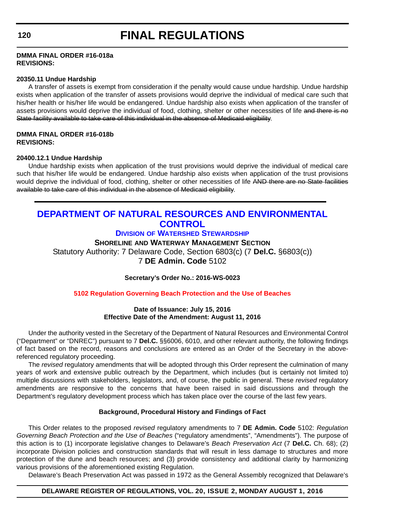#### <span id="page-45-0"></span>**DMMA FINAL ORDER #16-018a REVISIONS:**

#### **20350.11 Undue Hardship**

A transfer of assets is exempt from consideration if the penalty would cause undue hardship. Undue hardship exists when application of the transfer of assets provisions would deprive the individual of medical care such that his/her health or his/her life would be endangered. Undue hardship also exists when application of the transfer of assets provisions would deprive the individual of food, clothing, shelter or other necessities of life and there is no State facility available to take care of this individual in the absence of Medicaid eligibility.

#### **DMMA FINAL ORDER #16-018b REVISIONS:**

#### **20400.12.1 Undue Hardship**

Undue hardship exists when application of the trust provisions would deprive the individual of medical care such that his/her life would be endangered. Undue hardship also exists when application of the trust provisions would deprive the individual of food, clothing, shelter or other necessities of life AND there are no State facilities available to take care of this individual in the absence of Medicaid eligibility.

### **[DEPARTMENT OF NATURAL RESOURCES AND ENVIRONMENTAL](http://www.dnrec.delaware.gov/swc/Pages/portal.aspx)  CONTROL**

#### **DIVISION OF WATERSHED STEWARDSHIP**

#### **SHORELINE AND WATERWAY MANAGEMENT SECTION**

Statutory Authority: 7 Delaware Code, Section 6803(c) (7 **Del.C.** §6803(c)) 7 **DE Admin. Code** 5102

**Secretary's Order No.: 2016-WS-0023**

#### **[5102 Regulation Governing Beach Protection and the Use of Beaches](#page-4-0)**

#### **Date of Issuance: July 15, 2016 Effective Date of the Amendment: August 11, 2016**

Under the authority vested in the Secretary of the Department of Natural Resources and Environmental Control ("Department" or "DNREC") pursuant to 7 **Del.C.** §§6006, 6010, and other relevant authority, the following findings of fact based on the record, reasons and conclusions are entered as an Order of the Secretary in the abovereferenced regulatory proceeding.

The *revised* regulatory amendments that will be adopted through this Order represent the culmination of many years of work and extensive public outreach by the Department, which includes (but is certainly not limited to) multiple discussions with stakeholders, legislators, and, of course, the public in general. These *revised* regulatory amendments are responsive to the concerns that have been raised in said discussions and through the Department's regulatory development process which has taken place over the course of the last few years.

#### **Background, Procedural History and Findings of Fact**

This Order relates to the proposed *revised* regulatory amendments to 7 **DE Admin. Code** 5102: *Regulation Governing Beach Protection and the Use of Beaches* ("regulatory amendments", "Amendments"). The purpose of this action is to (1) incorporate legislative changes to Delaware's *Beach Preservation Act* (7 **Del.C.** Ch. 68); (2) incorporate Division policies and construction standards that will result in less damage to structures and more protection of the dune and beach resources; and (3) provide consistency and additional clarity by harmonizing various provisions of the aforementioned existing Regulation.

Delaware's Beach Preservation Act was passed in 1972 as the General Assembly recognized that Delaware's

#### **DELAWARE REGISTER OF REGULATIONS, VOL. 20, ISSUE 2, MONDAY AUGUST 1, 2016**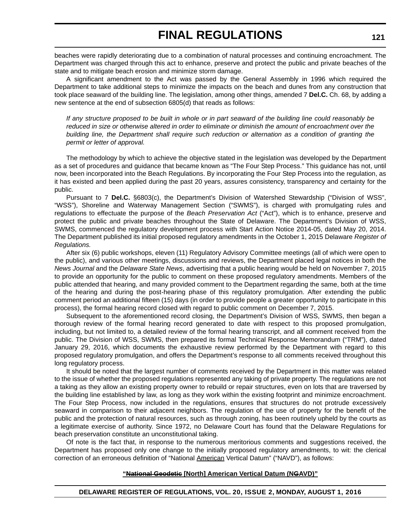beaches were rapidly deteriorating due to a combination of natural processes and continuing encroachment. The Department was charged through this act to enhance, preserve and protect the public and private beaches of the state and to mitigate beach erosion and minimize storm damage.

A significant amendment to the Act was passed by the General Assembly in 1996 which required the Department to take additional steps to minimize the impacts on the beach and dunes from any construction that took place seaward of the building line. The legislation, among other things, amended 7 **Del.C.** Ch. 68, by adding a new sentence at the end of subsection 6805(d) that reads as follows:

*If any structure proposed to be built in whole or in part seaward of the building line could reasonably be reduced in size or otherwise altered in order to eliminate or diminish the amount of encroachment over the building line, the Department shall require such reduction or alternation as a condition of granting the permit or letter of approval.*

The methodology by which to achieve the objective stated in the legislation was developed by the Department as a set of procedures and guidance that became known as "The Four Step Process." This guidance has not, until now, been incorporated into the Beach Regulations. By incorporating the Four Step Process into the regulation, as it has existed and been applied during the past 20 years, assures consistency, transparency and certainty for the public.

Pursuant to 7 **Del.C.** §6803(c), the Department's Division of Watershed Stewardship ("Division of WSS", "WSS"), Shoreline and Waterway Management Section ("SWMS"), is charged with promulgating rules and regulations to effectuate the purpose of the *Beach Preservation Act* ("Act"), which is to enhance, preserve and protect the public and private beaches throughout the State of Delaware. The Department's Division of WSS, SWMS, commenced the regulatory development process with Start Action Notice 2014-05, dated May 20, 2014. The Department published its initial proposed regulatory amendments in the October 1, 2015 Delaware *Register of Regulations.*

After six (6) public workshops, eleven (11) Regulatory Advisory Committee meetings (all of which were open to the public), and various other meetings, discussions and reviews, the Department placed legal notices in both the *News Journal* and the *Delaware State News*, advertising that a public hearing would be held on November 7, 2015 to provide an opportunity for the public to comment on these proposed regulatory amendments. Members of the public attended that hearing, and many provided comment to the Department regarding the same, both at the time of the hearing and during the post-hearing phase of this regulatory promulgation. After extending the public comment period an additional fifteen (15) days (in order to provide people a greater opportunity to participate in this process), the formal hearing record closed with regard to public comment on December 7, 2015.

Subsequent to the aforementioned record closing, the Department's Division of WSS, SWMS, then began a thorough review of the formal hearing record generated to date with respect to this proposed promulgation, including, but not limited to, a detailed review of the formal hearing transcript, and all comment received from the public. The Division of WSS, SWMS, then prepared its formal Technical Response Memorandum ("TRM"), dated January 29, 2016, which documents the exhaustive review performed by the Department with regard to this proposed regulatory promulgation, and offers the Department's response to all comments received throughout this long regulatory process.

It should be noted that the largest number of comments received by the Department in this matter was related to the issue of whether the proposed regulations represented any taking of private property. The regulations are not a taking as they allow an existing property owner to rebuild or repair structures, even on lots that are traversed by the building line established by law, as long as they work within the existing footprint and minimize encroachment. The Four Step Process, now included in the regulations, ensures that structures do not protrude excessively seaward in comparison to their adjacent neighbors. The regulation of the use of property for the benefit of the public and the protection of natural resources, such as through zoning, has been routinely upheld by the courts as a legitimate exercise of authority. Since 1972, no Delaware Court has found that the Delaware Regulations for beach preservation constitute an unconstitutional taking.

Of note is the fact that, in response to the numerous meritorious comments and suggestions received, the Department has proposed only one change to the initially proposed regulatory amendments, to wit: the clerical correction of an erroneous definition of "National American Vertical Datum" ("NAVD"), as follows:

#### **"National Geodetic [North] American Vertical Datum (NGAVD)"**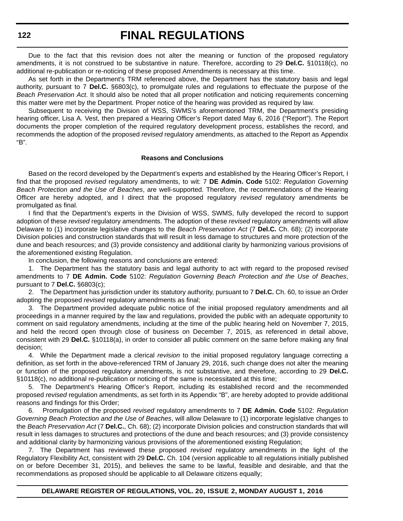Due to the fact that this revision does not alter the meaning or function of the proposed regulatory amendments, it is not construed to be substantive in nature. Therefore, according to 29 **Del.C.** §10118(c), no additional re-publication or re-noticing of these proposed Amendments is necessary at this time.

As set forth in the Department's TRM referenced above, the Department has the statutory basis and legal authority, pursuant to 7 **Del.C.** §6803(c), to promulgate rules and regulations to effectuate the purpose of the *Beach Preservation Act*. It should also be noted that all proper notification and noticing requirements concerning this matter were met by the Department. Proper notice of the hearing was provided as required by law.

Subsequent to receiving the Division of WSS, SWMS's aforementioned TRM, the Department's presiding hearing officer, Lisa A. Vest, then prepared a Hearing Officer's Report dated May 6, 2016 ("Report"). The Report documents the proper completion of the required regulatory development process, establishes the record, and recommends the adoption of the proposed *revised* regulatory amendments, as attached to the Report as Appendix "B".

#### **Reasons and Conclusions**

Based on the record developed by the Department's experts and established by the Hearing Officer's Report, I find that the proposed *revised* regulatory amendments, to wit: 7 **DE Admin. Code** 5102: *Regulation Governing Beach Protection and the Use of Beaches*, are well-supported. Therefore, the recommendations of the Hearing Officer are hereby adopted, and I direct that the proposed regulatory *revised* regulatory amendments be promulgated as final.

I find that the Department's experts in the Division of WSS, SWMS, fully developed the record to support adoption of these *revised* regulatory amendments. The adoption of these *revised* regulatory amendments will allow Delaware to (1) incorporate legislative changes to the *Beach Preservation Act* (7 **Del.C.** Ch. 68); (2) incorporate Division policies and construction standards that will result in less damage to structures and more protection of the dune and beach resources; and (3) provide consistency and additional clarity by harmonizing various provisions of the aforementioned existing Regulation.

In conclusion, the following reasons and conclusions are entered:

1. The Department has the statutory basis and legal authority to act with regard to the proposed *revised* amendments to 7 **DE Admin. Code** 5102: *Regulation Governing Beach Protection and the Use of Beaches*, pursuant to 7 **Del.C.** §6803(c);

2. The Department has jurisdiction under its statutory authority, pursuant to 7 **Del.C.** Ch. 60, to issue an Order adopting the proposed *revised* regulatory amendments as final;

3. The Department provided adequate public notice of the initial proposed regulatory amendments and all proceedings in a manner required by the law and regulations, provided the public with an adequate opportunity to comment on said regulatory amendments, including at the time of the public hearing held on November 7, 2015, and held the record open through close of business on December 7, 2015, as referenced in detail above, consistent with 29 **Del.C.** §10118(a), in order to consider all public comment on the same before making any final decision;

4. While the Department made a clerical *revision* to the initial proposed regulatory language correcting a definition, as set forth in the above-referenced TRM of January 29, 2016, such change does not alter the meaning or function of the proposed regulatory amendments, is not substantive, and therefore, according to 29 **Del.C.** §10118(c), no additional re-publication or noticing of the same is necessitated at this time;

5. The Department's Hearing Officer's Report, including its established record and the recommended proposed *revised* regulation amendments, as set forth in its Appendix "B", are hereby adopted to provide additional reasons and findings for this Order;

6. Promulgation of the proposed *revised* regulatory amendments to 7 **DE Admin. Code** 5102: *Regulation Governing Beach Protection and the Use of Beaches*, will allow Delaware to (1) incorporate legislative changes to the *Beach Preservation Act* (7 **Del.C.**, Ch. 68); (2) incorporate Division policies and construction standards that will result in less damages to structures and protections of the dune and beach resources; and (3) provide consistency and additional clarity by harmonizing various provisions of the aforementioned existing Regulation;

7. The Department has reviewed these proposed *revised* regulatory amendments in the light of the Regulatory Flexibility Act, consistent with 29 **Del.C.** Ch. 104 (version applicable to all regulations initially published on or before December 31, 2015), and believes the same to be lawful, feasible and desirable, and that the recommendations as proposed should be applicable to all Delaware citizens equally;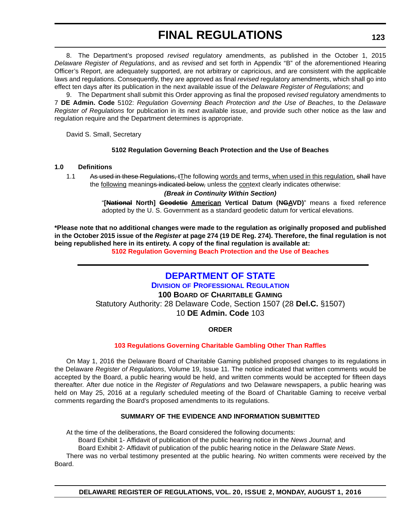<span id="page-48-0"></span>8. The Department's proposed *revised* regulatory amendments, as published in the October 1, 2015 *Delaware Register of Regulations*, and as *revised* and set forth in Appendix "B" of the aforementioned Hearing Officer's Report, are adequately supported, are not arbitrary or capricious, and are consistent with the applicable laws and regulations. Consequently, they are approved as final *revised* regulatory amendments, which shall go into effect ten days after its publication in the next available issue of the *Delaware Register of Regulations*; and

9. The Department shall submit this Order approving as final the proposed *revised* regulatory amendments to 7 **DE Admin. Code** 5102: *Regulation Governing Beach Protection and the Use of Beaches*, to the *Delaware Register of Regulations* for publication in its next available issue, and provide such other notice as the law and regulation require and the Department determines is appropriate.

David S. Small, Secretary

#### **5102 Regulation Governing Beach Protection and the Use of Beaches**

#### **1.0 Definitions**

1.1 As used in these Regulations, tThe following words and terms, when used in this regulation, shall have the following meanings indicated below, unless the context clearly indicates otherwise:

#### *(Break in Continuity Within Section)*

"**[National North] Geodetic American Vertical Datum (NGAVD)**" means a fixed reference adopted by the U. S. Government as a standard geodetic datum for vertical elevations.

**\*Please note that no additional changes were made to the regulation as originally proposed and published in the October 2015 issue of the** *Register* **at page 274 (19 DE Reg. 274). Therefore, the final regulation is not being republished here in its entirety. A copy of the final regulation is available at:**

**[5102 Regulation Governing Beach Protection and the Use of Beaches](http://regulations.delaware.gov/register/august2016/final/20 DE Reg 120 08-01-16.htm)**

# **[DEPARTMENT OF STATE](http://dpr.delaware.gov/)**

**DIVISION OF PROFESSIONAL REGULATION 100 BOARD OF CHARITABLE GAMING** Statutory Authority: 28 Delaware Code, Section 1507 (28 **Del.C.** §1507) 10 **DE Admin. Code** 103

#### **ORDER**

#### **[103 Regulations Governing Charitable Gambling Other Than Raffles](#page-4-0)**

On May 1, 2016 the Delaware Board of Charitable Gaming published proposed changes to its regulations in the Delaware *Register of Regulations*, Volume 19, Issue 11. The notice indicated that written comments would be accepted by the Board, a public hearing would be held, and written comments would be accepted for fifteen days thereafter. After due notice in the *Register of Regulations* and two Delaware newspapers, a public hearing was held on May 25, 2016 at a regularly scheduled meeting of the Board of Charitable Gaming to receive verbal comments regarding the Board's proposed amendments to its regulations.

#### **SUMMARY OF THE EVIDENCE AND INFORMATION SUBMITTED**

At the time of the deliberations, the Board considered the following documents:

Board Exhibit 1- Affidavit of publication of the public hearing notice in the *News Journal*; and

Board Exhibit 2- Affidavit of publication of the public hearing notice in the *Delaware State News*.

There was no verbal testimony presented at the public hearing. No written comments were received by the Board.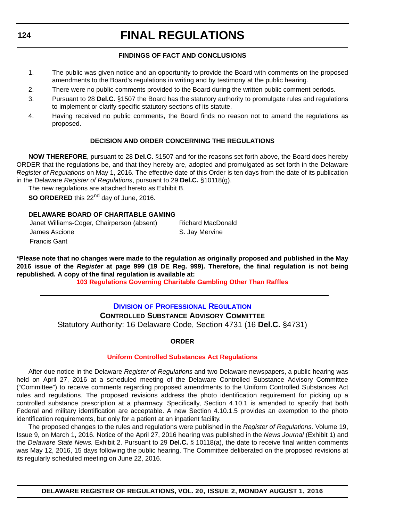#### **FINDINGS OF FACT AND CONCLUSIONS**

- <span id="page-49-0"></span>1. The public was given notice and an opportunity to provide the Board with comments on the proposed amendments to the Board's regulations in writing and by testimony at the public hearing.
- 2. There were no public comments provided to the Board during the written public comment periods.
- 3. Pursuant to 28 **Del.C.** §1507 the Board has the statutory authority to promulgate rules and regulations to implement or clarify specific statutory sections of its statute.
- 4. Having received no public comments, the Board finds no reason not to amend the regulations as proposed.

#### **DECISION AND ORDER CONCERNING THE REGULATIONS**

**NOW THEREFORE**, pursuant to 28 **Del.C.** §1507 and for the reasons set forth above, the Board does hereby ORDER that the regulations be, and that they hereby are, adopted and promulgated as set forth in the Delaware *Register of Regulations* on May 1, 2016. The effective date of this Order is ten days from the date of its publication in the Delaware *Register of Regulations*, pursuant to 29 **Del.C.** §10118(g).

The new regulations are attached hereto as Exhibit B.

**SO ORDERED** this 22<sup>nd</sup> day of June, 2016.

#### **DELAWARE BOARD OF CHARITABLE GAMING**

| Janet Williams-Coger, Chairperson (absent) | Richard MacDonald |
|--------------------------------------------|-------------------|
| James Ascione                              | S. Jay Mervine    |
| Francis Gant                               |                   |

**\*Please note that no changes were made to the regulation as originally proposed and published in the May 2016 issue of the** *Register* **at page 999 (19 DE Reg. 999). Therefore, the final regulation is not being republished. A copy of the final regulation is available at:**

**[103 Regulations Governing Charitable Gambling Other Than Raffles](http://regulations.delaware.gov/register/august2016/final/20 DE Reg 123 08-01-16.htm)**

### **DIVISION [OF PROFESSIONAL REGULATION](http://dpr.delaware.gov/) CONTROLLED SUBSTANCE ADVISORY COMMITTEE** Statutory Authority: 16 Delaware Code, Section 4731 (16 **Del.C.** §4731)

#### **ORDER**

#### **[Uniform Controlled Substances Act Regulations](#page-4-0)**

After due notice in the Delaware *Register of Regulations* and two Delaware newspapers, a public hearing was held on April 27, 2016 at a scheduled meeting of the Delaware Controlled Substance Advisory Committee ("Committee") to receive comments regarding proposed amendments to the Uniform Controlled Substances Act rules and regulations. The proposed revisions address the photo identification requirement for picking up a controlled substance prescription at a pharmacy. Specifically, Section 4.10.1 is amended to specify that both Federal and military identification are acceptable. A new Section 4.10.1.5 provides an exemption to the photo identification requirements, but only for a patient at an inpatient facility.

The proposed changes to the rules and regulations were published in the *Register of Regulations,* Volume 19, Issue 9, on March 1, 2016. Notice of the April 27, 2016 hearing was published in the *News Journal* (Exhibit 1) and the *Delaware State News.* Exhibit 2. Pursuant to 29 **Del.C.** § 10118(a), the date to receive final written comments was May 12, 2016, 15 days following the public hearing. The Committee deliberated on the proposed revisions at its regularly scheduled meeting on June 22, 2016.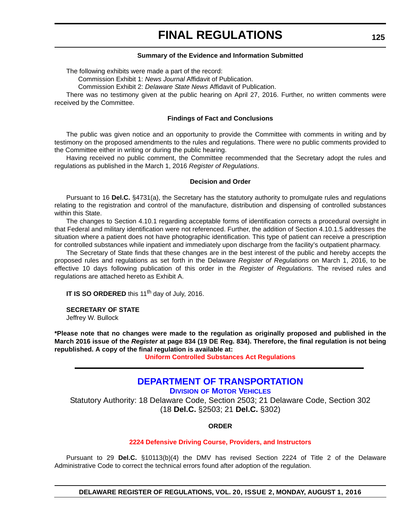#### **Summary of the Evidence and Information Submitted**

<span id="page-50-0"></span>The following exhibits were made a part of the record:

Commission Exhibit 1: *News Journal* Affidavit of Publication.

Commission Exhibit 2: *Delaware State News* Affidavit of Publication.

There was no testimony given at the public hearing on April 27, 2016. Further, no written comments were received by the Committee.

#### **Findings of Fact and Conclusions**

The public was given notice and an opportunity to provide the Committee with comments in writing and by testimony on the proposed amendments to the rules and regulations. There were no public comments provided to the Committee either in writing or during the public hearing.

Having received no public comment, the Committee recommended that the Secretary adopt the rules and regulations as published in the March 1, 2016 *Register of Regulations*.

#### **Decision and Order**

Pursuant to 16 **Del.C.** §4731(a), the Secretary has the statutory authority to promulgate rules and regulations relating to the registration and control of the manufacture, distribution and dispensing of controlled substances within this State.

The changes to Section 4.10.1 regarding acceptable forms of identification corrects a procedural oversight in that Federal and military identification were not referenced. Further, the addition of Section 4.10.1.5 addresses the situation where a patient does not have photographic identification. This type of patient can receive a prescription for controlled substances while inpatient and immediately upon discharge from the facility's outpatient pharmacy.

The Secretary of State finds that these changes are in the best interest of the public and hereby accepts the proposed rules and regulations as set forth in the Delaware *Register of Regulations* on March 1, 2016, to be effective 10 days following publication of this order in the *Register of Regulations*. The revised rules and regulations are attached hereto as Exhibit A.

**IT IS SO ORDERED** this 11<sup>th</sup> day of July, 2016.

**SECRETARY OF STATE**

Jeffrey W. Bullock

**\*Please note that no changes were made to the regulation as originally proposed and published in the March 2016 issue of the** *Register* **at page 834 (19 DE Reg. 834). Therefore, the final regulation is not being republished. A copy of the final regulation is available at:**

**[Uniform Controlled Substances Act Regulations](http://regulations.delaware.gov/register/august2016/final/20 DE Reg 124 08-01-16.htm)**

### **[DEPARTMENT OF TRANSPORTATION](http://dmv.de.gov/)**

**DIVISION OF MOTOR VEHICLES**

Statutory Authority: 18 Delaware Code, Section 2503; 21 Delaware Code, Section 302 (18 **Del.C.** §2503; 21 **Del.C.** §302)

#### **ORDER**

#### **[2224 Defensive Driving Course, Providers, and Instructors](#page-4-0)**

Pursuant to 29 **Del.C.** §10113(b)(4) the DMV has revised Section 2224 of Title 2 of the Delaware Administrative Code to correct the technical errors found after adoption of the regulation.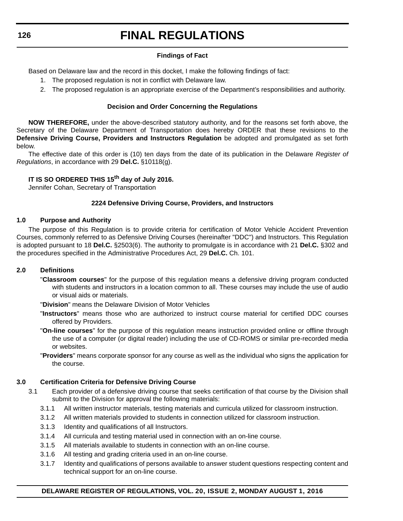#### **Findings of Fact**

Based on Delaware law and the record in this docket, I make the following findings of fact:

- 1. The proposed regulation is not in conflict with Delaware law.
- 2. The proposed regulation is an appropriate exercise of the Department's responsibilities and authority.

#### **Decision and Order Concerning the Regulations**

**NOW THEREFORE,** under the above-described statutory authority, and for the reasons set forth above, the Secretary of the Delaware Department of Transportation does hereby ORDER that these revisions to the **Defensive Driving Course, Providers and Instructors Regulation** be adopted and promulgated as set forth below.

The effective date of this order is (10) ten days from the date of its publication in the Delaware *Register of Regulations*, in accordance with 29 **Del.C.** §10118(g).

#### **IT IS SO ORDERED THIS 15th day of July 2016.**

Jennifer Cohan, Secretary of Transportation

#### **2224 Defensive Driving Course, Providers, and Instructors**

#### **1.0 Purpose and Authority**

The purpose of this Regulation is to provide criteria for certification of Motor Vehicle Accident Prevention Courses, commonly referred to as Defensive Driving Courses (hereinafter "DDC") and Instructors. This Regulation is adopted pursuant to 18 **Del.C.** §2503(6). The authority to promulgate is in accordance with 21 **Del.C.** §302 and the procedures specified in the Administrative Procedures Act, 29 **Del.C.** Ch. 101.

#### **2.0 Definitions**

"**Classroom courses**" for the purpose of this regulation means a defensive driving program conducted with students and instructors in a location common to all. These courses may include the use of audio or visual aids or materials.

"**Division**" means the Delaware Division of Motor Vehicles

- "**Instructors**" means those who are authorized to instruct course material for certified DDC courses offered by Providers.
- "**On-line courses**" for the purpose of this regulation means instruction provided online or offline through the use of a computer (or digital reader) including the use of CD-ROMS or similar pre-recorded media or websites.
- "**Providers**" means corporate sponsor for any course as well as the individual who signs the application for the course.

#### **3.0 Certification Criteria for Defensive Driving Course**

- 3.1 Each provider of a defensive driving course that seeks certification of that course by the Division shall submit to the Division for approval the following materials:
	- 3.1.1 All written instructor materials, testing materials and curricula utilized for classroom instruction.
	- 3.1.2 All written materials provided to students in connection utilized for classroom instruction.
	- 3.1.3 Identity and qualifications of all Instructors.
	- 3.1.4 All curricula and testing material used in connection with an on-line course.
	- 3.1.5 All materials available to students in connection with an on-line course.
	- 3.1.6 All testing and grading criteria used in an on-line course.
	- 3.1.7 Identity and qualifications of persons available to answer student questions respecting content and technical support for an on-line course.

#### **DELAWARE REGISTER OF REGULATIONS, VOL. 20, ISSUE 2, MONDAY AUGUST 1, 2016**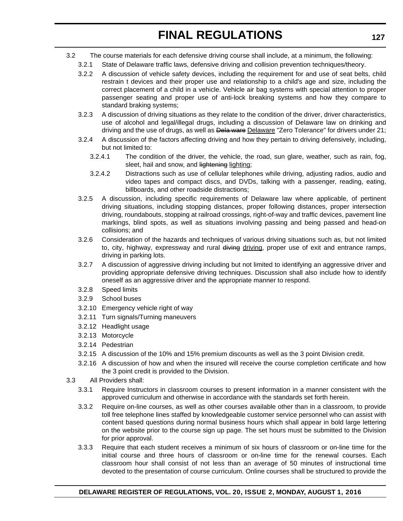- 3.2 The course materials for each defensive driving course shall include, at a minimum, the following:
	- 3.2.1 State of Delaware traffic laws, defensive driving and collision prevention techniques/theory.
	- 3.2.2 A discussion of vehicle safety devices, including the requirement for and use of seat belts, child restrain t devices and their proper use and relationship to a child's age and size, including the correct placement of a child in a vehicle. Vehicle air bag systems with special attention to proper passenger seating and proper use of anti-lock breaking systems and how they compare to standard braking systems;
	- 3.2.3 A discussion of driving situations as they relate to the condition of the driver, driver characteristics, use of alcohol and legal/illegal drugs, including a discussion of Delaware law on drinking and driving and the use of drugs, as well as Dela ware Delaware "Zero Tolerance" for drivers under 21;
	- 3.2.4 A discussion of the factors affecting driving and how they pertain to driving defensively, including, but not limited to:
		- 3.2.4.1 The condition of the driver, the vehicle, the road, sun glare, weather, such as rain, fog, sleet, hail and snow, and lightening lighting;
		- 3.2.4.2 Distractions such as use of cellular telephones while driving, adjusting radios, audio and video tapes and compact discs, and DVDs, talking with a passenger, reading, eating, billboards, and other roadside distractions;
	- 3.2.5 A discussion, including specific requirements of Delaware law where applicable, of pertinent driving situations, including stopping distances, proper following distances, proper intersection driving, roundabouts, stopping at railroad crossings, right-of-way and traffic devices, pavement line markings, blind spots, as well as situations involving passing and being passed and head-on collisions; and
	- 3.2.6 Consideration of the hazards and techniques of various driving situations such as, but not limited to, city, highway, expressway and rural diving driving, proper use of exit and entrance ramps, driving in parking lots.
	- 3.2.7 A discussion of aggressive driving including but not limited to identifying an aggressive driver and providing appropriate defensive driving techniques. Discussion shall also include how to identify oneself as an aggressive driver and the appropriate manner to respond.
	- 3.2.8 Speed limits
	- 3.2.9 School buses
	- 3.2.10 Emergency vehicle right of way
	- 3.2.11 Turn signals/Turning maneuvers
	- 3.2.12 Headlight usage
	- 3.2.13 Motorcycle
	- 3.2.14 Pedestrian
	- 3.2.15 A discussion of the 10% and 15% premium discounts as well as the 3 point Division credit.
	- 3.2.16 A discussion of how and when the insured will receive the course completion certificate and how the 3 point credit is provided to the Division.
- 3.3 All Providers shall:
	- 3.3.1 Require Instructors in classroom courses to present information in a manner consistent with the approved curriculum and otherwise in accordance with the standards set forth herein.
	- 3.3.2 Require on-line courses, as well as other courses available other than in a classroom, to provide toll free telephone lines staffed by knowledgeable customer service personnel who can assist with content based questions during normal business hours which shall appear in bold large lettering on the website prior to the course sign up page. The set hours must be submitted to the Division for prior approval.
	- 3.3.3 Require that each student receives a minimum of six hours of classroom or on-line time for the initial course and three hours of classroom or on-line time for the renewal courses. Each classroom hour shall consist of not less than an average of 50 minutes of instructional time devoted to the presentation of course curriculum. Online courses shall be structured to provide the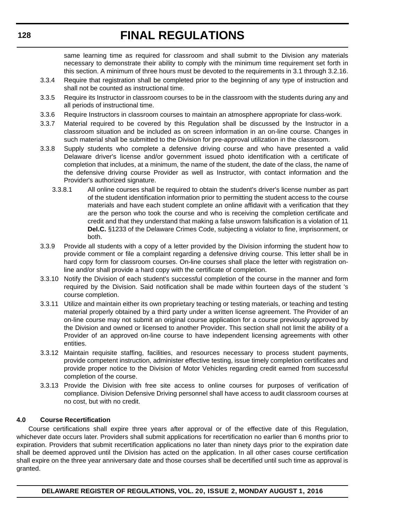same learning time as required for classroom and shall submit to the Division any materials necessary to demonstrate their ability to comply with the minimum time requirement set forth in this section. A minimum of three hours must be devoted to the requirements in 3.1 through 3.2.16.

- 3.3.4 Require that registration shall be completed prior to the beginning of any type of instruction and shall not be counted as instructional time.
- 3.3.5 Require its Instructor in classroom courses to be in the classroom with the students during any and all periods of instructional time.
- 3.3.6 Require Instructors in classroom courses to maintain an atmosphere appropriate for class-work.
- 3.3.7 Material required to be covered by this Regulation shall be discussed by the Instructor in a classroom situation and be included as on screen information in an on-line course. Changes in such material shall be submitted to the Division for pre-approval utilization in the classroom.
- 3.3.8 Supply students who complete a defensive driving course and who have presented a valid Delaware driver's license and/or government issued photo identification with a certificate of completion that includes, at a minimum, the name of the student, the date of the class, the name of the defensive driving course Provider as well as Instructor, with contact information and the Provider's authorized signature.
	- 3.3.8.1 All online courses shall be required to obtain the student's driver's license number as part of the student identification information prior to permitting the student access to the course materials and have each student complete an online affidavit with a verification that they are the person who took the course and who is receiving the completion certificate and credit and that they understand that making a false unsworn falsification is a violation of 11 **Del.C.** §1233 of the Delaware Crimes Code, subjecting a violator to fine, imprisonment, or both.
- 3.3.9 Provide all students with a copy of a letter provided by the Division informing the student how to provide comment or file a complaint regarding a defensive driving course. This letter shall be in hard copy form for classroom courses. On-line courses shall place the letter with registration online and/or shall provide a hard copy with the certificate of completion.
- 3.3.10 Notify the Division of each student's successful completion of the course in the manner and form required by the Division. Said notification shall be made within fourteen days of the student 's course completion.
- 3.3.11 Utilize and maintain either its own proprietary teaching or testing materials, or teaching and testing material properly obtained by a third party under a written license agreement. The Provider of an on-line course may not submit an original course application for a course previously approved by the Division and owned or licensed to another Provider. This section shall not limit the ability of a Provider of an approved on-line course to have independent licensing agreements with other entities.
- 3.3.12 Maintain requisite staffing, facilities, and resources necessary to process student payments, provide competent instruction, administer effective testing, issue timely completion certificates and provide proper notice to the Division of Motor Vehicles regarding credit earned from successful completion of the course.
- 3.3.13 Provide the Division with free site access to online courses for purposes of verification of compliance. Division Defensive Driving personnel shall have access to audit classroom courses at no cost, but with no credit.

#### **4.0 Course Recertification**

Course certifications shall expire three years after approval or of the effective date of this Regulation, whichever date occurs later. Providers shall submit applications for recertification no earlier than 6 months prior to expiration. Providers that submit recertification applications no later than ninety days prior to the expiration date shall be deemed approved until the Division has acted on the application. In all other cases course certification shall expire on the three year anniversary date and those courses shall be decertified until such time as approval is granted.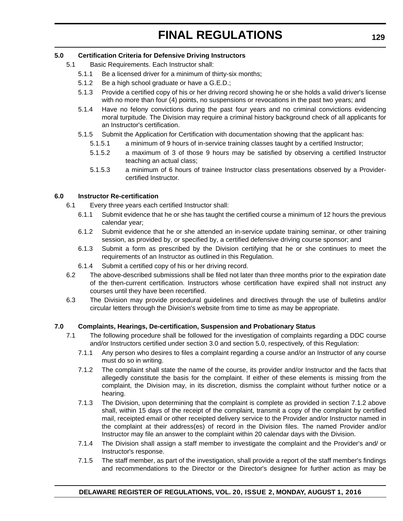#### **5.0 Certification Criteria for Defensive Driving Instructors**

- 5.1 Basic Requirements. Each Instructor shall:
	- 5.1.1 Be a licensed driver for a minimum of thirty-six months;
	- 5.1.2 Be a high school graduate or have a G.E.D.;
	- 5.1.3 Provide a certified copy of his or her driving record showing he or she holds a valid driver's license with no more than four (4) points, no suspensions or revocations in the past two years; and
	- 5.1.4 Have no felony convictions during the past four years and no criminal convictions evidencing moral turpitude. The Division may require a criminal history background check of all applicants for an Instructor's certification.
	- 5.1.5 Submit the Application for Certification with documentation showing that the applicant has:
		- 5.1.5.1 a minimum of 9 hours of in-service training classes taught by a certified Instructor;
		- 5.1.5.2 a maximum of 3 of those 9 hours may be satisfied by observing a certified Instructor teaching an actual class;
		- 5.1.5.3 a minimum of 6 hours of trainee Instructor class presentations observed by a Providercertified Instructor.

#### **6.0 Instructor Re-certification**

- 6.1 Every three years each certified Instructor shall:
	- 6.1.1 Submit evidence that he or she has taught the certified course a minimum of 12 hours the previous calendar year;
	- 6.1.2 Submit evidence that he or she attended an in-service update training seminar, or other training session, as provided by, or specified by, a certified defensive driving course sponsor; and
	- 6.1.3 Submit a form as prescribed by the Division certifying that he or she continues to meet the requirements of an Instructor as outlined in this Regulation.
	- 6.1.4 Submit a certified copy of his or her driving record.
- 6.2 The above-described submissions shall be filed not later than three months prior to the expiration date of the then-current certification. Instructors whose certification have expired shall not instruct any courses until they have been recertified.
- 6.3 The Division may provide procedural guidelines and directives through the use of bulletins and/or circular letters through the Division's website from time to time as may be appropriate.

#### **7.0 Complaints, Hearings, De-certification, Suspension and Probationary Status**

- 7.1 The following procedure shall be followed for the investigation of complaints regarding a DDC course and/or Instructors certified under section 3.0 and section 5.0, respectively, of this Regulation:
	- 7.1.1 Any person who desires to files a complaint regarding a course and/or an Instructor of any course must do so in writing.
	- 7.1.2 The complaint shall state the name of the course, its provider and/or Instructor and the facts that allegedly constitute the basis for the complaint. If either of these elements is missing from the complaint, the Division may, in its discretion, dismiss the complaint without further notice or a hearing.
	- 7.1.3 The Division, upon determining that the complaint is complete as provided in section 7.1.2 above shall, within 15 days of the receipt of the complaint, transmit a copy of the complaint by certified mail, receipted email or other receipted delivery service to the Provider and/or Instructor named in the complaint at their address(es) of record in the Division files. The named Provider and/or Instructor may file an answer to the complaint within 20 calendar days with the Division.
	- 7.1.4 The Division shall assign a staff member to investigate the complaint and the Provider's and/ or Instructor's response.
	- 7.1.5 The staff member, as part of the investigation, shall provide a report of the staff member's findings and recommendations to the Director or the Director's designee for further action as may be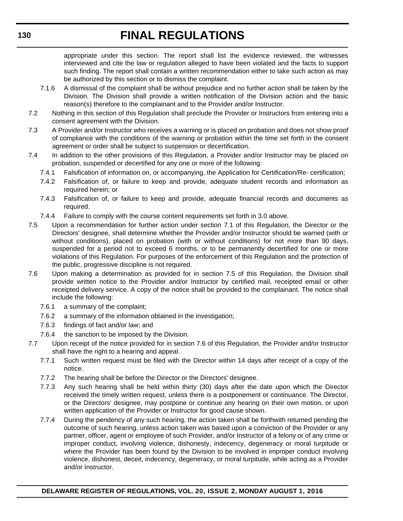appropriate under this section. The report shall list the evidence reviewed, the witnesses interviewed and cite the law or regulation alleged to have been violated and the facts to support such finding. The report shall contain a written recommendation either to take such action as may be authorized by this section or to dismiss the complaint.

- 7.1.6 A dismissal of the complaint shall be without prejudice and no further action shall be taken by the Division. The Division shall provide a written notification of the Division action and the basic reason(s) therefore to the complainant and to the Provider and/or Instructor.
- 7.2 Nothing in this section of this Regulation shall preclude the Provider or Instructors from entering into a consent agreement with the Division.
- 7.3 A Provider and/or Instructor who receives a warning or is placed on probation and does not show proof of compliance with the conditions of the warning or probation within the time set forth in the consent agreement or order shall be subject to suspension or decertification.
- 7.4 In addition to the other provisions of this Regulation, a Provider and/or Instructor may be placed on probation, suspended or decertified for any one or more of the following:
	- 7.4.1 Falsification of information on, or accompanying, the Application for Certification/Re- certification;
	- 7.4.2 Falsification of, or failure to keep and provide, adequate student records and information as required herein; or
	- 7.4.3 Falsification of, or failure to keep and provide, adequate financial records and documents as required.
	- 7.4.4 Failure to comply with the course content requirements set forth in 3.0 above.
- 7.5 Upon a recommendation for further action under section 7.1 of this Regulation, the Director or the Directors' designee, shall determine whether the Provider and/or Instructor should be warned (with or without conditions), placed on probation (with or without conditions) for not more than 90 days, suspended for a period not to exceed 6 months, or to be permanently decertified for one or more violations of this Regulation. For purposes of the enforcement of this Regulation and the protection of the public, progressive discipline is not required.
- 7.6 Upon making a determination as provided for in section 7.5 of this Regulation, the Division shall provide written notice to the Provider and/or Instructor by certified mail, receipted email or other receipted delivery service. A copy of the notice shall be provided to the complainant. The notice shall include the following:
	- 7.6.1 a summary of the complaint;
	- 7.6.2 a summary of the information obtained in the investigation;
	- 7.6.3 findings of fact and/or law; and
	- 7.6.4 the sanction to be imposed by the Division.
- 7.7 Upon receipt of the notice provided for in section 7.6 of this Regulation, the Provider and/or Instructor shall have the right to a hearing and appeal.
	- 7.7.1 Such written request must be filed with the Director within 14 days after receipt of a copy of the notice.
	- 7.7.2 The hearing shall be before the Director or the Directors' designee.
	- 7.7.3 Any such hearing shall be held within thirty (30) days after the date upon which the Director received the timely written request, unless there is a postponement or continuance. The Director, or the Directors' designee, may postpone or continue any hearing on their own motion, or upon written application of the Provider or Instructor for good cause shown.
	- 7.7.4 During the pendency of any such hearing, the action taken shall be forthwith returned pending the outcome of such hearing, unless action taken was based upon a conviction of the Provider or any partner, officer, agent or employee of such Provider, and/or Instructor of a felony or of any crime or improper conduct, involving violence, dishonesty, indecency, degeneracy or moral turpitude or where the Provider has been found by the Division to be involved in improper conduct involving violence, dishonest, deceit, indecency, degeneracy, or moral turpitude, while acting as a Provider and/or Instructor.

**130**

#### **DELAWARE REGISTER OF REGULATIONS, VOL. 20, ISSUE 2, MONDAY AUGUST 1, 2016**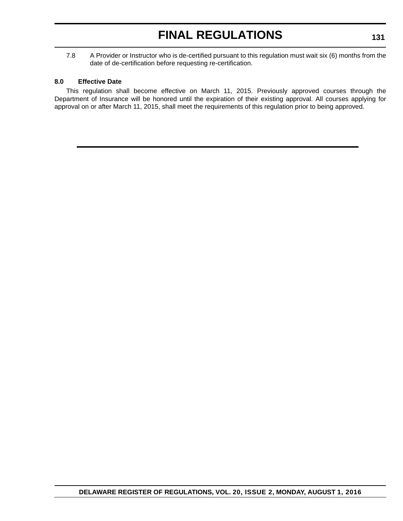7.8 A Provider or Instructor who is de-certified pursuant to this regulation must wait six (6) months from the date of de-certification before requesting re-certification.

#### **8.0 Effective Date**

This regulation shall become effective on March 11, 2015. Previously approved courses through the Department of Insurance will be honored until the expiration of their existing approval. All courses applying for approval on or after March 11, 2015, shall meet the requirements of this regulation prior to being approved.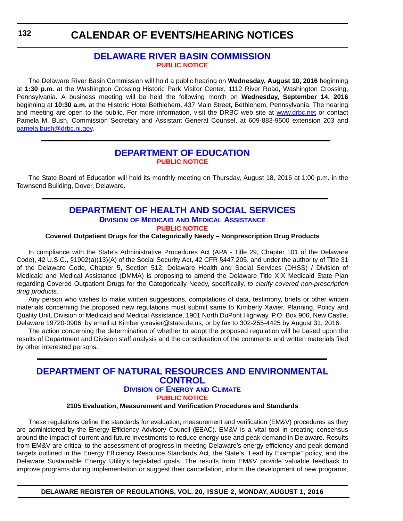### <span id="page-57-0"></span>**CALENDAR OF EVENTS/HEARING NOTICES**

### **[DELAWARE RIVER BASIN COMMISSION](http://www.state.nj.us/drbc/) [PUBLIC NOTICE](#page-4-0)**

The Delaware River Basin Commission will hold a public hearing on **Wednesday, August 10, 2016** beginning at **1:30 p.m.** at the Washington Crossing Historic Park Visitor Center, 1112 River Road, Washington Crossing, Pennsylvania. A business meeting will be held the following month on **Wednesday, September 14, 2016** beginning at **10:30 a.m.** at the Historic Hotel Bethlehem, 437 Main Street, Bethlehem, Pennsylvania. The hearing and meeting are open to the public. For more information, visit the DRBC web site at [www.drbc.net](http://www.drbc.net) or contact Pamela M. Bush, Commission Secretary and Assistant General Counsel, at 609-883-9500 extension 203 and [pamela.bush@drbc.nj.gov.](mailto:pamela.bush@drbc.nj.gov)

### **[DEPARTMENT OF EDUCATION](http://www.doe.k12.de.us/) [PUBLIC NOTICE](#page-4-0)**

The State Board of Education will hold its monthly meeting on Thursday, August 18, 2016 at 1:00 p.m. in the Townsend Building, Dover, Delaware.

#### **[DEPARTMENT OF HEALTH AND SOCIAL SERVICES](http://www.dhss.delaware.gov/dhss/dmma/) DIVISION OF MEDICAID AND MEDICAL ASSISTANCE [PUBLIC NOTICE](#page-4-0)**

#### **Covered Outpatient Drugs for the Categorically Needy – Nonprescription Drug Products**

In compliance with the State's Administrative Procedures Act (APA - Title 29, Chapter 101 of the Delaware Code), 42 U.S.C., §1902(a)(13)(A) of the Social Security Act, 42 CFR §447.205, and under the authority of Title 31 of the Delaware Code, Chapter 5, Section 512, Delaware Health and Social Services (DHSS) / Division of Medicaid and Medical Assistance (DMMA) is proposing to amend the Delaware Title XIX Medicaid State Plan regarding Covered Outpatient Drugs for the Categorically Needy, specifically, *to clarify covered non-prescription drug products*.

Any person who wishes to make written suggestions, compilations of data, testimony, briefs or other written materials concerning the proposed new regulations must submit same to Kimberly Xavier, Planning, Policy and Quality Unit, Division of Medicaid and Medical Assistance, 1901 North DuPont Highway, P.O. Box 906, New Castle, Delaware 19720-0906, by email at Kimberly.xavier@state.de.us, or by fax to 302-255-4425 by August 31, 2016.

The action concerning the determination of whether to adopt the proposed regulation will be based upon the results of Department and Division staff analysis and the consideration of the comments and written materials filed by other interested persons.

### **[DEPARTMENT OF NATURAL RESOURCES AND ENVIRONMENTAL](http://www.dnrec.delaware.gov/energy/Pages/portal.aspx)  CONTROL DIVISION OF ENERGY AND CLIMATE [PUBLIC NOTICE](#page-4-0)**

#### **2105 Evaluation, Measurement and Verification Procedures and Standards**

These regulations define the standards for evaluation, measurement and verification (EM&V) procedures as they are administered by the Energy Efficiency Advisory Council (EEAC). EM&V is a vital tool in creating consensus around the impact of current and future investments to reduce energy use and peak demand in Delaware. Results from EM&V are critical to the assessment of progress in meeting Delaware's energy efficiency and peak demand targets outlined in the Energy Efficiency Resource Standards Act, the State's "Lead by Example" policy, and the Delaware Sustainable Energy Utility's legislated goals. The results from EM&V provide valuable feedback to improve programs during implementation or suggest their cancellation, inform the development of new programs,

**DELAWARE REGISTER OF REGULATIONS, VOL. 20, ISSUE 2, MONDAY, AUGUST 1, 2016**